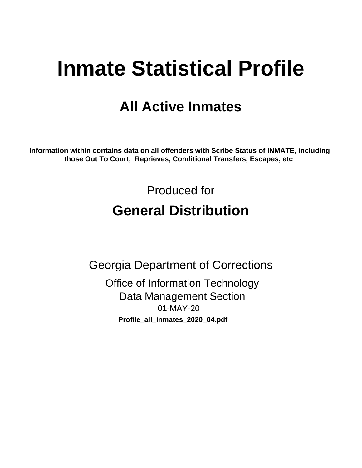# **Inmate Statistical Profile**

# **All Active Inmates**

Information within contains data on all offenders with Scribe Status of INMATE, including those Out To Court, Reprieves, Conditional Transfers, Escapes, etc

> Produced for **General Distribution**

**Georgia Department of Corrections Office of Information Technology** 

**Data Management Section** 01-MAY-20 Profile\_all\_inmates\_2020\_04.pdf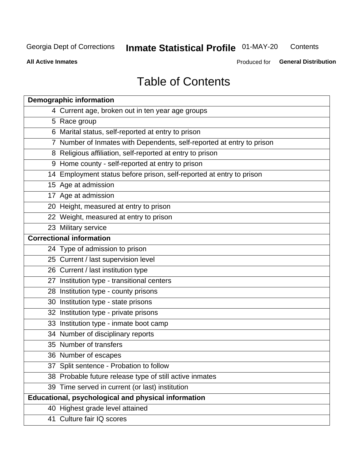#### **Inmate Statistical Profile 01-MAY-20** Contents

**All Active Inmates** 

Produced for General Distribution

# **Table of Contents**

| <b>Demographic information</b>                                        |
|-----------------------------------------------------------------------|
| 4 Current age, broken out in ten year age groups                      |
| 5 Race group                                                          |
| 6 Marital status, self-reported at entry to prison                    |
| 7 Number of Inmates with Dependents, self-reported at entry to prison |
| 8 Religious affiliation, self-reported at entry to prison             |
| 9 Home county - self-reported at entry to prison                      |
| 14 Employment status before prison, self-reported at entry to prison  |
| 15 Age at admission                                                   |
| 17 Age at admission                                                   |
| 20 Height, measured at entry to prison                                |
| 22 Weight, measured at entry to prison                                |
| 23 Military service                                                   |
| <b>Correctional information</b>                                       |
| 24 Type of admission to prison                                        |
| 25 Current / last supervision level                                   |
| 26 Current / last institution type                                    |
| 27 Institution type - transitional centers                            |
| 28 Institution type - county prisons                                  |
| 30 Institution type - state prisons                                   |
| 32 Institution type - private prisons                                 |
| 33 Institution type - inmate boot camp                                |
| 34 Number of disciplinary reports                                     |
| 35 Number of transfers                                                |
| 36 Number of escapes                                                  |
| 37 Split sentence - Probation to follow                               |
| 38 Probable future release type of still active inmates               |
| 39 Time served in current (or last) institution                       |
| Educational, psychological and physical information                   |
| 40 Highest grade level attained                                       |
| 41 Culture fair IQ scores                                             |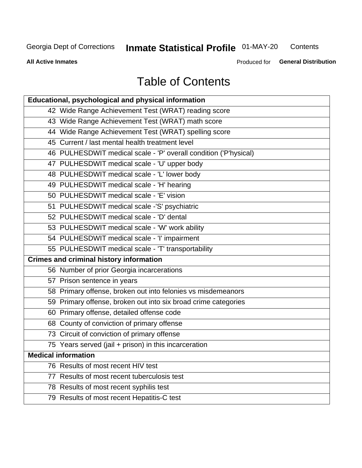# **Inmate Statistical Profile 01-MAY-20**

Contents

**All Active Inmates** 

Produced for General Distribution

# **Table of Contents**

| Educational, psychological and physical information              |
|------------------------------------------------------------------|
| 42 Wide Range Achievement Test (WRAT) reading score              |
| 43 Wide Range Achievement Test (WRAT) math score                 |
| 44 Wide Range Achievement Test (WRAT) spelling score             |
| 45 Current / last mental health treatment level                  |
| 46 PULHESDWIT medical scale - 'P' overall condition ('P'hysical) |
| 47 PULHESDWIT medical scale - 'U' upper body                     |
| 48 PULHESDWIT medical scale - 'L' lower body                     |
| 49 PULHESDWIT medical scale - 'H' hearing                        |
| 50 PULHESDWIT medical scale - 'E' vision                         |
| 51 PULHESDWIT medical scale -'S' psychiatric                     |
| 52 PULHESDWIT medical scale - 'D' dental                         |
| 53 PULHESDWIT medical scale - 'W' work ability                   |
| 54 PULHESDWIT medical scale - 'I' impairment                     |
| 55 PULHESDWIT medical scale - 'T' transportability               |
| <b>Crimes and criminal history information</b>                   |
| 56 Number of prior Georgia incarcerations                        |
| 57 Prison sentence in years                                      |
| 58 Primary offense, broken out into felonies vs misdemeanors     |
| 59 Primary offense, broken out into six broad crime categories   |
| 60 Primary offense, detailed offense code                        |
| 68 County of conviction of primary offense                       |
| 73 Circuit of conviction of primary offense                      |
| 75 Years served (jail + prison) in this incarceration            |
| <b>Medical information</b>                                       |
| 76 Results of most recent HIV test                               |
| 77 Results of most recent tuberculosis test                      |
| 78 Results of most recent syphilis test                          |
| 79 Results of most recent Hepatitis-C test                       |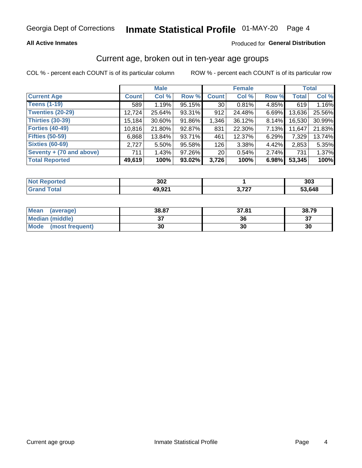### **All Active Inmates**

### Produced for General Distribution

### Current age, broken out in ten-year age groups

COL % - percent each COUNT is of its particular column

|                          | <b>Male</b>  |          |        | <b>Female</b>   |        |       | <b>Total</b> |        |
|--------------------------|--------------|----------|--------|-----------------|--------|-------|--------------|--------|
| <b>Current Age</b>       | <b>Count</b> | Col %    | Row %  | <b>Count</b>    | Col %  | Row % | <b>Total</b> | Col %  |
| <b>Teens (1-19)</b>      | 589          | 1.19%    | 95.15% | 30 <sup>1</sup> | 0.81%  | 4.85% | 619          | 1.16%  |
| <b>Twenties (20-29)</b>  | 12,724       | 25.64%   | 93.31% | 912             | 24.48% | 6.69% | 13,636       | 25.56% |
| Thirties (30-39)         | 15,184       | 30.60%   | 91.86% | 1,346           | 36.12% | 8.14% | 16,530       | 30.99% |
| <b>Forties (40-49)</b>   | 10,816       | 21.80%   | 92.87% | 831             | 22.30% | 7.13% | 11,647       | 21.83% |
| <b>Fifties (50-59)</b>   | 6,868        | 13.84%   | 93.71% | 461             | 12.37% | 6.29% | 7,329        | 13.74% |
| <b>Sixties (60-69)</b>   | 2,727        | $5.50\%$ | 95.58% | 126             | 3.38%  | 4.42% | 2,853        | 5.35%  |
| Seventy + (70 and above) | 711          | 1.43%    | 97.26% | 20 <sub>1</sub> | 0.54%  | 2.74% | 731          | 1.37%  |
| <b>Total Reported</b>    | 49,619       | 100%     | 93.02% | 3,726           | 100%   | 6.98% | 53,345       | 100%   |

| <b>Not Reported</b> | 202<br>פט |                | 303    |
|---------------------|-----------|----------------|--------|
| Total               | 49,921    | דמד מ<br>,,,,, | 53,648 |

| <b>Mean</b><br>(average) | 38.87         | 37.81 | 38.79    |
|--------------------------|---------------|-------|----------|
| Median (middle)          | $\sim$<br>ا پ | 36    | ^¬<br>o. |
| Mode<br>(most frequent)  | 30            | 30    | 30       |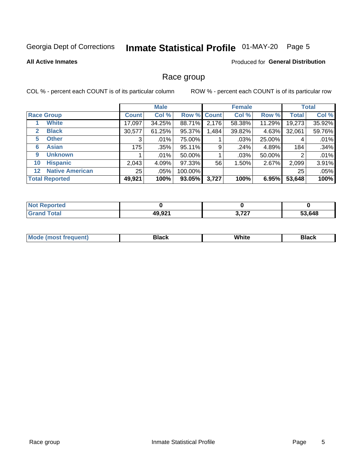# Inmate Statistical Profile 01-MAY-20 Page 5

#### **All Active Inmates**

#### Produced for General Distribution

### Race group

COL % - percent each COUNT is of its particular column

|                                   |              | <b>Male</b> |           |             | <b>Female</b> |        |              | <b>Total</b> |  |
|-----------------------------------|--------------|-------------|-----------|-------------|---------------|--------|--------------|--------------|--|
| <b>Race Group</b>                 | <b>Count</b> | Col %       |           | Row % Count | Col %         | Row %  | <b>Total</b> | Col %        |  |
| <b>White</b>                      | 17,097       | 34.25%      | 88.71%    | 2,176       | 58.38%        | 11.29% | 19,273       | 35.92%       |  |
| <b>Black</b><br>2                 | 30,577       | 61.25%      | 95.37%    | .484        | 39.82%        | 4.63%  | 32,061       | 59.76%       |  |
| <b>Other</b><br>5.                | 3            | $.01\%$     | 75.00%    |             | .03%          | 25.00% | 4            | .01%         |  |
| <b>Asian</b><br>6                 | 175          | .35%        | 95.11%    | 9           | .24%          | 4.89%  | 184          | .34%         |  |
| <b>Unknown</b><br>9               |              | $.01\%$     | 50.00%    |             | .03%          | 50.00% | 2            | .01%         |  |
| <b>Hispanic</b><br>10             | 2,043        | 4.09%       | 97.33%    | 56          | 1.50%         | 2.67%  | 2,099        | 3.91%        |  |
| <b>Native American</b><br>$12 \,$ | 25           | .05%        | 100.00%   |             |               |        | 25           | .05%         |  |
| <b>Total Reported</b>             | 49,921       | 100%        | $93.05\%$ | 3,727       | 100%          | 6.95%  | 53,648       | 100%         |  |

| ported<br>NO.          |        |                       |        |
|------------------------|--------|-----------------------|--------|
| <b>Total</b><br>'Grand | 49,921 | <b>0.707</b><br>9,121 | 53,648 |

| IМ | - - -- |  |
|----|--------|--|
|    |        |  |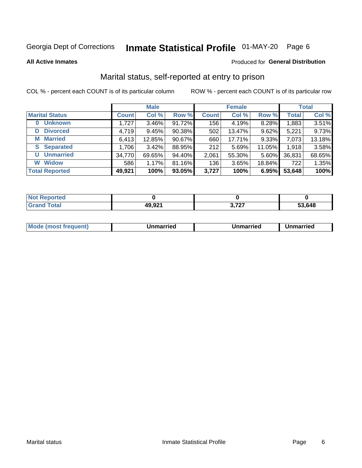# Inmate Statistical Profile 01-MAY-20 Page 6

**All Active Inmates** 

#### Produced for General Distribution

### Marital status, self-reported at entry to prison

COL % - percent each COUNT is of its particular column

|                            | <b>Male</b>  |          |        |              | <b>Female</b> | <b>Total</b> |              |        |
|----------------------------|--------------|----------|--------|--------------|---------------|--------------|--------------|--------|
| <b>Marital Status</b>      | <b>Count</b> | Col %    | Row %  | <b>Count</b> | Col %         | Row %        | <b>Total</b> | Col %  |
| <b>Unknown</b><br>$\bf{0}$ | 1,727        | $3.46\%$ | 91.72% | 156          | 4.19%         | 8.28%        | 1,883        | 3.51%  |
| <b>Divorced</b><br>D       | 4,719        | 9.45%    | 90.38% | 502          | 13.47%        | 9.62%        | 5,221        | 9.73%  |
| <b>Married</b><br>M        | 6,413        | 12.85%   | 90.67% | 660          | 17.71%        | 9.33%        | 7,073        | 13.18% |
| <b>S</b> Separated         | 1,706        | 3.42%    | 88.95% | 212          | 5.69%         | 11.05%       | 1,918        | 3.58%  |
| <b>Unmarried</b><br>U      | 34,770       | 69.65%   | 94.40% | 2,061        | 55.30%        | 5.60%        | 36,831       | 68.65% |
| <b>Widow</b><br>W          | 586          | 1.17%    | 81.16% | 136          | 3.65%         | 18.84%       | 722          | 1.35%  |
| <b>Total Reported</b>      | 49,921       | 100%     | 93.05% | 3,727        | 100%          | 6.95%        | 53,648       | 100%   |

| <b>Not Reported</b> |                 |               |        |
|---------------------|-----------------|---------------|--------|
| Total<br>Cro        | 4992'<br>$\sim$ | -707<br>J.ILI | 53.648 |

|--|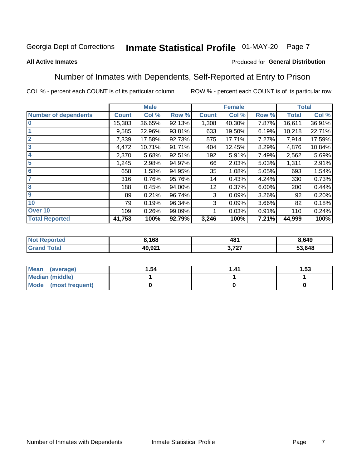#### Inmate Statistical Profile 01-MAY-20 Page 7

#### **All Active Inmates**

### Produced for General Distribution

### Number of Inmates with Dependents, Self-Reported at Entry to Prison

COL % - percent each COUNT is of its particular column

|                             |              | <b>Male</b> |        |              | <b>Female</b> |       |              | <b>Total</b> |
|-----------------------------|--------------|-------------|--------|--------------|---------------|-------|--------------|--------------|
| <b>Number of dependents</b> | <b>Count</b> | Col %       | Row %  | <b>Count</b> | Col %         | Row % | <b>Total</b> | Col %        |
| 10                          | 15,303       | 36.65%      | 92.13% | 1,308        | 40.30%        | 7.87% | 16,611       | 36.91%       |
|                             | 9,585        | 22.96%      | 93.81% | 633          | 19.50%        | 6.19% | 10,218       | 22.71%       |
| $\overline{2}$              | 7,339        | 17.58%      | 92.73% | 575          | 17.71%        | 7.27% | 7,914        | 17.59%       |
| $\mathbf{3}$                | 4,472        | 10.71%      | 91.71% | 404          | 12.45%        | 8.29% | 4,876        | 10.84%       |
| $\overline{\mathbf{4}}$     | 2,370        | 5.68%       | 92.51% | 192          | 5.91%         | 7.49% | 2,562        | 5.69%        |
| 5                           | 1,245        | 2.98%       | 94.97% | 66           | 2.03%         | 5.03% | 1,311        | 2.91%        |
| 6                           | 658          | 1.58%       | 94.95% | 35           | 1.08%         | 5.05% | 693          | 1.54%        |
| 7                           | 316          | 0.76%       | 95.76% | 14           | 0.43%         | 4.24% | 330          | 0.73%        |
| 8                           | 188          | 0.45%       | 94.00% | 12           | 0.37%         | 6.00% | 200          | 0.44%        |
| 9                           | 89           | 0.21%       | 96.74% | 3            | 0.09%         | 3.26% | 92           | 0.20%        |
| 10                          | 79           | 0.19%       | 96.34% | 3            | 0.09%         | 3.66% | 82           | 0.18%        |
| Over 10                     | 109          | 0.26%       | 99.09% |              | 0.03%         | 0.91% | 110          | 0.24%        |
| <b>Total Reported</b>       | 41,753       | 100%        | 92.79% | 3,246        | 100%          | 7.21% | 44,999       | 100%         |

| rrec | 1,168             | 481        | 3.649  |
|------|-------------------|------------|--------|
|      | ,,,,,,<br>49.JZ I | ラヘラ<br>. . | 53.648 |

| Mean (average)          | 1.54 | 1 41 | l.53 |
|-------------------------|------|------|------|
| <b>Median (middle)</b>  |      |      |      |
| Mode<br>(most frequent) |      |      |      |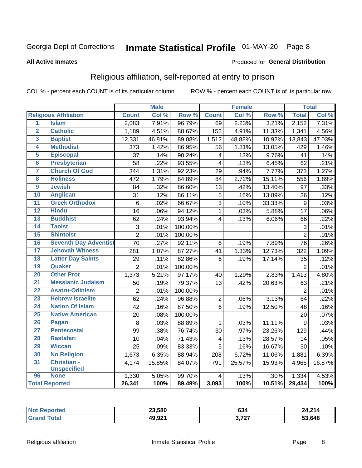# Inmate Statistical Profile 01-MAY-20 Page 8

#### **All Active Inmates**

#### Produced for General Distribution

### Religious affiliation, self-reported at entry to prison

COL % - percent each COUNT is of its particular column

|                         |                              |                 | <b>Male</b>        |         |                         | <b>Female</b> |                  |                 | <b>Total</b> |
|-------------------------|------------------------------|-----------------|--------------------|---------|-------------------------|---------------|------------------|-----------------|--------------|
|                         | <b>Religious Affiliation</b> | <b>Count</b>    | Col %              | Row %   | <b>Count</b>            | Col %         | Row <sup>%</sup> | <b>Total</b>    | Col %        |
| 1                       | <b>Islam</b>                 | 2,083           | 7.91%              | 96.79%  | 69                      | 2.23%         | 3.21%            | 2,152           | 7.31%        |
| $\overline{2}$          | <b>Catholic</b>              | 1,189           | 4.51%              | 88.67%  | 152                     | 4.91%         | 11.33%           | 1,341           | 4.56%        |
| 3                       | <b>Baptist</b>               | 12,331          | 46.81%             | 89.08%  | 1,512                   | 48.88%        | 10.92%           | 13,843          | 47.03%       |
| 4                       | <b>Methodist</b>             | 373             | 1.42%              | 86.95%  | 56                      | 1.81%         | 13.05%           | 429             | 1.46%        |
| 5                       | <b>Episcopal</b>             | 37              | .14%               | 90.24%  | $\overline{\mathbf{4}}$ | .13%          | 9.76%            | 41              | .14%         |
| $6\phantom{a}$          | <b>Presbyterian</b>          | 58              | $\overline{.22\%}$ | 93.55%  | $\overline{\mathbf{4}}$ | .13%          | 6.45%            | 62              | .21%         |
| 7                       | <b>Church Of God</b>         | 344             | 1.31%              | 92.23%  | 29                      | .94%          | 7.77%            | 373             | 1.27%        |
| $\overline{\mathbf{8}}$ | <b>Holiness</b>              | 472             | 1.79%              | 84.89%  | 84                      | 2.72%         | 15.11%           | 556             | 1.89%        |
| $\overline{9}$          | <b>Jewish</b>                | 84              | .32%               | 86.60%  | 13                      | .42%          | 13.40%           | 97              | .33%         |
| 10                      | <b>Anglican</b>              | 31              | .12%               | 86.11%  | 5                       | .16%          | 13.89%           | 36              | .12%         |
| 11                      | <b>Greek Orthodox</b>        | $\,6$           | .02%               | 66.67%  | $\overline{3}$          | .10%          | 33.33%           | 9               | .03%         |
| 12                      | <b>Hindu</b>                 | 16              | .06%               | 94.12%  | $\mathbf{1}$            | .03%          | 5.88%            | 17              | .06%         |
| 13                      | <b>Buddhist</b>              | 62              | .24%               | 93.94%  | 4                       | .13%          | 6.06%            | 66              | .22%         |
| 14                      | <b>Taoist</b>                | 3               | .01%               | 100.00% |                         |               |                  | 3               | .01%         |
| 15                      | <b>Shintoist</b>             | $\overline{2}$  | .01%               | 100.00% |                         |               |                  | $\overline{2}$  | .01%         |
| 16                      | <b>Seventh Day Adventist</b> | 70              | .27%               | 92.11%  | $6\phantom{1}6$         | .19%          | 7.89%            | 76              | .26%         |
| 17                      | <b>Jehovah Witness</b>       | 281             | 1.07%              | 87.27%  | 41                      | 1.33%         | 12.73%           | 322             | 1.09%        |
| 18                      | <b>Latter Day Saints</b>     | 29              | .11%               | 82.86%  | $6\phantom{1}$          | .19%          | 17.14%           | 35              | .12%         |
| 19                      | Quaker                       | $\overline{2}$  | .01%               | 100.00% |                         |               |                  | $\overline{2}$  | .01%         |
| $\overline{20}$         | <b>Other Prot</b>            | 1,373           | 5.21%              | 97.17%  | 40                      | 1.29%         | 2.83%            | 1,413           | 4.80%        |
| $\overline{21}$         | <b>Messianic Judaism</b>     | 50              | .19%               | 79.37%  | 13                      | .42%          | 20.63%           | 63              | .21%         |
| $\overline{22}$         | <b>Asatru-Odinism</b>        | $\overline{2}$  | .01%               | 100.00% |                         |               |                  | $\overline{2}$  | .01%         |
| 23                      | <b>Hebrew Israelite</b>      | 62              | .24%               | 96.88%  | $\overline{2}$          | .06%          | 3.13%            | 64              | .22%         |
| 24                      | <b>Nation Of Islam</b>       | 42              | .16%               | 87.50%  | 6                       | .19%          | 12.50%           | 48              | .16%         |
| 25                      | <b>Native American</b>       | 20              | .08%               | 100.00% |                         |               |                  | 20              | .07%         |
| 26                      | <b>Pagan</b>                 | 8               | .03%               | 88.89%  | $\mathbf{1}$            | .03%          | 11.11%           | 9               | .03%         |
| $\overline{27}$         | <b>Pentecostal</b>           | 99              | .38%               | 76.74%  | 30                      | .97%          | 23.26%           | 129             | .44%         |
| 28                      | <b>Rastafari</b>             | 10              | .04%               | 71.43%  | $\overline{\mathbf{4}}$ | .13%          | 28.57%           | 14              | .05%         |
| 29                      | <b>Wiccan</b>                | $\overline{25}$ | .09%               | 83.33%  | $\overline{5}$          | .16%          | 16.67%           | $\overline{30}$ | .10%         |
| 30                      | <b>No Religion</b>           | 1,673           | 6.35%              | 88.94%  | 208                     | 6.72%         | 11.06%           | 1,881           | 6.39%        |
| 31                      | Christian -                  | 4,174           | 15.85%             | 84.07%  | 791                     | 25.57%        | 15.93%           | 4,965           | 16.87%       |
|                         | <b>Unspecified</b>           |                 |                    |         |                         |               |                  |                 |              |
| 96                      | <b>None</b>                  | 1,330           | 5.05%              | 99.70%  | 4                       | .13%          | .30%             | 1,334           | 4.53%        |
|                         | <b>Total Reported</b>        | 26,341          | 100%               | 89.49%  | 3,093                   | 100%          | 10.51%           | 29,434          | 100%         |

| тес. | 23,580 | ^^<br>034      | 24.214 |
|------|--------|----------------|--------|
|      | 49,921 | דמד מ<br>J.ILI | 53.648 |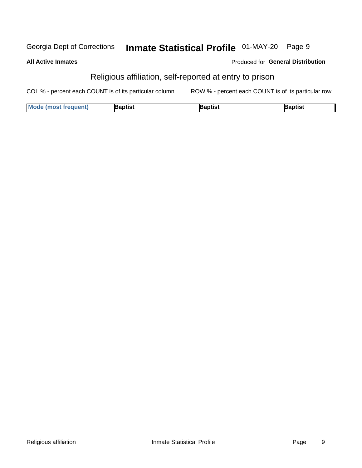#### Inmate Statistical Profile 01-MAY-20 Page 9 Georgia Dept of Corrections

#### **All Active Inmates**

### Produced for General Distribution

# Religious affiliation, self-reported at entry to prison

COL % - percent each COUNT is of its particular column ROW % - percent each COUNT is of its particular row

| <b>Mode (most frequent)</b> | Baptist | 3aptist | Baptist |
|-----------------------------|---------|---------|---------|
|-----------------------------|---------|---------|---------|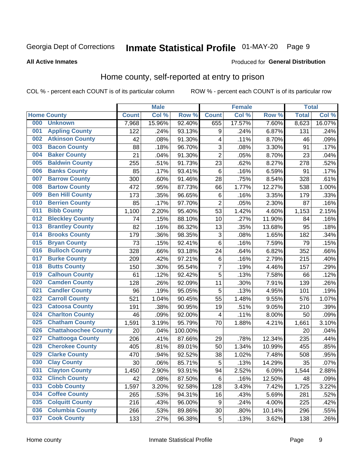# Inmate Statistical Profile 01-MAY-20 Page 9

#### **All Active Inmates**

### **Produced for General Distribution**

### Home county, self-reported at entry to prison

COL % - percent each COUNT is of its particular column

|     |                             |              | <b>Male</b> |                  |                | <b>Female</b> |        | <b>Total</b> |        |
|-----|-----------------------------|--------------|-------------|------------------|----------------|---------------|--------|--------------|--------|
|     | <b>Home County</b>          | <b>Count</b> | Col %       | Row <sup>%</sup> | <b>Count</b>   | Col %         | Row %  | <b>Total</b> | Col %  |
| 000 | <b>Unknown</b>              | 7,968        | 15.96%      | 92.40%           | 655            | 17.57%        | 7.60%  | 8,623        | 16.07% |
| 001 | <b>Appling County</b>       | 122          | .24%        | 93.13%           | 9              | .24%          | 6.87%  | 131          | .24%   |
| 002 | <b>Atkinson County</b>      | 42           | .08%        | 91.30%           | 4              | .11%          | 8.70%  | 46           | .09%   |
| 003 | <b>Bacon County</b>         | 88           | .18%        | 96.70%           | 3              | .08%          | 3.30%  | 91           | .17%   |
| 004 | <b>Baker County</b>         | 21           | .04%        | 91.30%           | $\overline{2}$ | .05%          | 8.70%  | 23           | .04%   |
| 005 | <b>Baldwin County</b>       | 255          | .51%        | 91.73%           | 23             | .62%          | 8.27%  | 278          | .52%   |
| 006 | <b>Banks County</b>         | 85           | .17%        | 93.41%           | $\,6$          | .16%          | 6.59%  | 91           | .17%   |
| 007 | <b>Barrow County</b>        | 300          | .60%        | 91.46%           | 28             | .75%          | 8.54%  | 328          | .61%   |
| 008 | <b>Bartow County</b>        | 472          | .95%        | 87.73%           | 66             | 1.77%         | 12.27% | 538          | 1.00%  |
| 009 | <b>Ben Hill County</b>      | 173          | .35%        | 96.65%           | $\,6$          | .16%          | 3.35%  | 179          | .33%   |
| 010 | <b>Berrien County</b>       | 85           | .17%        | 97.70%           | $\overline{c}$ | .05%          | 2.30%  | 87           | .16%   |
| 011 | <b>Bibb County</b>          | 1,100        | 2.20%       | 95.40%           | 53             | 1.42%         | 4.60%  | 1,153        | 2.15%  |
| 012 | <b>Bleckley County</b>      | 74           | .15%        | 88.10%           | 10             | .27%          | 11.90% | 84           | .16%   |
| 013 | <b>Brantley County</b>      | 82           | .16%        | 86.32%           | 13             | .35%          | 13.68% | 95           | .18%   |
| 014 | <b>Brooks County</b>        | 179          | .36%        | 98.35%           | $\mathbf{3}$   | .08%          | 1.65%  | 182          | .34%   |
| 015 | <b>Bryan County</b>         | 73           | .15%        | 92.41%           | $\,6$          | .16%          | 7.59%  | 79           | .15%   |
| 016 | <b>Bulloch County</b>       | 328          | .66%        | 93.18%           | 24             | .64%          | 6.82%  | 352          | .66%   |
| 017 | <b>Burke County</b>         | 209          | .42%        | 97.21%           | $\,6$          | .16%          | 2.79%  | 215          | .40%   |
| 018 | <b>Butts County</b>         | 150          | .30%        | 95.54%           | $\overline{7}$ | .19%          | 4.46%  | 157          | .29%   |
| 019 | <b>Calhoun County</b>       | 61           | .12%        | 92.42%           | 5              | .13%          | 7.58%  | 66           | .12%   |
| 020 | <b>Camden County</b>        | 128          | .26%        | 92.09%           | 11             | .30%          | 7.91%  | 139          | .26%   |
| 021 | <b>Candler County</b>       | 96           | .19%        | 95.05%           | 5              | .13%          | 4.95%  | 101          | .19%   |
| 022 | <b>Carroll County</b>       | 521          | 1.04%       | 90.45%           | 55             | 1.48%         | 9.55%  | 576          | 1.07%  |
| 023 | <b>Catoosa County</b>       | 191          | .38%        | 90.95%           | 19             | .51%          | 9.05%  | 210          | .39%   |
| 024 | <b>Charlton County</b>      | 46           | .09%        | 92.00%           | 4              | .11%          | 8.00%  | 50           | .09%   |
| 025 | <b>Chatham County</b>       | 1,591        | 3.19%       | 95.79%           | 70             | 1.88%         | 4.21%  | 1,661        | 3.10%  |
| 026 | <b>Chattahoochee County</b> | 20           | .04%        | 100.00%          |                |               |        | 20           | .04%   |
| 027 | <b>Chattooga County</b>     | 206          | .41%        | 87.66%           | 29             | .78%          | 12.34% | 235          | .44%   |
| 028 | <b>Cherokee County</b>      | 405          | .81%        | 89.01%           | 50             | 1.34%         | 10.99% | 455          | .85%   |
| 029 | <b>Clarke County</b>        | 470          | .94%        | 92.52%           | 38             | 1.02%         | 7.48%  | 508          | .95%   |
| 030 | <b>Clay County</b>          | 30           | .06%        | 85.71%           | 5              | .13%          | 14.29% | 35           | .07%   |
| 031 | <b>Clayton County</b>       | 1,450        | 2.90%       | 93.91%           | 94             | 2.52%         | 6.09%  | 1,544        | 2.88%  |
| 032 | <b>Clinch County</b>        | 42           | .08%        | 87.50%           | 6              | .16%          | 12.50% | 48           | .09%   |
| 033 | <b>Cobb County</b>          | 1,597        | 3.20%       | 92.58%           | 128            | 3.43%         | 7.42%  | 1,725        | 3.22%  |
| 034 | <b>Coffee County</b>        | 265          | .53%        | 94.31%           | 16             | .43%          | 5.69%  | 281          | .52%   |
| 035 | <b>Colquitt County</b>      | 216          | .43%        | 96.00%           | 9              | .24%          | 4.00%  | 225          | .42%   |
| 036 | <b>Columbia County</b>      | 266          | .53%        | 89.86%           | 30             | .80%          | 10.14% | 296          | .55%   |
| 037 | <b>Cook County</b>          | 133          | .27%        | 96.38%           | 5              | .13%          | 3.62%  | 138          | .26%   |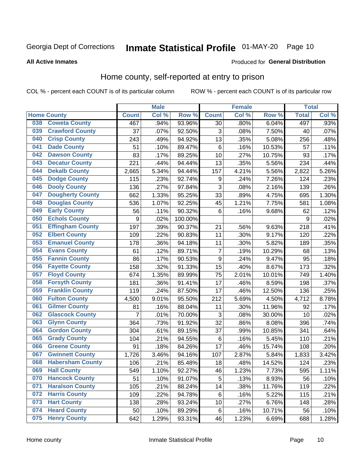# Inmate Statistical Profile 01-MAY-20 Page 10

#### **All Active Inmates**

#### Produced for General Distribution

### Home county, self-reported at entry to prison

COL % - percent each COUNT is of its particular column

|     |                         |              | <b>Male</b> |         |                  | <b>Female</b> |        | <b>Total</b> |       |
|-----|-------------------------|--------------|-------------|---------|------------------|---------------|--------|--------------|-------|
|     | <b>Home County</b>      | <b>Count</b> | Col %       | Row %   | <b>Count</b>     | Col %         | Row %  | <b>Total</b> | Col % |
| 038 | <b>Coweta County</b>    | 467          | .94%        | 93.96%  | 30               | .80%          | 6.04%  | 497          | .93%  |
| 039 | <b>Crawford County</b>  | 37           | .07%        | 92.50%  | 3                | .08%          | 7.50%  | 40           | .07%  |
| 040 | <b>Crisp County</b>     | 243          | .49%        | 94.92%  | 13               | .35%          | 5.08%  | 256          | .48%  |
| 041 | <b>Dade County</b>      | 51           | .10%        | 89.47%  | $\,6$            | .16%          | 10.53% | 57           | .11%  |
| 042 | <b>Dawson County</b>    | 83           | .17%        | 89.25%  | 10               | .27%          | 10.75% | 93           | .17%  |
| 043 | <b>Decatur County</b>   | 221          | .44%        | 94.44%  | 13               | .35%          | 5.56%  | 234          | .44%  |
| 044 | <b>Dekalb County</b>    | 2,665        | 5.34%       | 94.44%  | 157              | 4.21%         | 5.56%  | 2,822        | 5.26% |
| 045 | <b>Dodge County</b>     | 115          | .23%        | 92.74%  | 9                | .24%          | 7.26%  | 124          | .23%  |
| 046 | <b>Dooly County</b>     | 136          | .27%        | 97.84%  | 3                | .08%          | 2.16%  | 139          | .26%  |
| 047 | <b>Dougherty County</b> | 662          | 1.33%       | 95.25%  | 33               | .89%          | 4.75%  | 695          | 1.30% |
| 048 | <b>Douglas County</b>   | 536          | 1.07%       | 92.25%  | 45               | 1.21%         | 7.75%  | 581          | 1.08% |
| 049 | <b>Early County</b>     | 56           | .11%        | 90.32%  | $6\phantom{1}6$  | .16%          | 9.68%  | 62           | .12%  |
| 050 | <b>Echols County</b>    | 9            | .02%        | 100.00% |                  |               |        | 9            | .02%  |
| 051 | <b>Effingham County</b> | 197          | .39%        | 90.37%  | 21               | .56%          | 9.63%  | 218          | .41%  |
| 052 | <b>Elbert County</b>    | 109          | .22%        | 90.83%  | 11               | .30%          | 9.17%  | 120          | .22%  |
| 053 | <b>Emanuel County</b>   | 178          | .36%        | 94.18%  | 11               | .30%          | 5.82%  | 189          | .35%  |
| 054 | <b>Evans County</b>     | 61           | .12%        | 89.71%  | $\overline{7}$   | .19%          | 10.29% | 68           | .13%  |
| 055 | <b>Fannin County</b>    | 86           | .17%        | 90.53%  | $\boldsymbol{9}$ | .24%          | 9.47%  | 95           | .18%  |
| 056 | <b>Fayette County</b>   | 158          | .32%        | 91.33%  | 15               | .40%          | 8.67%  | 173          | .32%  |
| 057 | <b>Floyd County</b>     | 674          | 1.35%       | 89.99%  | 75               | 2.01%         | 10.01% | 749          | 1.40% |
| 058 | <b>Forsyth County</b>   | 181          | .36%        | 91.41%  | 17               | .46%          | 8.59%  | 198          | .37%  |
| 059 | <b>Franklin County</b>  | 119          | .24%        | 87.50%  | 17               | .46%          | 12.50% | 136          | .25%  |
| 060 | <b>Fulton County</b>    | 4,500        | 9.01%       | 95.50%  | 212              | 5.69%         | 4.50%  | 4,712        | 8.78% |
| 061 | <b>Gilmer County</b>    | 81           | .16%        | 88.04%  | 11               | .30%          | 11.96% | 92           | .17%  |
| 062 | <b>Glascock County</b>  | 7            | .01%        | 70.00%  | 3                | .08%          | 30.00% | 10           | .02%  |
| 063 | <b>Glynn County</b>     | 364          | .73%        | 91.92%  | 32               | .86%          | 8.08%  | 396          | .74%  |
| 064 | <b>Gordon County</b>    | 304          | .61%        | 89.15%  | 37               | .99%          | 10.85% | 341          | .64%  |
| 065 | <b>Grady County</b>     | 104          | .21%        | 94.55%  | 6                | .16%          | 5.45%  | 110          | .21%  |
| 066 | <b>Greene County</b>    | 91           | .18%        | 84.26%  | 17               | .46%          | 15.74% | 108          | .20%  |
| 067 | <b>Gwinnett County</b>  | 1,726        | 3.46%       | 94.16%  | 107              | 2.87%         | 5.84%  | 1,833        | 3.42% |
| 068 | <b>Habersham County</b> | 106          | .21%        | 85.48%  | 18               | .48%          | 14.52% | 124          | .23%  |
| 069 | <b>Hall County</b>      | 549          | 1.10%       | 92.27%  | 46               | 1.23%         | 7.73%  | 595          | 1.11% |
| 070 | <b>Hancock County</b>   | 51           | .10%        | 91.07%  | 5                | .13%          | 8.93%  | 56           | .10%  |
| 071 | <b>Haralson County</b>  | 105          | .21%        | 88.24%  | 14               | .38%          | 11.76% | 119          | .22%  |
| 072 | <b>Harris County</b>    | 109          | .22%        | 94.78%  | $\,6$            | .16%          | 5.22%  | 115          | .21%  |
| 073 | <b>Hart County</b>      | 138          | .28%        | 93.24%  | 10               | .27%          | 6.76%  | 148          | .28%  |
| 074 | <b>Heard County</b>     | 50           | .10%        | 89.29%  | $\,6$            | .16%          | 10.71% | 56           | .10%  |
| 075 | <b>Henry County</b>     | 642          | 1.29%       | 93.31%  | 46               | 1.23%         | 6.69%  | 688          | 1.28% |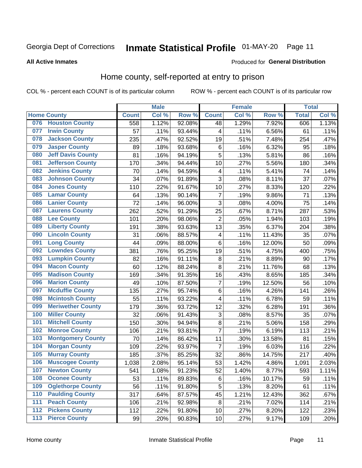# Inmate Statistical Profile 01-MAY-20 Page 11

#### **All Active Inmates**

### Produced for General Distribution

### Home county, self-reported at entry to prison

COL % - percent each COUNT is of its particular column

|                  |                          |              | <b>Male</b> |                  |                         | <b>Female</b> |        | <b>Total</b> |       |
|------------------|--------------------------|--------------|-------------|------------------|-------------------------|---------------|--------|--------------|-------|
|                  | <b>Home County</b>       | <b>Count</b> | Col %       | Row <sup>%</sup> | <b>Count</b>            | Col %         | Row %  | <b>Total</b> | Col % |
| 076              | <b>Houston County</b>    | 558          | 1.12%       | 92.08%           | 48                      | 1.29%         | 7.92%  | 606          | 1.13% |
| 077              | <b>Irwin County</b>      | 57           | .11%        | 93.44%           | 4                       | .11%          | 6.56%  | 61           | .11%  |
| 078              | <b>Jackson County</b>    | 235          | .47%        | 92.52%           | 19                      | .51%          | 7.48%  | 254          | .47%  |
| 079              | <b>Jasper County</b>     | 89           | .18%        | 93.68%           | 6                       | .16%          | 6.32%  | 95           | .18%  |
| 080              | <b>Jeff Davis County</b> | 81           | .16%        | 94.19%           | 5                       | .13%          | 5.81%  | 86           | .16%  |
| 081              | <b>Jefferson County</b>  | 170          | .34%        | 94.44%           | 10                      | .27%          | 5.56%  | 180          | .34%  |
| 082              | <b>Jenkins County</b>    | 70           | .14%        | 94.59%           | 4                       | .11%          | 5.41%  | 74           | .14%  |
| 083              | <b>Johnson County</b>    | 34           | .07%        | 91.89%           | 3                       | .08%          | 8.11%  | 37           | .07%  |
| 084              | <b>Jones County</b>      | 110          | .22%        | 91.67%           | 10                      | .27%          | 8.33%  | 120          | .22%  |
| 085              | <b>Lamar County</b>      | 64           | .13%        | 90.14%           | $\overline{7}$          | .19%          | 9.86%  | 71           | .13%  |
| 086              | <b>Lanier County</b>     | 72           | .14%        | 96.00%           | 3                       | .08%          | 4.00%  | 75           | .14%  |
| 087              | <b>Laurens County</b>    | 262          | .52%        | 91.29%           | 25                      | .67%          | 8.71%  | 287          | .53%  |
| 088              | <b>Lee County</b>        | 101          | .20%        | 98.06%           | $\overline{2}$          | .05%          | 1.94%  | 103          | .19%  |
| 089              | <b>Liberty County</b>    | 191          | .38%        | 93.63%           | 13                      | .35%          | 6.37%  | 204          | .38%  |
| 090              | <b>Lincoln County</b>    | 31           | .06%        | 88.57%           | $\overline{\mathbf{4}}$ | .11%          | 11.43% | 35           | .07%  |
| 091              | <b>Long County</b>       | 44           | .09%        | 88.00%           | 6                       | .16%          | 12.00% | 50           | .09%  |
| 092              | <b>Lowndes County</b>    | 381          | .76%        | 95.25%           | 19                      | .51%          | 4.75%  | 400          | .75%  |
| 093              | <b>Lumpkin County</b>    | 82           | .16%        | 91.11%           | $\bf 8$                 | .21%          | 8.89%  | 90           | .17%  |
| 094              | <b>Macon County</b>      | 60           | .12%        | 88.24%           | 8                       | .21%          | 11.76% | 68           | .13%  |
| 095              | <b>Madison County</b>    | 169          | .34%        | 91.35%           | 16                      | .43%          | 8.65%  | 185          | .34%  |
| 096              | <b>Marion County</b>     | 49           | .10%        | 87.50%           | 7                       | .19%          | 12.50% | 56           | .10%  |
| 097              | <b>Mcduffie County</b>   | 135          | .27%        | 95.74%           | 6                       | .16%          | 4.26%  | 141          | .26%  |
| 098              | <b>Mcintosh County</b>   | 55           | .11%        | 93.22%           | $\overline{\mathbf{4}}$ | .11%          | 6.78%  | 59           | .11%  |
| 099              | <b>Meriwether County</b> | 179          | .36%        | 93.72%           | 12                      | .32%          | 6.28%  | 191          | .36%  |
| 100              | <b>Miller County</b>     | 32           | .06%        | 91.43%           | 3                       | .08%          | 8.57%  | 35           | .07%  |
| 101              | <b>Mitchell County</b>   | 150          | .30%        | 94.94%           | 8                       | .21%          | 5.06%  | 158          | .29%  |
| 102              | <b>Monroe County</b>     | 106          | .21%        | 93.81%           | $\overline{7}$          | .19%          | 6.19%  | 113          | .21%  |
| 103              | <b>Montgomery County</b> | 70           | .14%        | 86.42%           | 11                      | .30%          | 13.58% | 81           | .15%  |
| 104              | <b>Morgan County</b>     | 109          | .22%        | 93.97%           | $\overline{7}$          | .19%          | 6.03%  | 116          | .22%  |
| 105              | <b>Murray County</b>     | 185          | .37%        | 85.25%           | 32                      | .86%          | 14.75% | 217          | .40%  |
| 106              | <b>Muscogee County</b>   | 1,038        | 2.08%       | 95.14%           | 53                      | 1.42%         | 4.86%  | 1,091        | 2.03% |
| 107              | <b>Newton County</b>     | 541          | 1.08%       | 91.23%           | 52                      | 1.40%         | 8.77%  | 593          | 1.11% |
| 108              | <b>Oconee County</b>     | 53           | .11%        | 89.83%           | 6                       | .16%          | 10.17% | 59           | .11%  |
| 109              | <b>Oglethorpe County</b> | 56           | .11%        | 91.80%           | 5                       | .13%          | 8.20%  | 61           | .11%  |
| 110              | <b>Paulding County</b>   | 317          | .64%        | 87.57%           | 45                      | 1.21%         | 12.43% | 362          | .67%  |
| 111              | <b>Peach County</b>      | 106          | .21%        | 92.98%           | 8                       | .21%          | 7.02%  | 114          | .21%  |
| $\overline{112}$ | <b>Pickens County</b>    | 112          | .22%        | 91.80%           | 10                      | .27%          | 8.20%  | 122          | .23%  |
| 113              | <b>Pierce County</b>     | 99           | .20%        | 90.83%           | 10                      | .27%          | 9.17%  | 109          | .20%  |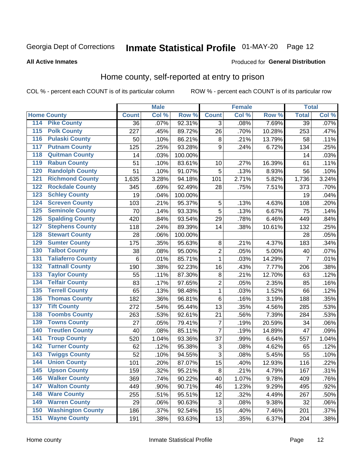# Inmate Statistical Profile 01-MAY-20 Page 12

#### **All Active Inmates**

#### Produced for General Distribution

### Home county, self-reported at entry to prison

COL % - percent each COUNT is of its particular column

|                  |                          |              | <b>Male</b> |                  |                | <b>Female</b> |        | <b>Total</b>    |       |
|------------------|--------------------------|--------------|-------------|------------------|----------------|---------------|--------|-----------------|-------|
|                  | <b>Home County</b>       | <b>Count</b> | Col %       | Row <sup>%</sup> | <b>Count</b>   | Col %         | Row %  | <b>Total</b>    | Col % |
| 114              | <b>Pike County</b>       | 36           | .07%        | 92.31%           | 3              | .08%          | 7.69%  | $\overline{39}$ | .07%  |
| 115              | <b>Polk County</b>       | 227          | .45%        | 89.72%           | 26             | .70%          | 10.28% | 253             | .47%  |
| 116              | <b>Pulaski County</b>    | 50           | .10%        | 86.21%           | $\bf 8$        | .21%          | 13.79% | 58              | .11%  |
| 117              | <b>Putnam County</b>     | 125          | .25%        | 93.28%           | 9              | .24%          | 6.72%  | 134             | .25%  |
| 118              | <b>Quitman County</b>    | 14           | .03%        | 100.00%          |                |               |        | 14              | .03%  |
| 119              | <b>Rabun County</b>      | 51           | .10%        | 83.61%           | 10             | .27%          | 16.39% | 61              | .11%  |
| 120              | <b>Randolph County</b>   | 51           | .10%        | 91.07%           | 5              | .13%          | 8.93%  | 56              | .10%  |
| 121              | <b>Richmond County</b>   | 1,635        | 3.28%       | 94.18%           | 101            | 2.71%         | 5.82%  | 1,736           | 3.24% |
| 122              | <b>Rockdale County</b>   | 345          | .69%        | 92.49%           | 28             | .75%          | 7.51%  | 373             | .70%  |
| 123              | <b>Schley County</b>     | 19           | .04%        | 100.00%          |                |               |        | 19              | .04%  |
| 124              | <b>Screven County</b>    | 103          | .21%        | 95.37%           | 5              | .13%          | 4.63%  | 108             | .20%  |
| 125              | <b>Seminole County</b>   | 70           | .14%        | 93.33%           | 5              | .13%          | 6.67%  | 75              | .14%  |
| 126              | <b>Spalding County</b>   | 420          | .84%        | 93.54%           | 29             | .78%          | 6.46%  | 449             | .84%  |
| 127              | <b>Stephens County</b>   | 118          | .24%        | 89.39%           | 14             | .38%          | 10.61% | 132             | .25%  |
| 128              | <b>Stewart County</b>    | 28           | .06%        | 100.00%          |                |               |        | 28              | .05%  |
| 129              | <b>Sumter County</b>     | 175          | .35%        | 95.63%           | 8              | .21%          | 4.37%  | 183             | .34%  |
| 130              | <b>Talbot County</b>     | 38           | .08%        | 95.00%           | $\overline{2}$ | .05%          | 5.00%  | 40              | .07%  |
| 131              | <b>Taliaferro County</b> | $\,6$        | .01%        | 85.71%           | $\mathbf{1}$   | .03%          | 14.29% | $\overline{7}$  | .01%  |
| 132              | <b>Tattnall County</b>   | 190          | .38%        | 92.23%           | 16             | .43%          | 7.77%  | 206             | .38%  |
| 133              | <b>Taylor County</b>     | 55           | .11%        | 87.30%           | 8              | .21%          | 12.70% | 63              | .12%  |
| 134              | <b>Telfair County</b>    | 83           | .17%        | 97.65%           | $\overline{2}$ | .05%          | 2.35%  | 85              | .16%  |
| $\overline{135}$ | <b>Terrell County</b>    | 65           | .13%        | 98.48%           | $\mathbf{1}$   | .03%          | 1.52%  | 66              | .12%  |
| 136              | <b>Thomas County</b>     | 182          | .36%        | 96.81%           | $\,6$          | .16%          | 3.19%  | 188             | .35%  |
| 137              | <b>Tift County</b>       | 272          | .54%        | 95.44%           | 13             | .35%          | 4.56%  | 285             | .53%  |
| 138              | <b>Toombs County</b>     | 263          | .53%        | 92.61%           | 21             | .56%          | 7.39%  | 284             | .53%  |
| 139              | <b>Towns County</b>      | 27           | .05%        | 79.41%           | $\overline{7}$ | .19%          | 20.59% | 34              | .06%  |
| 140              | <b>Treutlen County</b>   | 40           | .08%        | 85.11%           | 7              | .19%          | 14.89% | 47              | .09%  |
| 141              | <b>Troup County</b>      | 520          | 1.04%       | 93.36%           | 37             | .99%          | 6.64%  | 557             | 1.04% |
| $\overline{142}$ | <b>Turner County</b>     | 62           | .12%        | 95.38%           | 3              | .08%          | 4.62%  | 65              | .12%  |
| 143              | <b>Twiggs County</b>     | 52           | .10%        | 94.55%           | 3              | .08%          | 5.45%  | 55              | .10%  |
| 144              | <b>Union County</b>      | 101          | .20%        | 87.07%           | 15             | .40%          | 12.93% | 116             | .22%  |
| 145              | <b>Upson County</b>      | 159          | .32%        | 95.21%           | $\bf 8$        | .21%          | 4.79%  | 167             | .31%  |
| 146              | <b>Walker County</b>     | 369          | .74%        | 90.22%           | 40             | 1.07%         | 9.78%  | 409             | .76%  |
| 147              | <b>Walton County</b>     | 449          | .90%        | 90.71%           | 46             | 1.23%         | 9.29%  | 495             | .92%  |
| 148              | <b>Ware County</b>       | 255          | .51%        | 95.51%           | 12             | .32%          | 4.49%  | 267             | .50%  |
| 149              | <b>Warren County</b>     | 29           | .06%        | 90.63%           | $\sqrt{3}$     | .08%          | 9.38%  | 32              | .06%  |
| 150              | <b>Washington County</b> | 186          | .37%        | 92.54%           | 15             | .40%          | 7.46%  | 201             | .37%  |
| 151              | <b>Wayne County</b>      | 191          | .38%        | 93.63%           | 13             | .35%          | 6.37%  | 204             | .38%  |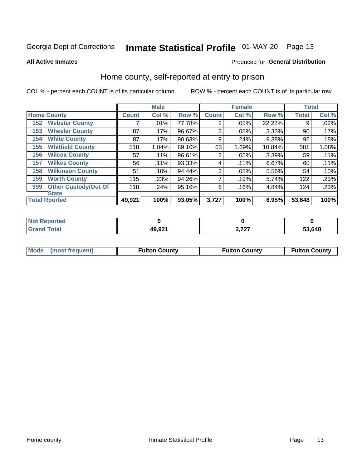# Inmate Statistical Profile 01-MAY-20 Page 13

**All Active Inmates** 

#### Produced for General Distribution

### Home county, self-reported at entry to prison

COL % - percent each COUNT is of its particular column

|     |                             |              | <b>Male</b> |        |                | <b>Female</b> |        | <b>Total</b> |       |
|-----|-----------------------------|--------------|-------------|--------|----------------|---------------|--------|--------------|-------|
|     | <b>Home County</b>          | <b>Count</b> | Col %       | Row %  | <b>Count</b>   | Col %         | Row %  | <b>Total</b> | Col % |
| 152 | <b>Webster County</b>       | ⇁            | .01%        | 77.78% | $\overline{2}$ | .05%          | 22.22% | 9            | .02%  |
| 153 | <b>Wheeler County</b>       | 87           | $.17\%$     | 96.67% | 3              | .08%          | 3.33%  | 90           | .17%  |
| 154 | <b>White County</b>         | 87           | $.17\%$     | 90.63% | 9              | .24%          | 9.38%  | 96           | .18%  |
| 155 | <b>Whitfield County</b>     | 518          | 1.04%       | 89.16% | 63             | 1.69%         | 10.84% | 581          | 1.08% |
| 156 | <b>Wilcox County</b>        | 57           | .11%        | 96.61% | $\overline{2}$ | .05%          | 3.39%  | 59           | .11%  |
| 157 | <b>Wilkes County</b>        | 56           | .11%        | 93.33% | 4              | .11%          | 6.67%  | 60           | .11%  |
| 158 | <b>Wilkinson County</b>     | 51           | .10%        | 94.44% | 3              | .08%          | 5.56%  | 54           | .10%  |
| 159 | <b>Worth County</b>         | 115          | .23%        | 94.26% | 7              | .19%          | 5.74%  | 122          | .23%  |
| 999 | <b>Other Custody/Out Of</b> | 118          | .24%        | 95.16% | 6              | .16%          | 4.84%  | 124          | .23%  |
|     | <b>State</b>                |              |             |        |                |               |        |              |       |
|     | <b>Total Rported</b>        | 49,921       | 100%        | 93.05% | 3,727          | 100%          | 6.95%  | 53,648       | 100%  |

| 'Not<br><b>Reported</b> |        |     |        |
|-------------------------|--------|-----|--------|
| <b>Total</b>            | 49,921 | 272 | 53,648 |

|  | Mode (most frequent) | <b>Fulton County</b> | <b>Fulton County</b> | <b>Fulton County</b> |
|--|----------------------|----------------------|----------------------|----------------------|
|--|----------------------|----------------------|----------------------|----------------------|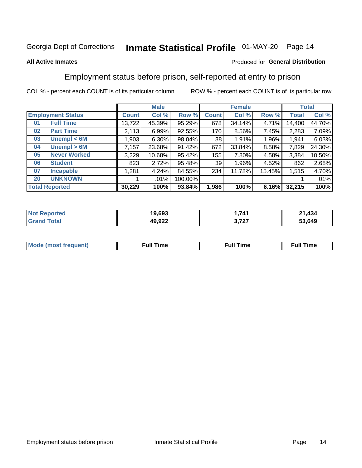# Inmate Statistical Profile 01-MAY-20 Page 14

#### **All Active Inmates**

### Produced for General Distribution

### Employment status before prison, self-reported at entry to prison

COL % - percent each COUNT is of its particular column

|                           | <b>Male</b> |          |         |              | <b>Female</b> | <b>Total</b> |        |        |
|---------------------------|-------------|----------|---------|--------------|---------------|--------------|--------|--------|
| <b>Employment Status</b>  | Count l     | Col %    | Row %   | <b>Count</b> | Col %         | Row %        | Total  | Col %  |
| <b>Full Time</b><br>01    | 13,722      | 45.39%   | 95.29%  | 678          | 34.14%        | 4.71%        | 14,400 | 44.70% |
| <b>Part Time</b><br>02    | 2,113       | 6.99%    | 92.55%  | 170          | 8.56%         | 7.45%        | 2,283  | 7.09%  |
| Unempl $<$ 6M<br>03       | ∣ 903. ا    | $6.30\%$ | 98.04%  | 38           | 1.91%         | 1.96%        | 1,941  | 6.03%  |
| Unempl > 6M<br>04         | 7,157       | 23.68%   | 91.42%  | 672          | 33.84%        | 8.58%        | 7,829  | 24.30% |
| <b>Never Worked</b><br>05 | 3,229       | 10.68%   | 95.42%  | 155          | 7.80%         | 4.58%        | 3,384  | 10.50% |
| <b>Student</b><br>06      | 823         | 2.72%    | 95.48%  | 39           | 1.96%         | 4.52%        | 862    | 2.68%  |
| <b>Incapable</b><br>07    | 1,281       | 4.24%    | 84.55%  | 234          | 11.78%        | 15.45%       | 1,515  | 4.70%  |
| <b>UNKNOWN</b><br>20      |             | $.01\%$  | 100.00% |              |               |              |        | .01%   |
| <b>Total Reported</b>     | 30,229      | 100%     | 93.84%  | 1,986        | 100%          | 6.16%        | 32,215 | 100%   |

| <b>Not Reported</b> | 19,693 | 741. ا          | 1,434<br>ີ |
|---------------------|--------|-----------------|------------|
| <b>Grand Total</b>  | 49,922 | דמד נ<br>J.I 41 | 53,649     |

| <b>Mode (most frequent)</b> | $^{\prime\prime}$ Time | <b>Time</b><br>rull i |
|-----------------------------|------------------------|-----------------------|
|                             |                        |                       |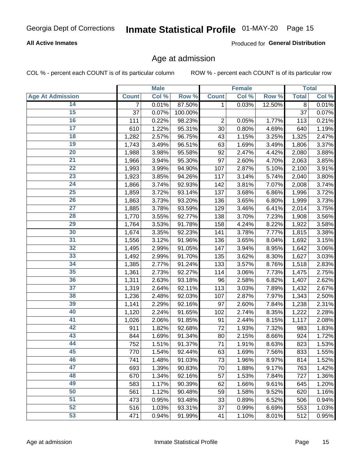### **All Active Inmates**

Produced for General Distribution

### Age at admission

COL % - percent each COUNT is of its particular column

|                         |                | <b>Male</b> |         |              | <b>Female</b> |        |              | <b>Total</b> |
|-------------------------|----------------|-------------|---------|--------------|---------------|--------|--------------|--------------|
| <b>Age At Admission</b> | <b>Count</b>   | Col %       | Row %   | <b>Count</b> | Col %         | Row %  | <b>Total</b> | Col %        |
| 14                      | $\overline{7}$ | 0.01%       | 87.50%  | 1            | 0.03%         | 12.50% | 8            | 0.01%        |
| 15                      | 37             | 0.07%       | 100.00% |              |               |        | 37           | 0.07%        |
| 16                      | 111            | 0.22%       | 98.23%  | $\mathbf 2$  | 0.05%         | 1.77%  | 113          | 0.21%        |
| $\overline{17}$         | 610            | 1.22%       | 95.31%  | 30           | 0.80%         | 4.69%  | 640          | 1.19%        |
| $\overline{18}$         | 1,282          | 2.57%       | 96.75%  | 43           | 1.15%         | 3.25%  | 1,325        | 2.47%        |
| 19                      | 1,743          | 3.49%       | 96.51%  | 63           | 1.69%         | 3.49%  | 1,806        | 3.37%        |
| 20                      | 1,988          | 3.98%       | 95.58%  | 92           | 2.47%         | 4.42%  | 2,080        | 3.88%        |
| $\overline{21}$         | 1,966          | 3.94%       | 95.30%  | 97           | 2.60%         | 4.70%  | 2,063        | 3.85%        |
| $\overline{22}$         | 1,993          | 3.99%       | 94.90%  | 107          | 2.87%         | 5.10%  | 2,100        | 3.91%        |
| 23                      | 1,923          | 3.85%       | 94.26%  | 117          | 3.14%         | 5.74%  | 2,040        | 3.80%        |
| 24                      | 1,866          | 3.74%       | 92.93%  | 142          | 3.81%         | 7.07%  | 2,008        | 3.74%        |
| $\overline{25}$         | 1,859          | 3.72%       | 93.14%  | 137          | 3.68%         | 6.86%  | 1,996        | 3.72%        |
| 26                      | 1,863          | 3.73%       | 93.20%  | 136          | 3.65%         | 6.80%  | 1,999        | 3.73%        |
| $\overline{27}$         | 1,885          | 3.78%       | 93.59%  | 129          | 3.46%         | 6.41%  | 2,014        | 3.75%        |
| 28                      | 1,770          | 3.55%       | 92.77%  | 138          | 3.70%         | 7.23%  | 1,908        | 3.56%        |
| 29                      | 1,764          | 3.53%       | 91.78%  | 158          | 4.24%         | 8.22%  | 1,922        | 3.58%        |
| 30                      | 1,674          | 3.35%       | 92.23%  | 141          | 3.78%         | 7.77%  | 1,815        | 3.38%        |
| 31                      | 1,556          | 3.12%       | 91.96%  | 136          | 3.65%         | 8.04%  | 1,692        | 3.15%        |
| 32                      | 1,495          | 2.99%       | 91.05%  | 147          | 3.94%         | 8.95%  | 1,642        | 3.06%        |
| 33                      | 1,492          | 2.99%       | 91.70%  | 135          | 3.62%         | 8.30%  | 1,627        | 3.03%        |
| 34                      | 1,385          | 2.77%       | 91.24%  | 133          | 3.57%         | 8.76%  | 1,518        | 2.83%        |
| 35                      | 1,361          | 2.73%       | 92.27%  | 114          | 3.06%         | 7.73%  | 1,475        | 2.75%        |
| 36                      | 1,311          | 2.63%       | 93.18%  | 96           | 2.58%         | 6.82%  | 1,407        | 2.62%        |
| $\overline{37}$         | 1,319          | 2.64%       | 92.11%  | 113          | 3.03%         | 7.89%  | 1,432        | 2.67%        |
| 38                      | 1,236          | 2.48%       | 92.03%  | 107          | 2.87%         | 7.97%  | 1,343        | 2.50%        |
| 39                      | 1,141          | 2.29%       | 92.16%  | 97           | 2.60%         | 7.84%  | 1,238        | 2.31%        |
| 40                      | 1,120          | 2.24%       | 91.65%  | 102          | 2.74%         | 8.35%  | 1,222        | 2.28%        |
| 41                      | 1,026          | 2.06%       | 91.85%  | 91           | 2.44%         | 8.15%  | 1,117        | 2.08%        |
| 42                      | 911            | 1.82%       | 92.68%  | 72           | 1.93%         | 7.32%  | 983          | 1.83%        |
| 43                      | 844            | 1.69%       | 91.34%  | 80           | 2.15%         | 8.66%  | 924          | 1.72%        |
| 44                      | 752            | 1.51%       | 91.37%  | 71           | 1.91%         | 8.63%  | 823          | 1.53%        |
| 45                      | 770            | 1.54%       | 92.44%  | 63           | 1.69%         | 7.56%  | 833          | 1.55%        |
| 46                      | 741            | 1.48%       | 91.03%  | 73           | 1.96%         | 8.97%  | 814          | 1.52%        |
| 47                      | 693            | 1.39%       | 90.83%  | 70           | 1.88%         | 9.17%  | 763          | 1.42%        |
| 48                      | 670            | 1.34%       | 92.16%  | 57           | 1.53%         | 7.84%  | 727          | 1.36%        |
| 49                      | 583            | 1.17%       | 90.39%  | 62           | 1.66%         | 9.61%  | 645          | 1.20%        |
| 50                      | 561            | 1.12%       | 90.48%  | 59           | 1.58%         | 9.52%  | 620          | 1.16%        |
| 51                      | 473            | 0.95%       | 93.48%  | 33           | 0.89%         | 6.52%  | 506          | 0.94%        |
| 52                      | 516            | 1.03%       | 93.31%  | 37           | 0.99%         | 6.69%  | 553          | 1.03%        |
| 53                      | 471            | 0.94%       | 91.99%  | 41           | 1.10%         | 8.01%  | 512          | 0.95%        |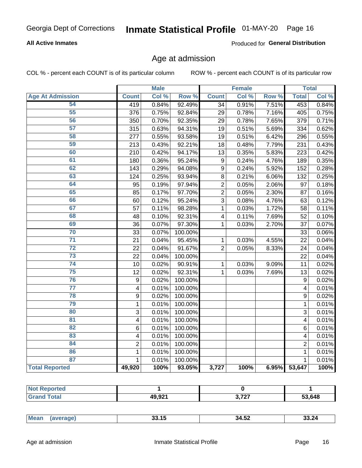### **All Active Inmates**

Produced for General Distribution

### Age at admission

COL % - percent each COUNT is of its particular column

|                         |                         | <b>Male</b> |         |                  | <b>Female</b> |       |                         | <b>Total</b> |
|-------------------------|-------------------------|-------------|---------|------------------|---------------|-------|-------------------------|--------------|
| <b>Age At Admission</b> | <b>Count</b>            | Col %       | Row %   | <b>Count</b>     | Col %         | Row % | <b>Total</b>            | Col %        |
| 54                      | 419                     | 0.84%       | 92.49%  | 34               | 0.91%         | 7.51% | 453                     | 0.84%        |
| $\overline{55}$         | 376                     | 0.75%       | 92.84%  | 29               | 0.78%         | 7.16% | 405                     | 0.75%        |
| 56                      | 350                     | 0.70%       | 92.35%  | 29               | 0.78%         | 7.65% | 379                     | 0.71%        |
| $\overline{57}$         | 315                     | 0.63%       | 94.31%  | 19               | 0.51%         | 5.69% | 334                     | 0.62%        |
| 58                      | 277                     | 0.55%       | 93.58%  | 19               | 0.51%         | 6.42% | 296                     | 0.55%        |
| 59                      | 213                     | 0.43%       | 92.21%  | 18               | 0.48%         | 7.79% | 231                     | 0.43%        |
| 60                      | 210                     | 0.42%       | 94.17%  | 13               | 0.35%         | 5.83% | 223                     | 0.42%        |
| 61                      | 180                     | 0.36%       | 95.24%  | 9                | 0.24%         | 4.76% | 189                     | 0.35%        |
| 62                      | 143                     | 0.29%       | 94.08%  | $\boldsymbol{9}$ | 0.24%         | 5.92% | 152                     | 0.28%        |
| 63                      | 124                     | 0.25%       | 93.94%  | 8                | 0.21%         | 6.06% | 132                     | 0.25%        |
| 64                      | 95                      | 0.19%       | 97.94%  | $\overline{2}$   | 0.05%         | 2.06% | 97                      | 0.18%        |
| 65                      | 85                      | 0.17%       | 97.70%  | $\overline{2}$   | 0.05%         | 2.30% | 87                      | 0.16%        |
| 66                      | 60                      | 0.12%       | 95.24%  | $\overline{3}$   | 0.08%         | 4.76% | 63                      | 0.12%        |
| 67                      | 57                      | 0.11%       | 98.28%  | $\mathbf{1}$     | 0.03%         | 1.72% | 58                      | 0.11%        |
| 68                      | 48                      | 0.10%       | 92.31%  | 4                | 0.11%         | 7.69% | 52                      | 0.10%        |
| 69                      | 36                      | 0.07%       | 97.30%  | 1                | 0.03%         | 2.70% | 37                      | 0.07%        |
| 70                      | 33                      | 0.07%       | 100.00% |                  |               |       | 33                      | 0.06%        |
| $\overline{71}$         | 21                      | 0.04%       | 95.45%  | $\mathbf{1}$     | 0.03%         | 4.55% | 22                      | 0.04%        |
| $\overline{72}$         | 22                      | 0.04%       | 91.67%  | $\overline{2}$   | 0.05%         | 8.33% | 24                      | 0.04%        |
| $\overline{73}$         | 22                      | 0.04%       | 100.00% |                  |               |       | 22                      | 0.04%        |
| $\overline{74}$         | 10                      | 0.02%       | 90.91%  | $\mathbf{1}$     | 0.03%         | 9.09% | 11                      | 0.02%        |
| 75                      | 12                      | 0.02%       | 92.31%  | 1                | 0.03%         | 7.69% | 13                      | 0.02%        |
| 76                      | 9                       | 0.02%       | 100.00% |                  |               |       | 9                       | 0.02%        |
| $\overline{77}$         | $\overline{\mathbf{4}}$ | 0.01%       | 100.00% |                  |               |       | $\overline{\mathbf{4}}$ | 0.01%        |
| 78                      | 9                       | 0.02%       | 100.00% |                  |               |       | 9                       | 0.02%        |
| 79                      | $\mathbf 1$             | 0.01%       | 100.00% |                  |               |       | $\mathbf{1}$            | 0.01%        |
| 80                      | $\mathbf{3}$            | 0.01%       | 100.00% |                  |               |       | 3                       | 0.01%        |
| $\overline{81}$         | $\overline{\mathbf{4}}$ | 0.01%       | 100.00% |                  |               |       | 4                       | 0.01%        |
| 82                      | 6                       | 0.01%       | 100.00% |                  |               |       | 6                       | 0.01%        |
| 83                      | 4                       | 0.01%       | 100.00% |                  |               |       | 4                       | 0.01%        |
| 84                      | $\overline{2}$          | 0.01%       | 100.00% |                  |               |       | $\overline{2}$          | 0.01%        |
| 86                      | $\mathbf 1$             | 0.01%       | 100.00% |                  |               |       | 1                       | 0.01%        |
| 87                      | $\mathbf{1}$            | 0.01%       | 100.00% |                  |               |       | $\mathbf{1}$            | 0.01%        |
| <b>Total Reported</b>   | 49,920                  | 100%        | 93.05%  | 3,727            | 100%          | 6.95% | 53,647                  | 100%         |

| ueo<br>--<br>. |              |                |        |
|----------------|--------------|----------------|--------|
|                | 4992'<br>___ | 0.707<br>,,,,, | 53.648 |

| 55.4F<br>Mear<br>$\sim$<br>ـة.34<br>33.15<br>SS 24<br>. |
|---------------------------------------------------------|
|---------------------------------------------------------|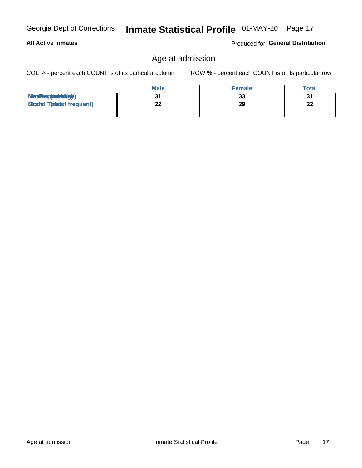**All Active Inmates** 

# Inmate Statistical Profile 01-MAY-20 Page 17

# Age at admission

COL % - percent each COUNT is of its particular column

ROW % - percent each COUNT is of its particular row

Produced for General Distribution

|                                  | <b>Male</b> | <b>Female</b> | <b>Total</b> |
|----------------------------------|-------------|---------------|--------------|
| MetiRap(aniektig)                |             | 33            | 31           |
| <b>Micaded Tomadst frequent)</b> |             | 29            | 22           |
|                                  |             |               |              |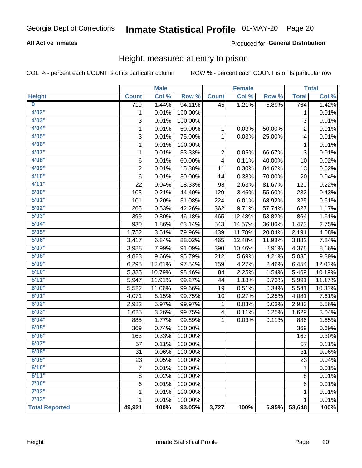### **All Active Inmates**

### Produced for General Distribution

### Height, measured at entry to prison

COL % - percent each COUNT is of its particular column

|                         |                  | <b>Male</b> |         |                         | <b>Female</b> |        |                | <b>Total</b> |
|-------------------------|------------------|-------------|---------|-------------------------|---------------|--------|----------------|--------------|
| <b>Height</b>           | <b>Count</b>     | Col %       | Row %   | <b>Count</b>            | Col %         | Row %  | <b>Total</b>   | Col %        |
| $\overline{\mathbf{0}}$ | $\overline{719}$ | 1.44%       | 94.11%  | 45                      | 1.21%         | 5.89%  | 764            | 1.42%        |
| 4'02''                  | 1                | 0.01%       | 100.00% |                         |               |        | 1              | 0.01%        |
| 4'03''                  | 3                | 0.01%       | 100.00% |                         |               |        | 3              | 0.01%        |
| 4'04"                   | 1                | 0.01%       | 50.00%  | 1                       | 0.03%         | 50.00% | $\overline{2}$ | 0.01%        |
| 4'05"                   | 3                | 0.01%       | 75.00%  | $\mathbf{1}$            | 0.03%         | 25.00% | 4              | 0.01%        |
| 4'06"                   | 1                | 0.01%       | 100.00% |                         |               |        | 1              | 0.01%        |
| 4'07"                   | 1                | 0.01%       | 33.33%  | 2                       | 0.05%         | 66.67% | 3              | 0.01%        |
| 4'08"                   | 6                | 0.01%       | 60.00%  | 4                       | 0.11%         | 40.00% | 10             | 0.02%        |
| 4'09"                   | $\overline{2}$   | 0.01%       | 15.38%  | 11                      | 0.30%         | 84.62% | 13             | 0.02%        |
| 4'10''                  | 6                | 0.01%       | 30.00%  | 14                      | 0.38%         | 70.00% | 20             | 0.04%        |
| 4'11''                  | 22               | 0.04%       | 18.33%  | 98                      | 2.63%         | 81.67% | 120            | 0.22%        |
| 5'00''                  | 103              | 0.21%       | 44.40%  | 129                     | 3.46%         | 55.60% | 232            | 0.43%        |
| 5'01"                   | 101              | 0.20%       | 31.08%  | 224                     | 6.01%         | 68.92% | 325            | 0.61%        |
| 5'02"                   | 265              | 0.53%       | 42.26%  | 362                     | 9.71%         | 57.74% | 627            | 1.17%        |
| 5'03''                  | 399              | 0.80%       | 46.18%  | 465                     | 12.48%        | 53.82% | 864            | 1.61%        |
| 5'04"                   | 930              | 1.86%       | 63.14%  | 543                     | 14.57%        | 36.86% | 1,473          | 2.75%        |
| 5'05"                   | 1,752            | 3.51%       | 79.96%  | 439                     | 11.78%        | 20.04% | 2,191          | 4.08%        |
| 5'06''                  | 3,417            | 6.84%       | 88.02%  | 465                     | 12.48%        | 11.98% | 3,882          | 7.24%        |
| 5'07"                   | 3,988            | 7.99%       | 91.09%  | 390                     | 10.46%        | 8.91%  | 4,378          | 8.16%        |
| 5'08''                  | 4,823            | 9.66%       | 95.79%  | 212                     | 5.69%         | 4.21%  | 5,035          | 9.39%        |
| 5'09''                  | 6,295            | 12.61%      | 97.54%  | 159                     | 4.27%         | 2.46%  | 6,454          | 12.03%       |
| 5'10''                  | 5,385            | 10.79%      | 98.46%  | 84                      | 2.25%         | 1.54%  | 5,469          | 10.19%       |
| 5'11''                  | 5,947            | 11.91%      | 99.27%  | 44                      | 1.18%         | 0.73%  | 5,991          | 11.17%       |
| 6'00''                  | 5,522            | 11.06%      | 99.66%  | 19                      | 0.51%         | 0.34%  | 5,541          | 10.33%       |
| 6'01''                  | 4,071            | 8.15%       | 99.75%  | 10                      | 0.27%         | 0.25%  | 4,081          | 7.61%        |
| 6'02"                   | 2,982            | 5.97%       | 99.97%  | 1                       | 0.03%         | 0.03%  | 2,983          | 5.56%        |
| 6'03''                  | 1,625            | 3.26%       | 99.75%  | $\overline{\mathbf{4}}$ | 0.11%         | 0.25%  | 1,629          | 3.04%        |
| 6'04"                   | 885              | 1.77%       | 99.89%  | 1                       | 0.03%         | 0.11%  | 886            | 1.65%        |
| 6'05"                   | 369              | 0.74%       | 100.00% |                         |               |        | 369            | 0.69%        |
| 6'06''                  | 163              | 0.33%       | 100.00% |                         |               |        | 163            | 0.30%        |
| 6'07''                  | 57               | 0.11%       | 100.00% |                         |               |        | 57             | 0.11%        |
| 6'08"                   | 31               | 0.06%       | 100.00% |                         |               |        | 31             | 0.06%        |
| 6'09''                  | 23               | 0.05%       | 100.00% |                         |               |        | 23             | 0.04%        |
| 6'10''                  | 7                | 0.01%       | 100.00% |                         |               |        | $\overline{7}$ | 0.01%        |
| 6'11''                  | 8                | 0.02%       | 100.00% |                         |               |        | 8              | 0.01%        |
| 7'00"                   | 6                | 0.01%       | 100.00% |                         |               |        | 6              | 0.01%        |
| 7'02"                   | 1                | 0.01%       | 100.00% |                         |               |        | 1              | 0.01%        |
| 7'03''                  | 1                | 0.01%       | 100.00% |                         |               |        | 1              | 0.01%        |
| <b>Total Reported</b>   | 49,921           | 100%        | 93.05%  | 3,727                   | 100%          | 6.95%  | 53,648         | 100%         |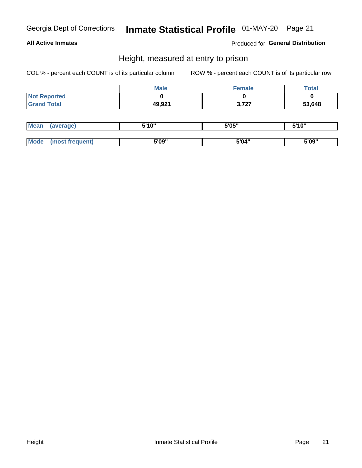### **All Active Inmates**

Produced for General Distribution

### Height, measured at entry to prison

COL % - percent each COUNT is of its particular column

|                     | <b>Male</b> | <b>Female</b> | Total  |
|---------------------|-------------|---------------|--------|
| <b>Not Reported</b> |             |               |        |
| <b>Grand Total</b>  | 49,921      | 3,727         | 53,648 |

| <b>Mean</b> | 'average) | EI4 OIL | 5'05" | 5'10" |
|-------------|-----------|---------|-------|-------|
|             |           |         |       |       |
| $M_{\odot}$ | frequent) | 5'09"   | 5'04" | 5'09" |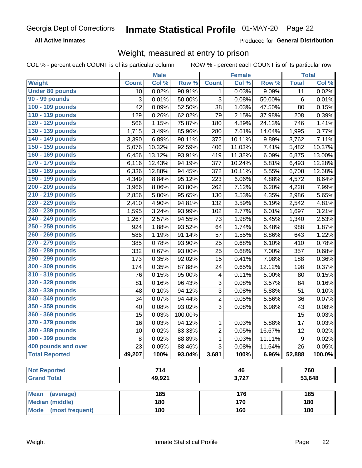**All Active Inmates** 

Produced for General Distribution

### Weight, measured at entry to prison

COL % - percent each COUNT is of its particular column ROW % - percent each COUNT is of its particular row

|                                     |              | <b>Male</b> |         |                          | <b>Female</b> |                  |              | <b>Total</b>         |
|-------------------------------------|--------------|-------------|---------|--------------------------|---------------|------------------|--------------|----------------------|
| <b>Weight</b>                       | <b>Count</b> | Col %       | Row %   | <b>Count</b>             | Col %         | Row <sup>%</sup> | <b>Total</b> | Col %                |
| <b>Under 80 pounds</b>              | 10           | 0.02%       | 90.91%  | 1                        | 0.03%         | 9.09%            | 11           | 0.02%                |
| 90 - 99 pounds                      | 3            | 0.01%       | 50.00%  | 3                        | 0.08%         | 50.00%           | $\,6$        | 0.01%                |
| 100 - 109 pounds                    | 42           | 0.09%       | 52.50%  | 38                       | 1.03%         | 47.50%           | 80           | 0.15%                |
| 110 - 119 pounds                    | 129          | 0.26%       | 62.02%  | 79                       | 2.15%         | 37.98%           | 208          | 0.39%                |
| 120 - 129 pounds                    | 566          | 1.15%       | 75.87%  | 180                      | 4.89%         | 24.13%           | 746          | 1.41%                |
| 130 - 139 pounds                    | 1,715        | 3.49%       | 85.96%  | 280                      | 7.61%         | 14.04%           | 1,995        | 3.77%                |
| 140 - 149 pounds                    | 3,390        | 6.89%       | 90.11%  | 372                      | 10.11%        | 9.89%            | 3,762        | 7.11%                |
| 150 - 159 pounds                    | 5,076        | 10.32%      | 92.59%  | 406                      | 11.03%        | 7.41%            | 5,482        | 10.37%               |
| 160 - 169 pounds                    | 6,456        | 13.12%      | 93.91%  | 419                      | 11.38%        | 6.09%            | 6,875        | 13.00%               |
| 170 - 179 pounds                    | 6,116        | 12.43%      | 94.19%  | 377                      | 10.24%        | 5.81%            | 6,493        | 12.28%               |
| 180 - 189 pounds                    | 6,336        | 12.88%      | 94.45%  | 372                      | 10.11%        | 5.55%            | 6,708        | 12.68%               |
| 190 - 199 pounds                    | 4,349        | 8.84%       | 95.12%  | 223                      | 6.06%         | 4.88%            | 4,572        | 8.64%                |
| 200 - 209 pounds                    | 3,966        | 8.06%       | 93.80%  | 262                      | 7.12%         | 6.20%            | 4,228        | 7.99%                |
| 210 - 219 pounds                    | 2,856        | 5.80%       | 95.65%  | 130                      | 3.53%         | 4.35%            | 2,986        | 5.65%                |
| 220 - 229 pounds                    | 2,410        | 4.90%       | 94.81%  | 132                      | 3.59%         | 5.19%            | 2,542        | 4.81%                |
| 230 - 239 pounds                    | 1,595        | 3.24%       | 93.99%  | 102                      | 2.77%         | 6.01%            | 1,697        | 3.21%                |
| 240 - 249 pounds                    | 1,267        | 2.57%       | 94.55%  | 73                       | 1.98%         | 5.45%            | 1,340        | 2.53%                |
| 250 - 259 pounds                    | 924          | 1.88%       | 93.52%  | 64                       | 1.74%         | 6.48%            | 988          | 1.87%                |
| 260 - 269 pounds                    | 586          | 1.19%       | 91.14%  | 57                       | 1.55%         | 8.86%            | 643          | 1.22%                |
| 270 - 279 pounds                    | 385          | 0.78%       | 93.90%  | 25                       | 0.68%         | 6.10%            | 410          | 0.78%                |
| 280 - 289 pounds                    | 332          | 0.67%       | 93.00%  | 25                       | 0.68%         | 7.00%            | 357          | 0.68%                |
| 290 - 299 pounds                    | 173          | 0.35%       | 92.02%  | 15                       | 0.41%         | 7.98%            | 188          | 0.36%                |
| 300 - 309 pounds                    | 174          | 0.35%       | 87.88%  | 24                       | 0.65%         | 12.12%           | 198          | 0.37%                |
| 310 - 319 pounds                    | 76           | 0.15%       | 95.00%  | $\overline{\mathcal{A}}$ | 0.11%         | 5.00%            | 80           | 0.15%                |
| 320 - 329 pounds                    | 81           | 0.16%       | 96.43%  | $\mathsf 3$              | 0.08%         | 3.57%            | 84           | 0.16%                |
| 330 - 339 pounds                    | 48           | 0.10%       | 94.12%  | 3                        | 0.08%         | 5.88%            | 51           | 0.10%                |
| 340 - 349 pounds                    | 34           | 0.07%       | 94.44%  | $\overline{2}$           | 0.05%         | 5.56%            | 36           | 0.07%                |
| 350 - 359 pounds                    | 40           | 0.08%       | 93.02%  | 3                        | 0.08%         | 6.98%            | 43           | 0.08%                |
| 360 - 369 pounds                    | 15           | 0.03%       | 100.00% |                          |               |                  | 15           | 0.03%                |
| 370 - 379 pounds                    | 16           | 0.03%       | 94.12%  | $\mathbf{1}$             | 0.03%         | 5.88%            | 17           | 0.03%                |
| 380 - 389 pounds                    | 10           | 0.02%       | 83.33%  | $\overline{2}$           | 0.05%         | 16.67%           | 12           | 0.02%                |
| 390 - 399 pounds                    | 8            | 0.02%       | 88.89%  | 1                        | 0.03%         | 11.11%           | 9            | 0.02%                |
| 400 pounds and over                 | 23           | 0.05%       | 88.46%  | $\overline{3}$           | 0.08%         | 11.54%           | 26           | 0.05%                |
| <b>Total Reported</b>               | 49,207       | 100%        | 93.04%  | 3,681                    | 100%          | 6.96%            | 52,888       | $\overline{100.0\%}$ |
|                                     |              |             |         |                          |               |                  |              |                      |
| <b>Not Reported</b>                 | 714          |             | 46      |                          |               | 760              |              |                      |
| <b>Grand Total</b>                  |              | 49,921      |         | 3,727                    |               |                  | 53,648       |                      |
| <b>Mean</b>                         |              | 185         |         |                          | 176           |                  |              | 185                  |
| (average)<br><b>Median (middle)</b> |              | 180         |         |                          | 170           |                  |              | 180                  |
| <b>Mode</b><br>(most frequent)      |              | 180         |         |                          | 160           |                  |              | 180                  |
|                                     |              |             |         |                          |               |                  |              |                      |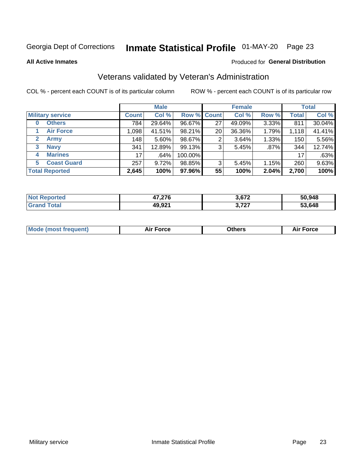# Inmate Statistical Profile 01-MAY-20 Page 23

**All Active Inmates** 

#### Produced for General Distribution

### Veterans validated by Veteran's Administration

COL % - percent each COUNT is of its particular column

|                         |              | <b>Male</b> |         |                    | <b>Female</b> |       |              | <b>Total</b> |
|-------------------------|--------------|-------------|---------|--------------------|---------------|-------|--------------|--------------|
| <b>Military service</b> | <b>Count</b> | Col %       |         | <b>Row % Count</b> | Col %         | Row % | <b>Total</b> | Col %        |
| <b>Others</b><br>0      | 784          | 29.64%      | 96.67%  | 27                 | 49.09%        | 3.33% | 811          | 30.04%       |
| <b>Air Force</b>        | 1,098        | 41.51%      | 98.21%  | 20                 | 36.36%        | 1.79% | 1,118        | 41.41%       |
| 2<br><b>Army</b>        | 148          | 5.60%       | 98.67%  | 2                  | 3.64%         | 1.33% | 150          | 5.56%        |
| <b>Navy</b><br>3        | 341          | 12.89%      | 99.13%  | 3                  | 5.45%         | .87%  | 344          | 12.74%       |
| <b>Marines</b><br>4     | 17           | .64%        | 100.00% |                    |               |       | 17           | .63%         |
| <b>Coast Guard</b><br>5 | 257          | $9.72\%$    | 98.85%  | 3                  | 5.45%         | 1.15% | 260          | 9.63%        |
| <b>Total Reported</b>   | 2,645        | 100%        | 97.96%  | 55                 | 100%          | 2.04% | 2,700        | 100%         |

| rted | 17.27    | <b>2.CZ2</b> | 50,948 |
|------|----------|--------------|--------|
| N    | 47, LI V |              |        |
|      | 49,921   | 272          | 53.648 |

|  |  | <b>Mode (most frequent)</b> | <b>Force</b><br>Aır | วthers | orce |
|--|--|-----------------------------|---------------------|--------|------|
|--|--|-----------------------------|---------------------|--------|------|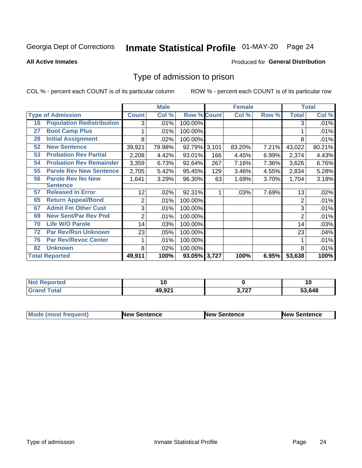# Inmate Statistical Profile 01-MAY-20 Page 24

**All Active Inmates** 

#### Produced for General Distribution

### Type of admission to prison

COL % - percent each COUNT is of its particular column

|    |                                  |              | <b>Male</b> |                    |       | <b>Female</b> |       |              | <b>Total</b> |
|----|----------------------------------|--------------|-------------|--------------------|-------|---------------|-------|--------------|--------------|
|    | <b>Type of Admission</b>         | <b>Count</b> | Col %       | <b>Row % Count</b> |       | Col %         | Row % | <b>Total</b> | Col %        |
| 16 | <b>Population Redistribution</b> | 3            | .01%        | 100.00%            |       |               |       | 3            | .01%         |
| 27 | <b>Boot Camp Plus</b>            |              | .01%        | 100.00%            |       |               |       |              | .01%         |
| 28 | <b>Initial Assignment</b>        | 8            | .02%        | 100.00%            |       |               |       | 8            | .01%         |
| 52 | <b>New Sentence</b>              | 39,921       | 79.98%      | 92.79%             | 3,101 | 83.20%        | 7.21% | 43,022       | 80.21%       |
| 53 | <b>Probation Rev Partial</b>     | 2,208        | 4.42%       | 93.01%             | 166   | 4.45%         | 6.99% | 2,374        | 4.43%        |
| 54 | <b>Probation Rev Remainder</b>   | 3,359        | 6.73%       | 92.64%             | 267   | 7.16%         | 7.36% | 3,626        | 6.76%        |
| 55 | <b>Parole Rev New Sentence</b>   | 2,705        | 5.42%       | 95.45%             | 129   | 3.46%         | 4.55% | 2,834        | 5.28%        |
| 56 | <b>Parole Rev No New</b>         | 1,641        | 3.29%       | 96.30%             | 63    | 1.69%         | 3.70% | 1,704        | 3.18%        |
|    | <b>Sentence</b>                  |              |             |                    |       |               |       |              |              |
| 57 | <b>Released In Error</b>         | 12           | .02%        | 92.31%             | 1     | .03%          | 7.69% | 13           | .02%         |
| 65 | <b>Return Appeal/Bond</b>        | 2            | .01%        | 100.00%            |       |               |       | 2            | .01%         |
| 67 | <b>Admit Fm Other Cust</b>       | 3            | .01%        | 100.00%            |       |               |       | 3            | .01%         |
| 69 | <b>New Sent/Par Rev Pnd</b>      | 2            | .01%        | 100.00%            |       |               |       | 2            | .01%         |
| 70 | <b>Life W/O Parole</b>           | 14           | .03%        | 100.00%            |       |               |       | 14           | .03%         |
| 72 | <b>Par Rev/Rsn Unknown</b>       | 23           | .05%        | 100.00%            |       |               |       | 23           | .04%         |
| 76 | <b>Par Rev/Revoc Center</b>      |              | .01%        | 100.00%            |       |               |       |              | .01%         |
| 82 | <b>Unknown</b>                   | 8            | .02%        | 100.00%            |       |               |       | 8            | .01%         |
|    | <b>Total Reported</b>            | 49,911       | 100%        | 93.05% 3,727       |       | 100%          | 6.95% | 53,638       | 100%         |

| eported<br>NG |        |      | ιч     |
|---------------|--------|------|--------|
| Total         | 49 Q21 | 272  | 53,648 |
| Gr:           | 19.JZ  | 14 I |        |

| <b>Mode (most frequent)</b> | <b>New Sentence</b> | <b>New Sentence</b> | <b>New Sentence</b> |
|-----------------------------|---------------------|---------------------|---------------------|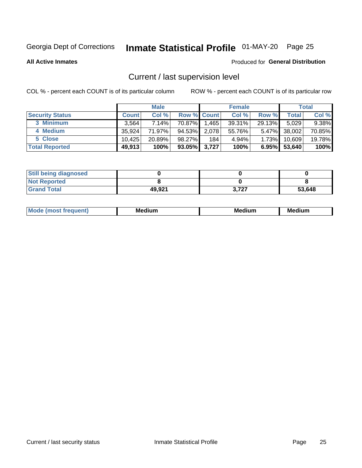# Inmate Statistical Profile 01-MAY-20 Page 25

**All Active Inmates** 

#### Produced for General Distribution

# Current / last supervision level

COL % - percent each COUNT is of its particular column

|                        |              | <b>Male</b> |                    |       | <b>Female</b> |          |        | <b>Total</b> |
|------------------------|--------------|-------------|--------------------|-------|---------------|----------|--------|--------------|
| <b>Security Status</b> | <b>Count</b> | Col %       | <b>Row % Count</b> |       | Col %         | Row %    | Total  | Col %        |
| 3 Minimum              | 3.564        | 7.14%       | 70.87%             | .465  | $39.31\%$     | 29.13%   | 5,029  | $9.38\%$     |
| 4 Medium               | 35,924       | 71.97%      | 94.53%             | 2,078 | 55.76%        | $5.47\%$ | 38,002 | 70.85%       |
| 5 Close                | 10.425       | 20.89%      | 98.27%             | 184   | 4.94%         | 1.73%    | 10,609 | 19.78%       |
| <b>Total Reported</b>  | 49,913       | 100%        | 93.05% 3,727       |       | 100%          | 6.95%    | 53,640 | 100%         |

| <b>Still being diagnosed</b> |        |       |        |
|------------------------------|--------|-------|--------|
| <b>Not Reported</b>          |        |       |        |
| <b>Grand Total</b>           | 49,921 | 3.727 | 53,648 |

| M | . | -- |
|---|---|----|
|   |   |    |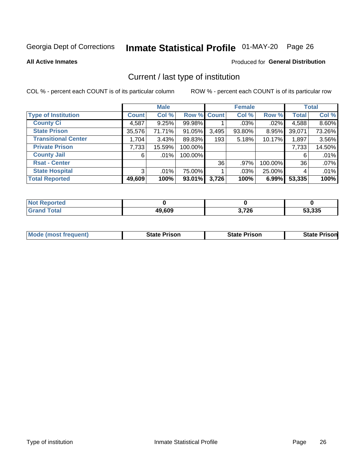# Inmate Statistical Profile 01-MAY-20 Page 26

**All Active Inmates** 

#### Produced for General Distribution

# Current / last type of institution

COL % - percent each COUNT is of its particular column

|                            |              | <b>Male</b> |             |       | <b>Female</b> |         |              | <b>Total</b> |
|----------------------------|--------------|-------------|-------------|-------|---------------|---------|--------------|--------------|
| <b>Type of Institution</b> | <b>Count</b> | Col %       | Row % Count |       | Col %         | Row %   | <b>Total</b> | Col %        |
| <b>County Ci</b>           | 4,587        | 9.25%       | 99.98%      |       | $.03\%$       | .02%    | 4,588        | 8.60%        |
| <b>State Prison</b>        | 35,576       | 71.71%      | 91.05%      | 3,495 | 93.80%        | 8.95%   | 39,071       | 73.26%       |
| <b>Transitional Center</b> | 1,704        | 3.43%       | 89.83%      | 193   | 5.18%         | 10.17%  | 1,897        | 3.56%        |
| <b>Private Prison</b>      | 7,733        | 15.59%      | 100.00%     |       |               |         | 7,733        | 14.50%       |
| <b>County Jail</b>         | 6            | .01%        | 100.00%     |       |               |         | 6            | .01%         |
| <b>Rsat - Center</b>       |              |             |             | 36    | .97%          | 100.00% | 36           | .07%         |
| <b>State Hospital</b>      | 3            | $.01\%$     | 75.00%      |       | .03%          | 25.00%  | 4            | .01%         |
| <b>Total Reported</b>      | 49,609       | 100%        | 93.01%      | 3,726 | 100%          | 6.99%   | 53,335       | 100%         |

| Reported   |        |       |        |
|------------|--------|-------|--------|
| <b>ota</b> | 49,609 | 3,726 | 53,335 |

| <b>Mode (most frequent)</b> | <b>State Prison</b> | <b>State Prison</b> | <b>State Prison</b> |
|-----------------------------|---------------------|---------------------|---------------------|
|                             |                     |                     |                     |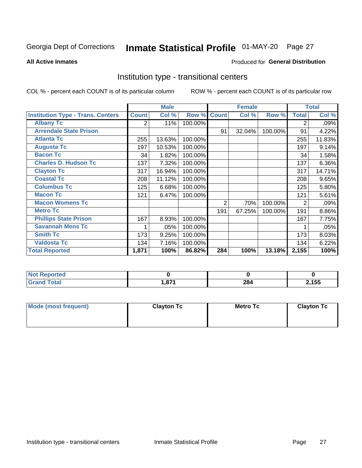# Inmate Statistical Profile 01-MAY-20 Page 27

#### **All Active Inmates**

#### Produced for General Distribution

### Institution type - transitional centers

COL % - percent each COUNT is of its particular column

|                                          |              | <b>Male</b> |         |              | <b>Female</b> |         |                | <b>Total</b> |
|------------------------------------------|--------------|-------------|---------|--------------|---------------|---------|----------------|--------------|
| <b>Institution Type - Trans. Centers</b> | <b>Count</b> | Col %       | Row %   | <b>Count</b> | Col %         | Row %   | <b>Total</b>   | Col %        |
| <b>Albany Tc</b>                         | 2            | .11%        | 100.00% |              |               |         | 2              | .09%         |
| <b>Arrendale State Prison</b>            |              |             |         | 91           | 32.04%        | 100.00% | 91             | 4.22%        |
| <b>Atlanta Tc</b>                        | 255          | 13.63%      | 100.00% |              |               |         | 255            | 11.83%       |
| <b>Augusta Tc</b>                        | 197          | 10.53%      | 100.00% |              |               |         | 197            | 9.14%        |
| <b>Bacon Tc</b>                          | 34           | 1.82%       | 100.00% |              |               |         | 34             | 1.58%        |
| <b>Charles D. Hudson Tc</b>              | 137          | 7.32%       | 100.00% |              |               |         | 137            | 6.36%        |
| <b>Clayton Tc</b>                        | 317          | 16.94%      | 100.00% |              |               |         | 317            | 14.71%       |
| <b>Coastal Tc</b>                        | 208          | 11.12%      | 100.00% |              |               |         | 208            | 9.65%        |
| <b>Columbus Tc</b>                       | 125          | 6.68%       | 100.00% |              |               |         | 125            | 5.80%        |
| <b>Macon Tc</b>                          | 121          | 6.47%       | 100.00% |              |               |         | 121            | 5.61%        |
| <b>Macon Womens Tc</b>                   |              |             |         | 2            | .70%          | 100.00% | $\overline{2}$ | .09%         |
| <b>Metro Tc</b>                          |              |             |         | 191          | 67.25%        | 100.00% | 191            | 8.86%        |
| <b>Phillips State Prison</b>             | 167          | 8.93%       | 100.00% |              |               |         | 167            | 7.75%        |
| <b>Savannah Mens Tc</b>                  | 1            | .05%        | 100.00% |              |               |         |                | .05%         |
| <b>Smith Tc</b>                          | 173          | 9.25%       | 100.00% |              |               |         | 173            | 8.03%        |
| <b>Valdosta Tc</b>                       | 134          | 7.16%       | 100.00% |              |               |         | 134            | 6.22%        |
| <b>Total Reported</b>                    | 1,871        | 100%        | 86.82%  | 284          | 100%          | 13.18%  | 2,155          | 100%         |

| <b>Not Reported</b> |     |            |       |
|---------------------|-----|------------|-------|
| Total               | 07' | nn.<br>∠o⊶ | 2,155 |

| Mode (most frequent) | <b>Clayton Tc</b> | Metro Tc | <b>Clayton Tc</b> |
|----------------------|-------------------|----------|-------------------|
|                      |                   |          |                   |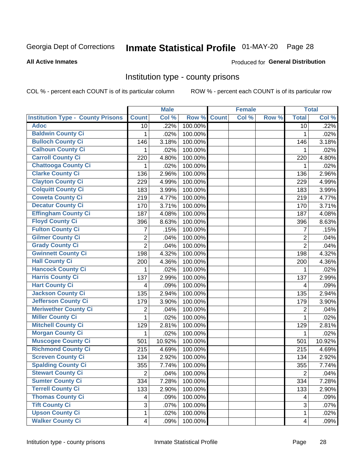# Inmate Statistical Profile 01-MAY-20 Page 28

#### **All Active Inmates**

#### Produced for General Distribution

### Institution type - county prisons

COL % - percent each COUNT is of its particular column

|                                          |                         | <b>Male</b> |         |              | <b>Female</b> |       |                         | <b>Total</b> |
|------------------------------------------|-------------------------|-------------|---------|--------------|---------------|-------|-------------------------|--------------|
| <b>Institution Type - County Prisons</b> | <b>Count</b>            | Col %       | Row %   | <b>Count</b> | Col %         | Row % | <b>Total</b>            | Col %        |
| <b>Adoc</b>                              | 10                      | .22%        | 100.00% |              |               |       | 10                      | .22%         |
| <b>Baldwin County Ci</b>                 | 1                       | .02%        | 100.00% |              |               |       | 1                       | .02%         |
| <b>Bulloch County Ci</b>                 | 146                     | 3.18%       | 100.00% |              |               |       | 146                     | 3.18%        |
| <b>Calhoun County Ci</b>                 | 1                       | .02%        | 100.00% |              |               |       | 1                       | .02%         |
| <b>Carroll County Ci</b>                 | 220                     | 4.80%       | 100.00% |              |               |       | 220                     | 4.80%        |
| <b>Chattooga County Ci</b>               | 1                       | .02%        | 100.00% |              |               |       | 1                       | .02%         |
| <b>Clarke County Ci</b>                  | 136                     | 2.96%       | 100.00% |              |               |       | 136                     | 2.96%        |
| <b>Clayton County Ci</b>                 | 229                     | 4.99%       | 100.00% |              |               |       | 229                     | 4.99%        |
| <b>Colquitt County Ci</b>                | 183                     | 3.99%       | 100.00% |              |               |       | 183                     | 3.99%        |
| <b>Coweta County Ci</b>                  | 219                     | 4.77%       | 100.00% |              |               |       | 219                     | 4.77%        |
| <b>Decatur County Ci</b>                 | 170                     | 3.71%       | 100.00% |              |               |       | 170                     | 3.71%        |
| <b>Effingham County Ci</b>               | 187                     | 4.08%       | 100.00% |              |               |       | 187                     | 4.08%        |
| <b>Floyd County Ci</b>                   | 396                     | 8.63%       | 100.00% |              |               |       | 396                     | 8.63%        |
| <b>Fulton County Ci</b>                  | 7                       | .15%        | 100.00% |              |               |       | 7                       | .15%         |
| <b>Gilmer County Ci</b>                  | $\overline{2}$          | .04%        | 100.00% |              |               |       | $\overline{2}$          | .04%         |
| <b>Grady County Ci</b>                   | $\overline{2}$          | .04%        | 100.00% |              |               |       | $\overline{2}$          | .04%         |
| <b>Gwinnett County Ci</b>                | 198                     | 4.32%       | 100.00% |              |               |       | 198                     | 4.32%        |
| <b>Hall County Ci</b>                    | 200                     | 4.36%       | 100.00% |              |               |       | 200                     | 4.36%        |
| <b>Hancock County Ci</b>                 | 1                       | .02%        | 100.00% |              |               |       | 1                       | .02%         |
| <b>Harris County Ci</b>                  | 137                     | 2.99%       | 100.00% |              |               |       | 137                     | 2.99%        |
| <b>Hart County Ci</b>                    | 4                       | .09%        | 100.00% |              |               |       | 4                       | .09%         |
| <b>Jackson County Ci</b>                 | 135                     | 2.94%       | 100.00% |              |               |       | 135                     | 2.94%        |
| Jefferson County Ci                      | 179                     | 3.90%       | 100.00% |              |               |       | 179                     | 3.90%        |
| <b>Meriwether County Ci</b>              | $\overline{2}$          | .04%        | 100.00% |              |               |       | $\overline{2}$          | .04%         |
| <b>Miller County Ci</b>                  | 1                       | .02%        | 100.00% |              |               |       | $\mathbf{1}$            | .02%         |
| <b>Mitchell County Ci</b>                | 129                     | 2.81%       | 100.00% |              |               |       | 129                     | 2.81%        |
| <b>Morgan County Ci</b>                  | 1                       | .02%        | 100.00% |              |               |       | 1                       | .02%         |
| <b>Muscogee County Ci</b>                | 501                     | 10.92%      | 100.00% |              |               |       | 501                     | 10.92%       |
| <b>Richmond County Ci</b>                | 215                     | 4.69%       | 100.00% |              |               |       | 215                     | 4.69%        |
| <b>Screven County Ci</b>                 | 134                     | 2.92%       | 100.00% |              |               |       | 134                     | 2.92%        |
| <b>Spalding County Ci</b>                | 355                     | 7.74%       | 100.00% |              |               |       | 355                     | 7.74%        |
| <b>Stewart County Ci</b>                 | $\overline{2}$          | .04%        | 100.00% |              |               |       | $\overline{2}$          | .04%         |
| <b>Sumter County Ci</b>                  | 334                     | 7.28%       | 100.00% |              |               |       | 334                     | 7.28%        |
| <b>Terrell County Ci</b>                 | 133                     | 2.90%       | 100.00% |              |               |       | 133                     | 2.90%        |
| <b>Thomas County Ci</b>                  | 4                       | .09%        | 100.00% |              |               |       | 4                       | .09%         |
| <b>Tift County Ci</b>                    | 3                       | .07%        | 100.00% |              |               |       | 3                       | .07%         |
| <b>Upson County Ci</b>                   | 1                       | .02%        | 100.00% |              |               |       | $\mathbf 1$             | .02%         |
| <b>Walker County Ci</b>                  | $\overline{\mathbf{4}}$ | .09%        | 100.00% |              |               |       | $\overline{\mathbf{4}}$ | .09%         |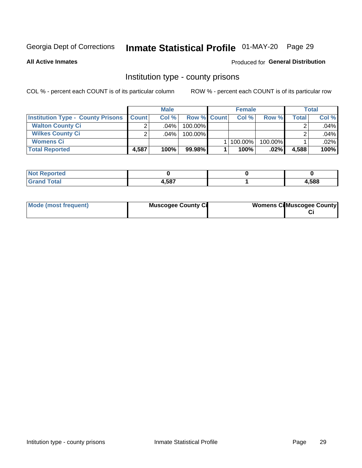# Inmate Statistical Profile 01-MAY-20 Page 29

**All Active Inmates** 

#### Produced for General Distribution

### Institution type - county prisons

COL % - percent each COUNT is of its particular column

|                                          |              | <b>Male</b> |                    | <b>Female</b> |         |       | <b>Total</b> |
|------------------------------------------|--------------|-------------|--------------------|---------------|---------|-------|--------------|
| <b>Institution Type - County Prisons</b> | <b>Count</b> | Col%        | <b>Row % Count</b> | Col%          | Row %   | Total | Col %        |
| <b>Walton County Ci</b>                  | ⌒            | $.04\%$     | 100.00%            |               |         |       | .04%         |
| <b>Wilkes County Ci</b>                  |              | $.04\%$     | 100.00%            |               |         |       | .04%         |
| <b>Womens Ci</b>                         |              |             |                    | 100.00%       | 100.00% |       | .02%         |
| <b>Total Reported</b>                    | 4,587        | 100%        | 99.98%             | 100%          | $.02\%$ | 4,588 | 100%         |

| <b>Tea</b><br>$\sim$ |     |      |
|----------------------|-----|------|
| _____                | EOT | ,588 |

| Mode (most frequent) | <b>Muscogee County Ci</b> | <b>Womens Ci</b> Muscogee County |
|----------------------|---------------------------|----------------------------------|
|----------------------|---------------------------|----------------------------------|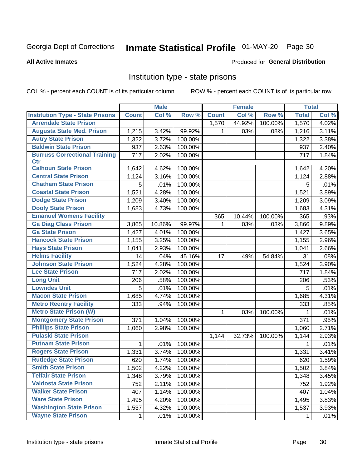# Inmate Statistical Profile 01-MAY-20 Page 30

#### **All Active Inmates**

### **Produced for General Distribution**

### Institution type - state prisons

COL % - percent each COUNT is of its particular column

|                                         |              | <b>Male</b> |         |              | <b>Female</b> |         | <b>Total</b> |       |
|-----------------------------------------|--------------|-------------|---------|--------------|---------------|---------|--------------|-------|
| <b>Institution Type - State Prisons</b> | <b>Count</b> | Col %       | Row %   | <b>Count</b> | Col %         | Row %   | <b>Total</b> | Col % |
| <b>Arrendale State Prison</b>           |              |             |         | 1,570        | 44.92%        | 100.00% | 1,570        | 4.02% |
| <b>Augusta State Med. Prison</b>        | 1,215        | 3.42%       | 99.92%  | 1            | .03%          | .08%    | 1,216        | 3.11% |
| <b>Autry State Prison</b>               | 1,322        | 3.72%       | 100.00% |              |               |         | 1,322        | 3.38% |
| <b>Baldwin State Prison</b>             | 937          | 2.63%       | 100.00% |              |               |         | 937          | 2.40% |
| <b>Burruss Correctional Training</b>    | 717          | 2.02%       | 100.00% |              |               |         | 717          | 1.84% |
| <b>Ctr</b>                              |              |             |         |              |               |         |              |       |
| <b>Calhoun State Prison</b>             | 1,642        | 4.62%       | 100.00% |              |               |         | 1,642        | 4.20% |
| <b>Central State Prison</b>             | 1,124        | 3.16%       | 100.00% |              |               |         | 1,124        | 2.88% |
| <b>Chatham State Prison</b>             | 5            | .01%        | 100.00% |              |               |         | 5            | .01%  |
| <b>Coastal State Prison</b>             | 1,521        | 4.28%       | 100.00% |              |               |         | 1,521        | 3.89% |
| <b>Dodge State Prison</b>               | 1,209        | 3.40%       | 100.00% |              |               |         | 1,209        | 3.09% |
| <b>Dooly State Prison</b>               | 1,683        | 4.73%       | 100.00% |              |               |         | 1,683        | 4.31% |
| <b>Emanuel Womens Facility</b>          |              |             |         | 365          | 10.44%        | 100.00% | 365          | .93%  |
| <b>Ga Diag Class Prison</b>             | 3,865        | 10.86%      | 99.97%  | $\mathbf 1$  | .03%          | .03%    | 3,866        | 9.89% |
| <b>Ga State Prison</b>                  | 1,427        | 4.01%       | 100.00% |              |               |         | 1,427        | 3.65% |
| <b>Hancock State Prison</b>             | 1,155        | 3.25%       | 100.00% |              |               |         | 1,155        | 2.96% |
| <b>Hays State Prison</b>                | 1,041        | 2.93%       | 100.00% |              |               |         | 1,041        | 2.66% |
| <b>Helms Facility</b>                   | 14           | .04%        | 45.16%  | 17           | .49%          | 54.84%  | 31           | .08%  |
| <b>Johnson State Prison</b>             | 1,524        | 4.28%       | 100.00% |              |               |         | 1,524        | 3.90% |
| <b>Lee State Prison</b>                 | 717          | 2.02%       | 100.00% |              |               |         | 717          | 1.84% |
| <b>Long Unit</b>                        | 206          | .58%        | 100.00% |              |               |         | 206          | .53%  |
| <b>Lowndes Unit</b>                     | 5            | .01%        | 100.00% |              |               |         | 5            | .01%  |
| <b>Macon State Prison</b>               | 1,685        | 4.74%       | 100.00% |              |               |         | 1,685        | 4.31% |
| <b>Metro Reentry Facility</b>           | 333          | .94%        | 100.00% |              |               |         | 333          | .85%  |
| <b>Metro State Prison (W)</b>           |              |             |         | 1            | .03%          | 100.00% | 1            | .01%  |
| <b>Montgomery State Prison</b>          | 371          | 1.04%       | 100.00% |              |               |         | 371          | .95%  |
| <b>Phillips State Prison</b>            | 1,060        | 2.98%       | 100.00% |              |               |         | 1,060        | 2.71% |
| <b>Pulaski State Prison</b>             |              |             |         | 1,144        | 32.73%        | 100.00% | 1,144        | 2.93% |
| <b>Putnam State Prison</b>              | 1            | .01%        | 100.00% |              |               |         | 1            | .01%  |
| <b>Rogers State Prison</b>              | 1,331        | 3.74%       | 100.00% |              |               |         | 1,331        | 3.41% |
| <b>Rutledge State Prison</b>            | 620          | 1.74%       | 100.00% |              |               |         | 620          | 1.59% |
| <b>Smith State Prison</b>               | 1,502        | 4.22%       | 100.00% |              |               |         | 1,502        | 3.84% |
| <b>Telfair State Prison</b>             | 1,348        | 3.79%       | 100.00% |              |               |         | 1,348        | 3.45% |
| <b>Valdosta State Prison</b>            | 752          | 2.11%       | 100.00% |              |               |         | 752          | 1.92% |
| <b>Walker State Prison</b>              | 407          | 1.14%       | 100.00% |              |               |         | 407          | 1.04% |
| <b>Ware State Prison</b>                | 1,495        | 4.20%       | 100.00% |              |               |         | 1,495        | 3.83% |
| <b>Washington State Prison</b>          | 1,537        | 4.32%       | 100.00% |              |               |         | 1,537        | 3.93% |
| <b>Wayne State Prison</b>               | 1            | .01%        | 100.00% |              |               |         | 1            | .01%  |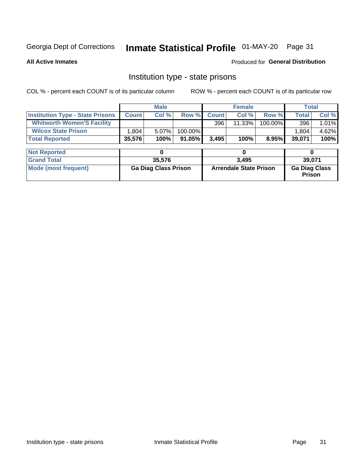# Inmate Statistical Profile 01-MAY-20 Page 31

**All Active Inmates** 

Produced for General Distribution

### Institution type - state prisons

COL % - percent each COUNT is of its particular column

|                                         |              | <b>Male</b>                 |         |              | <b>Female</b>                 | <b>Total</b> |                                |       |
|-----------------------------------------|--------------|-----------------------------|---------|--------------|-------------------------------|--------------|--------------------------------|-------|
| <b>Institution Type - State Prisons</b> | <b>Count</b> | Col %                       | Row %   | <b>Count</b> | Col %                         | Row %        | <b>Total</b>                   | Col % |
| <b>Whitworth Women'S Facility</b>       |              |                             |         | 396          | $11.33\%$                     | 100.00%      | 396                            | 1.01% |
| <b>Wilcox State Prison</b>              | 1,804        | 5.07%                       | 100.00% |              |                               |              | 1,804                          | 4.62% |
| <b>Total Reported</b>                   | 35,576       | 100%                        | 91.05%  | 3,495        | 100%                          | 8.95%        | 39,071                         | 100%  |
|                                         |              |                             |         |              |                               |              |                                |       |
| <b>Not Reported</b>                     |              | 0                           |         |              | 0                             |              | $\bf{0}$                       |       |
| <b>Grand Total</b>                      |              | 35,576                      |         |              | 3,495                         |              | 39,071                         |       |
| <b>Mode (most frequent)</b>             |              | <b>Ga Diag Class Prison</b> |         |              | <b>Arrendale State Prison</b> |              | <b>Ga Diag Class</b><br>Prison |       |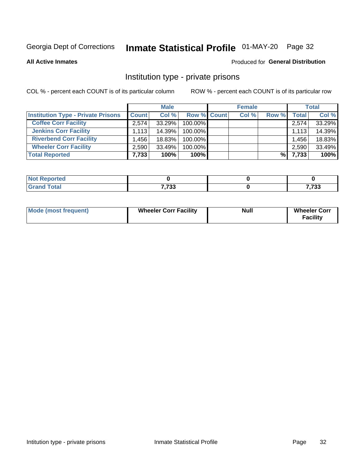# Inmate Statistical Profile 01-MAY-20 Page 32

**All Active Inmates** 

#### Produced for General Distribution

### Institution type - private prisons

COL % - percent each COUNT is of its particular column

|                                           |              | <b>Male</b> |                    | <b>Female</b> |       |       | <b>Total</b> |
|-------------------------------------------|--------------|-------------|--------------------|---------------|-------|-------|--------------|
| <b>Institution Type - Private Prisons</b> | <b>Count</b> | Col %       | <b>Row % Count</b> | Col %         | Row % | Total | Col %        |
| <b>Coffee Corr Facility</b>               | 2.574        | 33.29%      | 100.00%            |               |       | 2,574 | 33.29%       |
| <b>Jenkins Corr Facility</b>              | 1,113        | 14.39%      | $100.00\%$         |               |       | 1,113 | 14.39%       |
| <b>Riverbend Corr Facility</b>            | .456         | 18.83%      | 100.00%            |               |       | 1.456 | 18.83%       |
| <b>Wheeler Corr Facility</b>              | 2.590        | 33.49%      | 100.00%            |               |       | 2,590 | 33.49%       |
| <b>Total Reported</b>                     | 7,733        | 100%        | 100%               |               | %।    | 7,733 | 100%         |

| <b>Reported</b><br>' NOT |               |                 |
|--------------------------|---------------|-----------------|
| <b>Total</b>             | 7722<br>. د ، | 7722<br>, ડર પર |

| <b>Mode (most frequent)</b> | <b>Wheeler Corr Facility</b> | <b>Null</b> | <b>Wheeler Corr</b><br><b>Facility</b> |
|-----------------------------|------------------------------|-------------|----------------------------------------|
|-----------------------------|------------------------------|-------------|----------------------------------------|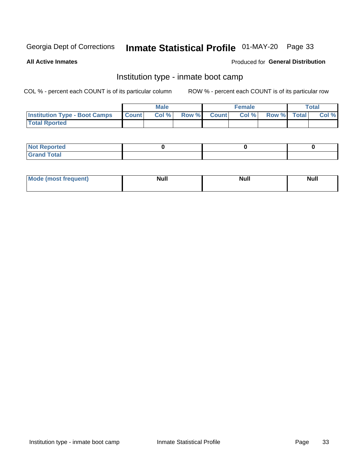# Inmate Statistical Profile 01-MAY-20 Page 33

**All Active Inmates** 

#### Produced for General Distribution

### Institution type - inmate boot camp

COL % - percent each COUNT is of its particular column

|                                      |              | <b>Male</b> |               |              | <b>Female</b> |             | <b>Total</b> |
|--------------------------------------|--------------|-------------|---------------|--------------|---------------|-------------|--------------|
| <b>Institution Type - Boot Camps</b> | <b>Count</b> | Col %       | <b>Row %I</b> | <b>Count</b> | Col %         | Row % Total | Col %        |
| <b>Total Rported</b>                 |              |             |               |              |               |             |              |

| <b>Not Reported</b>            |  |  |
|--------------------------------|--|--|
| <b>Total</b><br>C <sub>r</sub> |  |  |

| Mod<br>uamo | Nul.<br>$- - - - - -$ | <b>Null</b> | . .<br>uu.<br>------ |
|-------------|-----------------------|-------------|----------------------|
|             |                       |             |                      |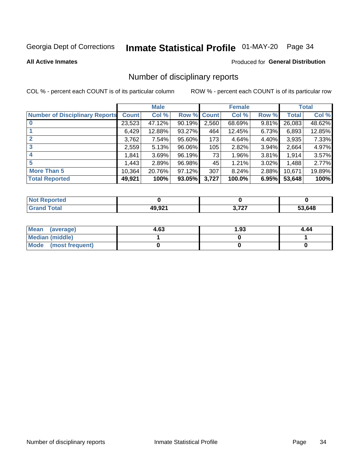# Inmate Statistical Profile 01-MAY-20 Page 34

#### **All Active Inmates**

#### Produced for General Distribution

### Number of disciplinary reports

COL % - percent each COUNT is of its particular column

|                                       |              | <b>Male</b> |             |       | <b>Female</b> |          |        | <b>Total</b> |
|---------------------------------------|--------------|-------------|-------------|-------|---------------|----------|--------|--------------|
| <b>Number of Disciplinary Reports</b> | <b>Count</b> | Col %       | Row % Count |       | Col %         | Row %    | Total  | Col %        |
|                                       | 23,523       | 47.12%      | 90.19%      | 2,560 | 68.69%        | 9.81%    | 26,083 | 48.62%       |
|                                       | 6,429        | 12.88%      | $93.27\%$   | 464   | 12.45%        | 6.73%    | 6,893  | 12.85%       |
|                                       | 3,762        | 7.54%       | 95.60%      | 173   | 4.64%         | 4.40%    | 3,935  | 7.33%        |
| 3                                     | 2,559        | 5.13%       | 96.06%      | 105   | 2.82%         | 3.94%    | 2,664  | 4.97%        |
|                                       | 1,841        | 3.69%       | 96.19%      | 73    | 1.96%         | 3.81%    | 1,914  | 3.57%        |
| 5                                     | .443         | 2.89%       | 96.98%      | 45    | 1.21%         | $3.02\%$ | 1,488  | 2.77%        |
| <b>More Than 5</b>                    | 10,364       | 20.76%      | 97.12%      | 307   | 8.24%         | 2.88%    | 10,671 | 19.89%       |
| <b>Total Reported</b>                 | 49,921       | 100%        | 93.05%      | 3,727 | 100.0%        | 6.95%    | 53,648 | 100%         |

| <b>Not Reported</b> |                   |          |        |
|---------------------|-------------------|----------|--------|
| <b>Total</b>        | 49 921<br>19.JZ 1 | דמד<br>. | 53.648 |

| Mean (average)       | 4.63 | 1.93 | 4.44 |
|----------------------|------|------|------|
| Median (middle)      |      |      |      |
| Mode (most frequent) |      |      |      |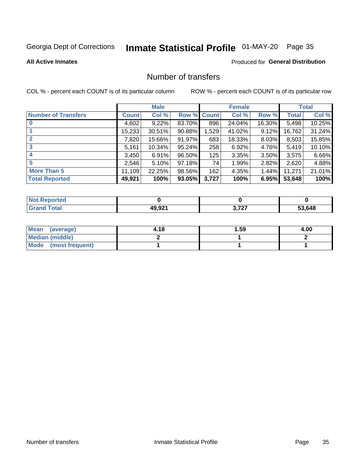# Inmate Statistical Profile 01-MAY-20 Page 35

#### **All Active Inmates**

### **Produced for General Distribution**

### Number of transfers

COL % - percent each COUNT is of its particular column

|                            |         | <b>Male</b> |                    |       | <b>Female</b> |          |              | <b>Total</b> |
|----------------------------|---------|-------------|--------------------|-------|---------------|----------|--------------|--------------|
| <b>Number of Transfers</b> | Count l | Col %       | <b>Row % Count</b> |       | Col %         | Row %    | <b>Total</b> | Col %        |
|                            | 4,602   | 9.22%       | 83.70%             | 896   | 24.04%        | 16.30%   | 5,498        | 10.25%       |
|                            | 15,233  | 30.51%      | 90.88%             | 1,529 | 41.02%        | 9.12%    | 16,762       | 31.24%       |
| $\mathbf{2}$               | 7,820   | 15.66%      | 91.97%             | 683   | 18.33%        | $8.03\%$ | 8,503        | 15.85%       |
| 3                          | 5,161   | 10.34%      | 95.24%             | 258   | 6.92%         | 4.76%    | 5,419        | 10.10%       |
| 4                          | 3.450   | 6.91%       | 96.50%             | 125   | 3.35%         | 3.50%    | 3,575        | 6.66%        |
| 5                          | 2,546   | 5.10%       | 97.18%             | 74    | 1.99%         | 2.82%    | 2,620        | 4.88%        |
| <b>More Than 5</b>         | 11,109  | 22.25%      | 98.56%             | 162   | 4.35%         | $1.44\%$ | 11,271       | 21.01%       |
| <b>Total Reported</b>      | 49,921  | 100%        | 93.05%             | 3,727 | 100%          | 6.95%    | 53,648       | 100%         |

| <b>Not Reported</b> |                   |          |        |
|---------------------|-------------------|----------|--------|
| <b>Total</b>        | 49 921<br>19.JZ 1 | דמד<br>. | 53.648 |

| Mean (average)       | 4.18 | 1.59 | 4.00 |
|----------------------|------|------|------|
| Median (middle)      |      |      |      |
| Mode (most frequent) |      |      |      |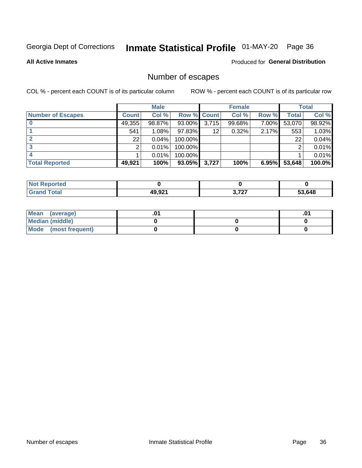# Inmate Statistical Profile 01-MAY-20 Page 36

**All Active Inmates** 

### Produced for General Distribution

# Number of escapes

COL % - percent each COUNT is of its particular column

|                          |              | <b>Male</b> |             |       | <b>Female</b> |       |        | <b>Total</b> |
|--------------------------|--------------|-------------|-------------|-------|---------------|-------|--------|--------------|
| <b>Number of Escapes</b> | <b>Count</b> | Col %       | Row % Count |       | Col %         | Row % | Total  | Col %        |
|                          | 49,355       | 98.87%      | $93.00\%$   | 3,715 | 99.68%        | 7.00% | 53,070 | 98.92%       |
|                          | 541          | 1.08%       | 97.83%      | 12    | 0.32%         | 2.17% | 553    | 1.03%        |
|                          | 22           | 0.04%       | 100.00%     |       |               |       | 22     | 0.04%        |
|                          |              | 0.01%       | 100.00%     |       |               |       | ◠      | 0.01%        |
|                          |              | 0.01%       | 100.00%     |       |               |       |        | 0.01%        |
| <b>Total Reported</b>    | 49,921       | 100%        | $93.05\%$   | 3,727 | 100%          | 6.95% | 53,648 | 100.0%       |

| <b>Not Reported</b> |        |       |        |
|---------------------|--------|-------|--------|
| Total               | 49,921 | 2.727 | 53,648 |

| Mean (average)       |  | .0 <sup>1</sup> |
|----------------------|--|-----------------|
| Median (middle)      |  |                 |
| Mode (most frequent) |  |                 |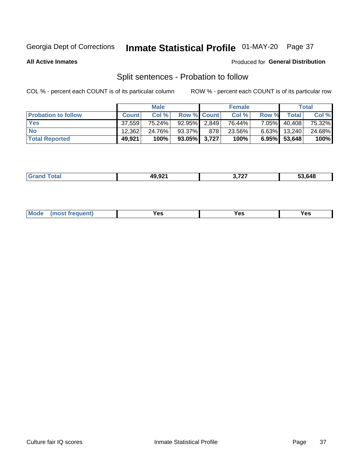# Inmate Statistical Profile 01-MAY-20 Page 37

**All Active Inmates** 

#### Produced for General Distribution

# Split sentences - Probation to follow

COL % - percent each COUNT is of its particular column

|                            |              | <b>Male</b> |                    |     | <b>Female</b> |          |              | <b>Total</b> |
|----------------------------|--------------|-------------|--------------------|-----|---------------|----------|--------------|--------------|
| <b>Probation to follow</b> | <b>Count</b> | Col%        | <b>Row % Count</b> |     | Col %         | Row %    | Total        | Col %        |
| <b>Yes</b>                 | 37.559       | 75.24%      | 92.95% 2.849       |     | 76.44%        | $7.05\%$ | 40,408       | 75.32%       |
| <b>No</b>                  | 12,362       | 24.76%      | 93.37%             | 878 | 23.56%        | $6.63\%$ | 13,240       | 24.68%       |
| <b>Total Reported</b>      | 49,921       | 100%        | $93.05\%$ 3,727    |     | 100%          |          | 6.95% 53,648 | 100%         |

| $AO$ $O2'$<br>--- | , ,,,<br>. .<br>$\sim$ . The contract of the contract of the contract of the contract of the contract of the contract of the contract of the contract of the contract of the contract of the contract of the contract of the contract of the co | 53.648 |
|-------------------|-------------------------------------------------------------------------------------------------------------------------------------------------------------------------------------------------------------------------------------------------|--------|
|                   |                                                                                                                                                                                                                                                 |        |

| M<br>reauent)<br>/٥<br>$\sim$<br>v.,<br>.<br>w<br>$\cdot$ - $\cdot$ |  |  |  |  |  |
|---------------------------------------------------------------------|--|--|--|--|--|
|---------------------------------------------------------------------|--|--|--|--|--|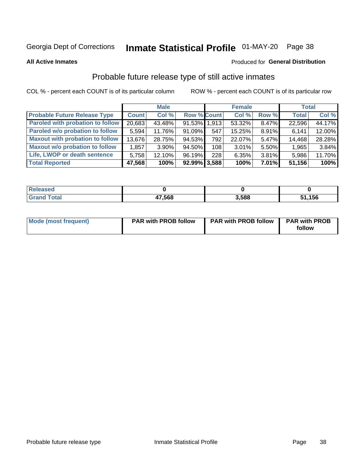# Inmate Statistical Profile 01-MAY-20 Page 38

**All Active Inmates** 

#### Produced for General Distribution

## Probable future release type of still active inmates

COL % - percent each COUNT is of its particular column

|                                         |              | <b>Male</b> |                    |                  | <b>Female</b> |          | <b>Total</b> |        |
|-----------------------------------------|--------------|-------------|--------------------|------------------|---------------|----------|--------------|--------|
| <b>Probable Future Release Type</b>     | <b>Count</b> | Col %       | <b>Row % Count</b> |                  | Col %         | Row %    | <b>Total</b> | Col %  |
| <b>Paroled with probation to follow</b> | 20,683       | 43.48%      | 91.53% 1,913       |                  | 53.32%        | 8.47%    | 22,596       | 44.17% |
| Paroled w/o probation to follow         | 5,594        | 11.76%      | 91.09%             | 547              | 15.25%        | 8.91%    | 6,141        | 12.00% |
| <b>Maxout with probation to follow</b>  | 13,676       | 28.75%      | 94.53%             | 792              | 22.07%        | 5.47%    | 14,468       | 28.28% |
| <b>Maxout w/o probation to follow</b>   | 1,857        | $3.90\%$    | 94.50%             | 108 <sup>1</sup> | 3.01%         | 5.50%    | 1,965        | 3.84%  |
| Life, LWOP or death sentence            | 5,758        | 12.10%      | 96.19%             | 228              | 6.35%         | 3.81%    | 5,986        | 11.70% |
| <b>Total Reported</b>                   | 47,568       | 100%        | $92.99\%$ 3,588    |                  | 100%          | $7.01\%$ | 51,156       | 100%   |

| 75 GU                   |        |       |      |
|-------------------------|--------|-------|------|
| $f$ $f \circ f \circ f$ | 47,568 | 3.588 | ,156 |

| <b>Mode (most frequent)</b> | <b>PAR with PROB follow</b> | <b>PAR with PROB follow</b> | <b>PAR with PROB</b> |
|-----------------------------|-----------------------------|-----------------------------|----------------------|
|                             |                             |                             | follow               |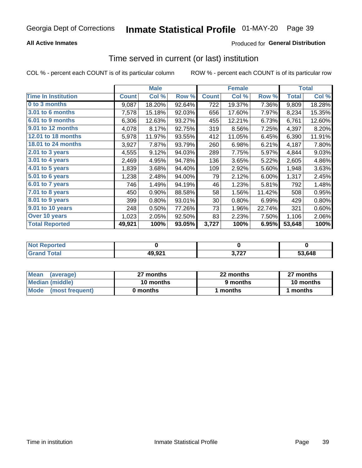### **All Active Inmates**

### **Produced for General Distribution**

### Time served in current (or last) institution

COL % - percent each COUNT is of its particular column

|                            |              | <b>Male</b> |        |              | <b>Female</b> |        |              | <b>Total</b> |
|----------------------------|--------------|-------------|--------|--------------|---------------|--------|--------------|--------------|
| <b>Time In Institution</b> | <b>Count</b> | Col %       | Row %  | <b>Count</b> | Col %         | Row %  | <b>Total</b> | Col %        |
| 0 to 3 months              | 9,087        | 18.20%      | 92.64% | 722          | 19.37%        | 7.36%  | 9,809        | 18.28%       |
| 3.01 to 6 months           | 7,578        | 15.18%      | 92.03% | 656          | 17.60%        | 7.97%  | 8,234        | 15.35%       |
| 6.01 to 9 months           | 6,306        | 12.63%      | 93.27% | 455          | 12.21%        | 6.73%  | 6,761        | 12.60%       |
| 9.01 to 12 months          | 4,078        | 8.17%       | 92.75% | 319          | 8.56%         | 7.25%  | 4,397        | 8.20%        |
| 12.01 to 18 months         | 5,978        | 11.97%      | 93.55% | 412          | 11.05%        | 6.45%  | 6,390        | 11.91%       |
| <b>18.01 to 24 months</b>  | 3,927        | 7.87%       | 93.79% | 260          | 6.98%         | 6.21%  | 4,187        | 7.80%        |
| $2.01$ to 3 years          | 4,555        | 9.12%       | 94.03% | 289          | 7.75%         | 5.97%  | 4,844        | 9.03%        |
| 3.01 to 4 years            | 2,469        | 4.95%       | 94.78% | 136          | 3.65%         | 5.22%  | 2,605        | 4.86%        |
| 4.01 to 5 years            | 1,839        | 3.68%       | 94.40% | 109          | 2.92%         | 5.60%  | 1,948        | 3.63%        |
| 5.01 to 6 years            | 1,238        | 2.48%       | 94.00% | 79           | 2.12%         | 6.00%  | 1,317        | 2.45%        |
| 6.01 to 7 years            | 746          | 1.49%       | 94.19% | 46           | 1.23%         | 5.81%  | 792          | 1.48%        |
| 7.01 to 8 years            | 450          | 0.90%       | 88.58% | 58           | 1.56%         | 11.42% | 508          | 0.95%        |
| 8.01 to 9 years            | 399          | 0.80%       | 93.01% | 30           | 0.80%         | 6.99%  | 429          | 0.80%        |
| 9.01 to 10 years           | 248          | 0.50%       | 77.26% | 73           | 1.96%         | 22.74% | 321          | 0.60%        |
| Over 10 years              | 1,023        | 2.05%       | 92.50% | 83           | 2.23%         | 7.50%  | 1,106        | 2.06%        |
| <b>Total Reported</b>      | 49,921       | 100%        | 93.05% | 3,727        | 100%          | 6.95%  | 53,648       | 100%         |

| orted<br><b>Not</b> |        |                |        |
|---------------------|--------|----------------|--------|
| .'otal              | 49,921 | דמד מ<br>,,,,, | 53.648 |

| <b>Mean</b><br>(average) | 27 months | 22 months | 27 months |  |
|--------------------------|-----------|-----------|-----------|--|
| Median (middle)          | 10 months | 9 months  | 10 months |  |
| Mode (most frequent)     | 0 months  | ' months  | months    |  |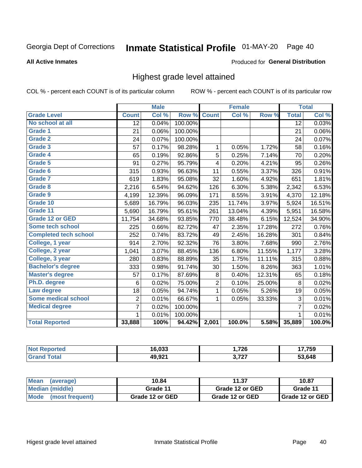#### Inmate Statistical Profile 01-MAY-20 Page 40

#### **All Active Inmates**

#### Produced for General Distribution

### Highest grade level attained

COL % - percent each COUNT is of its particular column

|                              |                 | <b>Male</b> |         |                | <b>Female</b> |        |                 | <b>Total</b> |
|------------------------------|-----------------|-------------|---------|----------------|---------------|--------|-----------------|--------------|
| <b>Grade Level</b>           | <b>Count</b>    | Col %       | Row %   | <b>Count</b>   | Col %         | Row %  | <b>Total</b>    | Col %        |
| No school at all             | $\overline{12}$ | 0.04%       | 100.00% |                |               |        | $\overline{12}$ | 0.03%        |
| <b>Grade 1</b>               | 21              | 0.06%       | 100.00% |                |               |        | 21              | 0.06%        |
| <b>Grade 2</b>               | 24              | 0.07%       | 100.00% |                |               |        | 24              | 0.07%        |
| Grade 3                      | 57              | 0.17%       | 98.28%  | 1              | 0.05%         | 1.72%  | 58              | 0.16%        |
| <b>Grade 4</b>               | 65              | 0.19%       | 92.86%  | 5              | 0.25%         | 7.14%  | 70              | 0.20%        |
| Grade 5                      | 91              | 0.27%       | 95.79%  | 4              | 0.20%         | 4.21%  | 95              | 0.26%        |
| Grade 6                      | 315             | 0.93%       | 96.63%  | 11             | 0.55%         | 3.37%  | 326             | 0.91%        |
| Grade 7                      | 619             | 1.83%       | 95.08%  | 32             | 1.60%         | 4.92%  | 651             | 1.81%        |
| Grade 8                      | 2,216           | 6.54%       | 94.62%  | 126            | 6.30%         | 5.38%  | 2,342           | 6.53%        |
| Grade 9                      | 4,199           | 12.39%      | 96.09%  | 171            | 8.55%         | 3.91%  | 4,370           | 12.18%       |
| Grade 10                     | 5,689           | 16.79%      | 96.03%  | 235            | 11.74%        | 3.97%  | 5,924           | 16.51%       |
| Grade 11                     | 5,690           | 16.79%      | 95.61%  | 261            | 13.04%        | 4.39%  | 5,951           | 16.58%       |
| <b>Grade 12 or GED</b>       | 11,754          | 34.68%      | 93.85%  | 770            | 38.48%        | 6.15%  | 12,524          | 34.90%       |
| <b>Some tech school</b>      | 225             | 0.66%       | 82.72%  | 47             | 2.35%         | 17.28% | 272             | 0.76%        |
| <b>Completed tech school</b> | 252             | 0.74%       | 83.72%  | 49             | 2.45%         | 16.28% | 301             | 0.84%        |
| College, 1 year              | 914             | 2.70%       | 92.32%  | 76             | 3.80%         | 7.68%  | 990             | 2.76%        |
| College, 2 year              | 1,041           | 3.07%       | 88.45%  | 136            | 6.80%         | 11.55% | 1,177           | 3.28%        |
| College, 3 year              | 280             | 0.83%       | 88.89%  | 35             | 1.75%         | 11.11% | 315             | 0.88%        |
| <b>Bachelor's degree</b>     | 333             | 0.98%       | 91.74%  | 30             | 1.50%         | 8.26%  | 363             | 1.01%        |
| <b>Master's degree</b>       | 57              | 0.17%       | 87.69%  | 8              | 0.40%         | 12.31% | 65              | 0.18%        |
| Ph.D. degree                 | 6               | 0.02%       | 75.00%  | $\overline{2}$ | 0.10%         | 25.00% | 8               | 0.02%        |
| Law degree                   | 18              | 0.05%       | 94.74%  | $\mathbf{1}$   | 0.05%         | 5.26%  | 19              | 0.05%        |
| <b>Some medical school</b>   | $\overline{2}$  | 0.01%       | 66.67%  | 1              | 0.05%         | 33.33% | 3               | 0.01%        |
| <b>Medical degree</b>        | $\overline{7}$  | 0.02%       | 100.00% |                |               |        | $\overline{7}$  | 0.02%        |
|                              | 1.              | 0.01%       | 100.00% |                |               |        | 1               | 0.01%        |
| <b>Total Reported</b>        | 33,888          | 100%        | 94.42%  | 2,001          | 100.0%        | 5.58%  | 35,889          | 100.0%       |

| ימה הו                              | ,726<br>. – - | 7759 |
|-------------------------------------|---------------|------|
| ៱៱ ៱៱៱<br>$\cdots$<br>$\sim$ $\sim$ | דמד מ<br>.    | 648  |

| <b>Mean</b><br>(average) | 10.84           | 11.37           | 10.87           |  |
|--------------------------|-----------------|-----------------|-----------------|--|
| Median (middle)          | Grade 11        | Grade 12 or GED | Grade 11        |  |
| Mode (most frequent)     | Grade 12 or GED | Grade 12 or GED | Grade 12 or GED |  |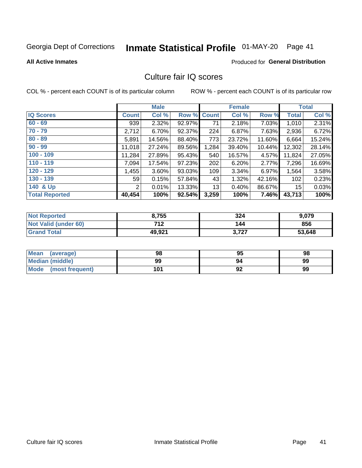# Inmate Statistical Profile 01-MAY-20 Page 41

#### **All Active Inmates**

### **Produced for General Distribution**

### Culture fair IQ scores

COL % - percent each COUNT is of its particular column

|                       |              | <b>Male</b> |             |       | <b>Female</b> |        |              | <b>Total</b> |
|-----------------------|--------------|-------------|-------------|-------|---------------|--------|--------------|--------------|
| <b>IQ Scores</b>      | <b>Count</b> | Col %       | Row % Count |       | Col %         | Row %  | <b>Total</b> | Col %        |
| $60 - 69$             | 939          | 2.32%       | 92.97%      | 71    | 2.18%         | 7.03%  | 1,010        | 2.31%        |
| $70 - 79$             | 2,712        | 6.70%       | 92.37%      | 224   | 6.87%         | 7.63%  | 2,936        | 6.72%        |
| $80 - 89$             | 5,891        | 14.56%      | 88.40%      | 773   | 23.72%        | 11.60% | 6,664        | 15.24%       |
| $90 - 99$             | 11,018       | 27.24%      | 89.56%      | 1,284 | 39.40%        | 10.44% | 12,302       | 28.14%       |
| $100 - 109$           | 11,284       | 27.89%      | 95.43%      | 540   | 16.57%        | 4.57%  | 11,824       | 27.05%       |
| $110 - 119$           | 7,094        | 17.54%      | 97.23%      | 202   | 6.20%         | 2.77%  | 7,296        | 16.69%       |
| $120 - 129$           | ,455         | 3.60%       | 93.03%      | 109   | 3.34%         | 6.97%  | 1,564        | 3.58%        |
| $130 - 139$           | 59           | 0.15%       | 57.84%      | 43    | 1.32%         | 42.16% | 102          | 0.23%        |
| 140 & Up              | 2            | 0.01%       | 13.33%      | 13    | 0.40%         | 86.67% | 15           | 0.03%        |
| <b>Total Reported</b> | 40,454       | 100%        | 92.54%      | 3,259 | 100%          | 7.46%  | 43,713       | 100%         |

| <b>Not Reported</b>         | 8,755  | 324   | 9,079  |
|-----------------------------|--------|-------|--------|
| <b>Not Valid (under 60)</b> | 712    | 144   | 856    |
| <b>Grand Total</b>          | 49,921 | 3,727 | 53,648 |

| <b>Mean</b><br>(average) | 98  | 95 | 98 |
|--------------------------|-----|----|----|
| <b>Median (middle)</b>   | 99  | 94 | 99 |
| Mode<br>(most frequent)  | 101 | 92 | 99 |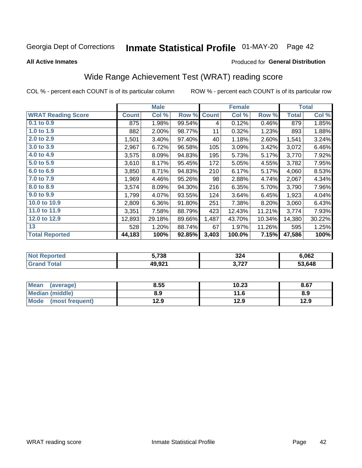# Inmate Statistical Profile 01-MAY-20 Page 42

#### **All Active Inmates**

#### Produced for General Distribution

## Wide Range Achievement Test (WRAT) reading score

COL % - percent each COUNT is of its particular column

|                           |              | <b>Male</b> |        |              | <b>Female</b> |        |              | <b>Total</b> |
|---------------------------|--------------|-------------|--------|--------------|---------------|--------|--------------|--------------|
| <b>WRAT Reading Score</b> | <b>Count</b> | Col %       | Row %  | <b>Count</b> | Col %         | Row %  | <b>Total</b> | Col %        |
| $0.1$ to $0.9$            | 875          | 1.98%       | 99.54% | 4            | 0.12%         | 0.46%  | 879          | 1.85%        |
| 1.0 to 1.9                | 882          | 2.00%       | 98.77% | 11           | 0.32%         | 1.23%  | 893          | 1.88%        |
| 2.0 to 2.9                | 1,501        | 3.40%       | 97.40% | 40           | 1.18%         | 2.60%  | 1,541        | 3.24%        |
| 3.0 to 3.9                | 2,967        | 6.72%       | 96.58% | 105          | 3.09%         | 3.42%  | 3,072        | 6.46%        |
| 4.0 to 4.9                | 3,575        | 8.09%       | 94.83% | 195          | 5.73%         | 5.17%  | 3,770        | 7.92%        |
| 5.0 to 5.9                | 3,610        | 8.17%       | 95.45% | 172          | 5.05%         | 4.55%  | 3,782        | 7.95%        |
| 6.0 to 6.9                | 3,850        | 8.71%       | 94.83% | 210          | 6.17%         | 5.17%  | 4,060        | 8.53%        |
| 7.0 to 7.9                | 1,969        | 4.46%       | 95.26% | 98           | 2.88%         | 4.74%  | 2,067        | 4.34%        |
| 8.0 to 8.9                | 3,574        | 8.09%       | 94.30% | 216          | 6.35%         | 5.70%  | 3,790        | 7.96%        |
| 9.0 to 9.9                | 1,799        | 4.07%       | 93.55% | 124          | 3.64%         | 6.45%  | 1,923        | 4.04%        |
| 10.0 to 10.9              | 2,809        | 6.36%       | 91.80% | 251          | 7.38%         | 8.20%  | 3,060        | 6.43%        |
| 11.0 to 11.9              | 3,351        | 7.58%       | 88.79% | 423          | 12.43%        | 11.21% | 3,774        | 7.93%        |
| 12.0 to 12.9              | 12,893       | 29.18%      | 89.66% | 1,487        | 43.70%        | 10.34% | 14,380       | 30.22%       |
| 13                        | 528          | 1.20%       | 88.74% | 67           | 1.97%         | 11.26% | 595          | 1.25%        |
| <b>Total Reported</b>     | 44,183       | 100%        | 92.85% | 3,403        | 100.0%        | 7.15%  | 47,586       | 100%         |

| <b>Not</b><br><b>Reported</b> | 5,738             | 324          | 6,062  |
|-------------------------------|-------------------|--------------|--------|
| `otal                         | 49 Q21<br>45.JZ I | דמד<br>J.IL. | 53,648 |

| <b>Mean</b><br>(average) | 8.55 | 10.23 | 8.67 |
|--------------------------|------|-------|------|
| Median (middle)          | 8.9  | 11.6  | 8.9  |
| Mode<br>(most frequent)  | 12.9 | 12.9  | 12.9 |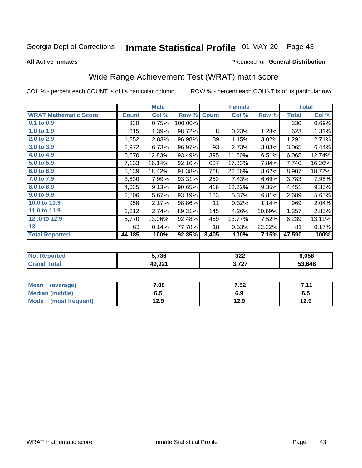# Inmate Statistical Profile 01-MAY-20 Page 43

**All Active Inmates** 

#### Produced for General Distribution

## Wide Range Achievement Test (WRAT) math score

COL % - percent each COUNT is of its particular column

|                              |              | <b>Male</b> |         |              | <b>Female</b> |        |              | <b>Total</b> |
|------------------------------|--------------|-------------|---------|--------------|---------------|--------|--------------|--------------|
| <b>WRAT Mathematic Score</b> | <b>Count</b> | Col %       | Row %   | <b>Count</b> | Col %         | Row %  | <b>Total</b> | Col %        |
| 0.1 to 0.9                   | 330          | 0.75%       | 100.00% |              |               |        | 330          | 0.69%        |
| 1.0 to 1.9                   | 615          | 1.39%       | 98.72%  | 8            | 0.23%         | 1.28%  | 623          | 1.31%        |
| 2.0 to 2.9                   | 1,252        | 2.83%       | 96.98%  | 39           | 1.15%         | 3.02%  | 1,291        | 2.71%        |
| 3.0 to 3.9                   | 2,972        | 6.73%       | 96.97%  | 93           | 2.73%         | 3.03%  | 3,065        | 6.44%        |
| 4.0 to 4.9                   | 5,670        | 12.83%      | 93.49%  | 395          | 11.60%        | 6.51%  | 6,065        | 12.74%       |
| 5.0 to 5.9                   | 7,133        | 16.14%      | 92.16%  | 607          | 17.83%        | 7.84%  | 7,740        | 16.26%       |
| 6.0 to 6.9                   | 8,139        | 18.42%      | 91.38%  | 768          | 22.56%        | 8.62%  | 8,907        | 18.72%       |
| 7.0 to 7.9                   | 3,530        | 7.99%       | 93.31%  | 253          | 7.43%         | 6.69%  | 3,783        | 7.95%        |
| 8.0 to 8.9                   | 4,035        | 9.13%       | 90.65%  | 416          | 12.22%        | 9.35%  | 4,451        | 9.35%        |
| 9.0 to 9.9                   | 2,506        | 5.67%       | 93.19%  | 183          | 5.37%         | 6.81%  | 2,689        | 5.65%        |
| 10.0 to 10.9                 | 958          | 2.17%       | 98.86%  | 11           | 0.32%         | 1.14%  | 969          | 2.04%        |
| 11.0 to 11.9                 | 1,212        | 2.74%       | 89.31%  | 145          | 4.26%         | 10.69% | 1,357        | 2.85%        |
| 12.0 to 12.9                 | 5,770        | 13.06%      | 92.48%  | 469          | 13.77%        | 7.52%  | 6,239        | 13.11%       |
| 13                           | 63           | 0.14%       | 77.78%  | 18           | 0.53%         | 22.22% | 81           | 0.17%        |
| <b>Total Reported</b>        | 44,185       | 100%        | 92.85%  | 3,405        | 100%          | 7.15%  | 47,590       | 100%         |

| <b>NOT</b><br>≺eported | 5,736  | 322            | 6,058  |
|------------------------|--------|----------------|--------|
| <b>otal</b>            | 49,921 | דמד מ<br>J.IZ. | 53.648 |

| <b>Mean</b><br>(average) | 7.08 | 7.52 | 7.11<br>. |
|--------------------------|------|------|-----------|
| Median (middle)          | כ.ס  | 6.9  | ხ.მ       |
| Mode<br>(most frequent)  | 12.9 | 12.9 | 12.9      |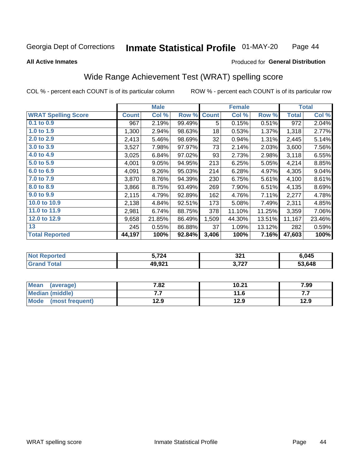#### Inmate Statistical Profile 01-MAY-20 Page 44

#### **All Active Inmates**

#### Produced for General Distribution

### Wide Range Achievement Test (WRAT) spelling score

COL % - percent each COUNT is of its particular column

|                            |         | <b>Male</b> |        |              | <b>Female</b> |        |              | <b>Total</b> |
|----------------------------|---------|-------------|--------|--------------|---------------|--------|--------------|--------------|
| <b>WRAT Spelling Score</b> | Count l | Col %       | Row %  | <b>Count</b> | Col %         | Row %  | <b>Total</b> | Col %        |
| $0.1$ to $0.9$             | 967     | 2.19%       | 99.49% | 5            | 0.15%         | 0.51%  | 972          | 2.04%        |
| 1.0 to 1.9                 | 1,300   | 2.94%       | 98.63% | 18           | 0.53%         | 1.37%  | 1,318        | 2.77%        |
| 2.0 to 2.9                 | 2,413   | 5.46%       | 98.69% | 32           | 0.94%         | 1.31%  | 2,445        | 5.14%        |
| 3.0 to 3.9                 | 3,527   | 7.98%       | 97.97% | 73           | 2.14%         | 2.03%  | 3,600        | 7.56%        |
| 4.0 to 4.9                 | 3,025   | 6.84%       | 97.02% | 93           | 2.73%         | 2.98%  | 3,118        | 6.55%        |
| 5.0 to 5.9                 | 4,001   | 9.05%       | 94.95% | 213          | 6.25%         | 5.05%  | 4,214        | 8.85%        |
| 6.0 to 6.9                 | 4,091   | 9.26%       | 95.03% | 214          | 6.28%         | 4.97%  | 4,305        | 9.04%        |
| 7.0 to 7.9                 | 3,870   | 8.76%       | 94.39% | 230          | 6.75%         | 5.61%  | 4,100        | 8.61%        |
| 8.0 to 8.9                 | 3,866   | 8.75%       | 93.49% | 269          | 7.90%         | 6.51%  | 4,135        | 8.69%        |
| 9.0 to 9.9                 | 2,115   | 4.79%       | 92.89% | 162          | 4.76%         | 7.11%  | 2,277        | 4.78%        |
| 10.0 to 10.9               | 2,138   | 4.84%       | 92.51% | 173          | 5.08%         | 7.49%  | 2,311        | 4.85%        |
| 11.0 to 11.9               | 2,981   | 6.74%       | 88.75% | 378          | 11.10%        | 11.25% | 3,359        | 7.06%        |
| 12.0 to 12.9               | 9,658   | 21.85%      | 86.49% | 1,509        | 44.30%        | 13.51% | 11,167       | 23.46%       |
| 13                         | 245     | 0.55%       | 86.88% | 37           | 1.09%         | 13.12% | 282          | 0.59%        |
| <b>Total Reported</b>      | 44,197  | 100%        | 92.84% | 3,406        | 100%          | 7.16%  | 47,603       | 100%         |

| тео | 724    | 321            | 6,045  |
|-----|--------|----------------|--------|
|     | 49,921 | דמד ו<br>,,,,, | 53.648 |

| <b>Mean</b><br>(average) | 7.82 | 10.21 | 7.99 |
|--------------------------|------|-------|------|
| Median (middle)          | .    | 11.6  | .    |
| Mode<br>(most frequent)  | 12.9 | 12.9  | 12.9 |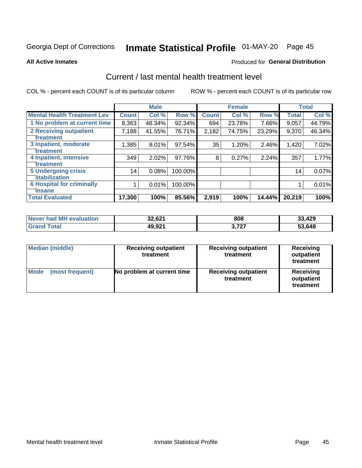# Inmate Statistical Profile 01-MAY-20 Page 45

**All Active Inmates** 

#### Produced for General Distribution

### Current / last mental health treatment level

COL % - percent each COUNT is of its particular column

|                                    |              | <b>Male</b> |         |              | <b>Female</b> |        |              | <b>Total</b> |
|------------------------------------|--------------|-------------|---------|--------------|---------------|--------|--------------|--------------|
| <b>Mental Health Treatment Lev</b> | <b>Count</b> | Col %       | Row %   | <b>Count</b> | Col %         | Row %  | <b>Total</b> | Col %        |
| 1 No problem at current time       | 8,363        | 48.34%      | 92.34%  | 694          | 23.78%        | 7.66%  | 9,057        | 44.79%       |
| 2 Receiving outpatient             | 7,188        | 41.55%      | 76.71%  | 2,182        | 74.75%        | 23.29% | 9,370        | 46.34%       |
| <b>Treatment</b>                   |              |             |         |              |               |        |              |              |
| 3 Inpatient, moderate              | 1,385        | 8.01%       | 97.54%  | 35           | 1.20%         | 2.46%  | 1,420        | 7.02%        |
| Treatment                          |              |             |         |              |               |        |              |              |
| 4 Inpatient, intensive             | 349          | 2.02%       | 97.76%  | 8            | 0.27%         | 2.24%  | 357          | 1.77%        |
| <b>Treatment</b>                   |              |             |         |              |               |        |              |              |
| <b>5 Undergoing crisis</b>         | 14           | 0.08%       | 100.00% |              |               |        | 14           | 0.07%        |
| <b>stabilization</b>               |              |             |         |              |               |        |              |              |
| <b>6 Hospital for criminally</b>   |              | 0.01%       | 100.00% |              |               |        |              | 0.01%        |
| <b>Tinsane</b>                     |              |             |         |              |               |        |              |              |
| <b>Total Evaluated</b>             | 17,300       | 100%        | 85.56%  | 2,919        | 100%          | 14.44% | 20,219       | 100%         |

| Never had MH evaluation | 32,621 | 808   | 33,429 |
|-------------------------|--------|-------|--------|
| <b>Grand Total</b>      | 49,921 | 3,727 | 53,648 |

| <b>Median (middle)</b>         | <b>Receiving outpatient</b><br>treatment | <b>Receiving outpatient</b><br>treatment | <b>Receiving</b><br>outpatient<br>treatment |  |  |
|--------------------------------|------------------------------------------|------------------------------------------|---------------------------------------------|--|--|
| <b>Mode</b><br>(most frequent) | No problem at current time               | <b>Receiving outpatient</b><br>treatment | Receiving<br>outpatient<br>treatment        |  |  |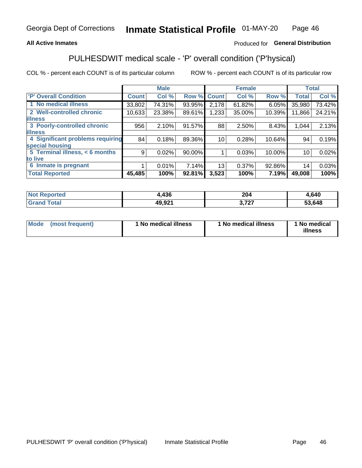### **All Active Inmates**

### Produced for General Distribution

## PULHESDWIT medical scale - 'P' overall condition ('P'hysical)

COL % - percent each COUNT is of its particular column

|                                  |              | <b>Male</b> |        |              | <b>Female</b> |        |                 | <b>Total</b> |
|----------------------------------|--------------|-------------|--------|--------------|---------------|--------|-----------------|--------------|
| 'P' Overall Condition            | <b>Count</b> | Col %       | Row %  | <b>Count</b> | Col %         | Row %  | <b>Total</b>    | Col %        |
| 1 No medical illness             | 33,802       | 74.31%      | 93.95% | 2,178        | 61.82%        | 6.05%  | 35,980          | 73.42%       |
| 2 Well-controlled chronic        | 10,633       | 23.38%      | 89.61% | 1,233        | 35.00%        | 10.39% | 11,866          | 24.21%       |
| <b>lillness</b>                  |              |             |        |              |               |        |                 |              |
| 3 Poorly-controlled chronic      | 956          | 2.10%       | 91.57% | 88           | 2.50%         | 8.43%  | 1,044           | 2.13%        |
| <b>illness</b>                   |              |             |        |              |               |        |                 |              |
| 4 Significant problems requiring | 84           | 0.18%       | 89.36% | 10           | 0.28%         | 10.64% | 94              | 0.19%        |
| special housing                  |              |             |        |              |               |        |                 |              |
| 5 Terminal illness, < 6 months   | 9            | 0.02%       | 90.00% |              | 0.03%         | 10.00% | 10 <sup>1</sup> | 0.02%        |
| to live                          |              |             |        |              |               |        |                 |              |
| 6 Inmate is pregnant             |              | 0.01%       | 7.14%  | 13           | 0.37%         | 92.86% | 14              | 0.03%        |
| <b>Total Reported</b>            | 45,485       | 100%        | 92.81% | 3,523        | 100%          | 7.19%  | 49,008          | 100%         |

| тео | 1,436              | 20 <sub>1</sub><br>–∪4 | .640   |
|-----|--------------------|------------------------|--------|
|     | 49.92 <sup>4</sup> | 707<br>. .             | 53,648 |

| Mode | (most frequent) | 1 No medical illness | 1 No medical illness | 1 No medical<br>illness |
|------|-----------------|----------------------|----------------------|-------------------------|
|------|-----------------|----------------------|----------------------|-------------------------|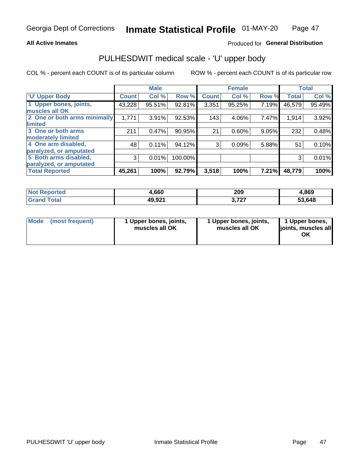#### **All Active Inmates**

### Produced for General Distribution

# PULHESDWIT medical scale - 'U' upper body

COL % - percent each COUNT is of its particular column

|                                                  |              | <b>Male</b> |         |              | <b>Female</b> |       |              | <b>Total</b> |
|--------------------------------------------------|--------------|-------------|---------|--------------|---------------|-------|--------------|--------------|
| <b>U' Upper Body</b>                             | <b>Count</b> | Col %       | Row %   | <b>Count</b> | Col %         | Row % | <b>Total</b> | Col %        |
| 1 Upper bones, joints,<br>muscles all OK         | 43,228       | 95.51%      | 92.81%  | 3,351        | 95.25%        | 7.19% | 46,579       | 95.49%       |
| 2 One or both arms minimally<br>limited          | 1,771        | 3.91%       | 92.53%  | 143          | 4.06%         | 7.47% | 1,914        | 3.92%        |
| 3 One or both arms<br><b>moderately limited</b>  | 211          | 0.47%       | 90.95%  | 21           | 0.60%         | 9.05% | 232          | 0.48%        |
| 4 One arm disabled,<br>paralyzed, or amputated   | 48           | 0.11%       | 94.12%  | 3            | 0.09%         | 5.88% | 51           | 0.10%        |
| 5 Both arms disabled,<br>paralyzed, or amputated | 3            | 0.01%       | 100.00% |              |               |       | 3            | 0.01%        |
| <b>Total Reported</b>                            | 45,261       | 100%        | 92.79%  | 3,518        | 100%          | 7.21% | 48,779       | 100%         |

| <b>Not Reported</b>   | 1,660  | 209             | 4,869  |
|-----------------------|--------|-----------------|--------|
| <b>Total</b><br>Grand | 49,921 | . 707<br>J.I 41 | 53,648 |

| Mode | (most frequent) | 1 Upper bones, joints,<br>muscles all OK | 1 Upper bones, joints,<br>muscles all OK | 1 Upper bones,<br>joints, muscles all<br>ΟK |
|------|-----------------|------------------------------------------|------------------------------------------|---------------------------------------------|
|------|-----------------|------------------------------------------|------------------------------------------|---------------------------------------------|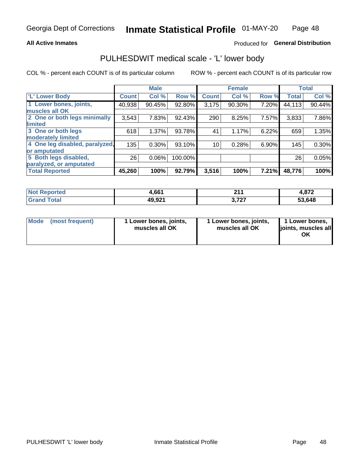#### **All Active Inmates**

### Produced for General Distribution

### PULHESDWIT medical scale - 'L' lower body

COL % - percent each COUNT is of its particular column

|                                |              | <b>Male</b> |         |              | <b>Female</b> |       |              | <b>Total</b> |
|--------------------------------|--------------|-------------|---------|--------------|---------------|-------|--------------|--------------|
| 'L' Lower Body                 | <b>Count</b> | Col %       | Row %   | <b>Count</b> | Col %         | Row % | <b>Total</b> | Col %        |
| 1 Lower bones, joints,         | 40,938       | 90.45%      | 92.80%  | 3,175        | 90.30%        | 7.20% | 44,113       | 90.44%       |
| muscles all OK                 |              |             |         |              |               |       |              |              |
| 2 One or both legs minimally   | 3,543        | 7.83%       | 92.43%  | 290          | 8.25%         | 7.57% | 3,833        | 7.86%        |
| limited                        |              |             |         |              |               |       |              |              |
| 3 One or both legs             | 618          | 1.37%       | 93.78%  | 41           | 1.17%         | 6.22% | 659          | 1.35%        |
| moderately limited             |              |             |         |              |               |       |              |              |
| 4 One leg disabled, paralyzed, | 135          | 0.30%       | 93.10%  | 10           | 0.28%         | 6.90% | 145          | 0.30%        |
| or amputated                   |              |             |         |              |               |       |              |              |
| 5 Both legs disabled,          | 26           | 0.06%       | 100.00% |              |               |       | 26           | 0.05%        |
| paralyzed, or amputated        |              |             |         |              |               |       |              |              |
| <b>Total Reported</b>          | 45,260       | 100%        | 92.79%  | 3,516        | 100%          | 7.21% | 48,776       | 100%         |

| <b>Not Reported</b>     | 4,661  | ດ4⊿<br>- - -    | 4,872  |
|-------------------------|--------|-----------------|--------|
| <b>Total</b><br>' Grand | 49,921 | דמד מ<br>J.I 41 | 53,648 |

| Mode | (most frequent) | 1 Lower bones, joints,<br>muscles all OK | I Lower bones, joints,<br>muscles all OK | 1 Lower bones,<br>joints, muscles all<br>ΟK |
|------|-----------------|------------------------------------------|------------------------------------------|---------------------------------------------|
|------|-----------------|------------------------------------------|------------------------------------------|---------------------------------------------|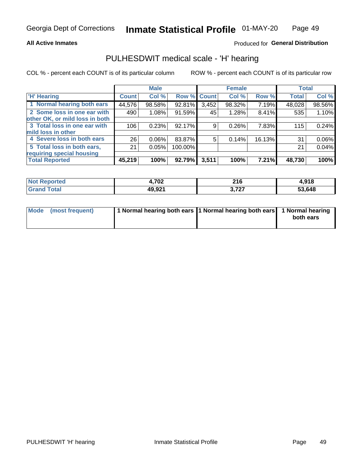#### **All Active Inmates**

### Produced for General Distribution

### PULHESDWIT medical scale - 'H' hearing

COL % - percent each COUNT is of its particular column

|                                |              | <b>Male</b> |             |       | <b>Female</b> |        | <b>Total</b> |        |
|--------------------------------|--------------|-------------|-------------|-------|---------------|--------|--------------|--------|
| <b>'H' Hearing</b>             | <b>Count</b> | Col %       | Row % Count |       | Col %         | Row %  | <b>Total</b> | Col %  |
| 1 Normal hearing both ears     | 44,576       | 98.58%      | 92.81%      | 3,452 | 98.32%        | 7.19%  | 48,028       | 98.56% |
| 2 Some loss in one ear with    | 490          | 1.08%       | 91.59%      | 45    | 1.28%         | 8.41%  | 535          | 1.10%  |
| other OK, or mild loss in both |              |             |             |       |               |        |              |        |
| 3 Total loss in one ear with   | 106          | 0.23%       | 92.17%      | 9     | 0.26%         | 7.83%  | 115          | 0.24%  |
| mild loss in other             |              |             |             |       |               |        |              |        |
| 4 Severe loss in both ears     | 26           | 0.06%       | 83.87%      | 5     | 0.14%         | 16.13% | 31           | 0.06%  |
| 5 Total loss in both ears,     | 21           | 0.05%       | 100.00%     |       |               |        | 21           | 0.04%  |
| requiring special housing      |              |             |             |       |               |        |              |        |
| <b>Total Reported</b>          | 45,219       | 100%        | 92.79%      | 3,511 | 100%          | 7.21%  | 48,730       | 100%   |

| <b>Not Reno</b><br>™orted | 4,702  | <b>040</b><br><b>LIV</b> | 1,918  |
|---------------------------|--------|--------------------------|--------|
| Total                     | 49,921 | דמד<br>J. I <i>L</i> . I | 53,648 |

| Mode (most frequent) | 1 Normal hearing both ears 1 Normal hearing both ears 1 Normal hearing | both ears |
|----------------------|------------------------------------------------------------------------|-----------|
|                      |                                                                        |           |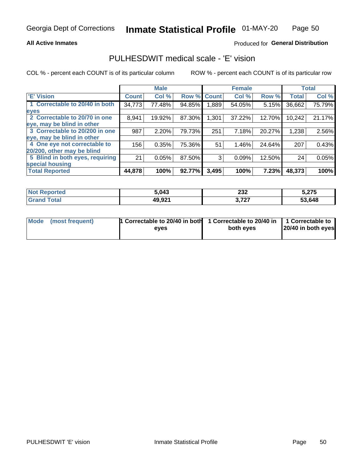#### **All Active Inmates**

### Produced for General Distribution

### PULHESDWIT medical scale - 'E' vision

COL % - percent each COUNT is of its particular column

|                                 |              | <b>Male</b> |        |              | <b>Female</b> |        |              | <b>Total</b> |
|---------------------------------|--------------|-------------|--------|--------------|---------------|--------|--------------|--------------|
| <b>E' Vision</b>                | <b>Count</b> | Col %       | Row %  | <b>Count</b> | Col %         | Row %  | <b>Total</b> | Col %        |
| 1 Correctable to 20/40 in both  | 34,773       | 77.48%      | 94.85% | ا 889.       | 54.05%        | 5.15%  | 36,662       | 75.79%       |
| eyes                            |              |             |        |              |               |        |              |              |
| 2 Correctable to 20/70 in one   | 8,941        | 19.92%      | 87.30% | 1,301        | 37.22%        | 12.70% | 10,242       | 21.17%       |
| eye, may be blind in other      |              |             |        |              |               |        |              |              |
| 3 Correctable to 20/200 in one  | 987          | 2.20%       | 79.73% | 251          | 7.18%         | 20.27% | 1,238        | 2.56%        |
| eye, may be blind in other      |              |             |        |              |               |        |              |              |
| 4 One eye not correctable to    | 156          | 0.35%       | 75.36% | 51           | 1.46%         | 24.64% | 207          | 0.43%        |
| 20/200, other may be blind      |              |             |        |              |               |        |              |              |
| 5 Blind in both eyes, requiring | 21           | 0.05%       | 87.50% | 3            | 0.09%         | 12.50% | 24           | 0.05%        |
| special housing                 |              |             |        |              |               |        |              |              |
| <b>Total Reported</b>           | 44,878       | 100%        | 92.77% | 3,495        | 100%          | 7.23%  | 48,373       | 100%         |

| <b>Not Reported</b> | 5,043  | າາາ<br>232<br>______ | 5,275  |
|---------------------|--------|----------------------|--------|
| <b>Total</b>        | 49,921 | 272<br>J.I LI        | 53,648 |

| Mode (most frequent) | 1 Correctable to 20/40 in both<br>eves | 1 Correctable to 20/40 in   1 Correctable to  <br>both eves | 20/40 in both eyes |
|----------------------|----------------------------------------|-------------------------------------------------------------|--------------------|
|                      |                                        |                                                             |                    |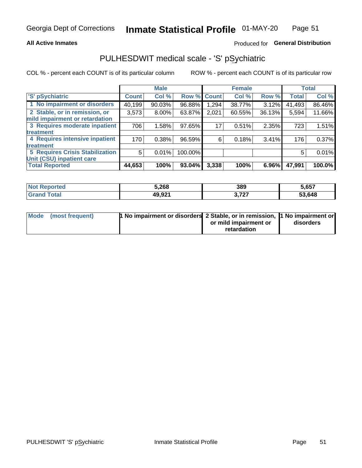#### **All Active Inmates**

### Produced for General Distribution

## PULHESDWIT medical scale - 'S' pSychiatric

COL % - percent each COUNT is of its particular column

|                                        |              | <b>Male</b> |         |              | <b>Female</b> |        |              | <b>Total</b> |
|----------------------------------------|--------------|-------------|---------|--------------|---------------|--------|--------------|--------------|
| 'S' pSychiatric                        | <b>Count</b> | Col %       | Row %   | <b>Count</b> | Col %         | Row %  | <b>Total</b> | Col %        |
| 1 No impairment or disorders           | 40,199       | 90.03%      | 96.88%  | 1,294        | 38.77%        | 3.12%  | 41,493       | 86.46%       |
| 2 Stable, or in remission, or          | 3,573        | $8.00\%$    | 63.87%  | 2,021        | 60.55%        | 36.13% | 5,594        | 11.66%       |
| mild impairment or retardation         |              |             |         |              |               |        |              |              |
| 3 Requires moderate inpatient          | 706          | 1.58%       | 97.65%  | 17           | 0.51%         | 2.35%  | 723          | 1.51%        |
| treatment                              |              |             |         |              |               |        |              |              |
| 4 Requires intensive inpatient         | 170          | 0.38%       | 96.59%  | 6            | 0.18%         | 3.41%  | 176          | 0.37%        |
| treatment                              |              |             |         |              |               |        |              |              |
| <b>5 Requires Crisis Stabilization</b> | 5            | 0.01%       | 100.00% |              |               |        | 5            | 0.01%        |
| Unit (CSU) inpatient care              |              |             |         |              |               |        |              |              |
| <b>Total Reported</b>                  | 44,653       | 100%        | 93.04%  | 3,338        | 100%          | 6.96%  | 47,991       | 100.0%       |

| <b>Not Reported</b>              | 5,268  | 389                          | 5,657            |
|----------------------------------|--------|------------------------------|------------------|
| $\mathsf{Total}$<br><b>Grand</b> | 49,921 | っ フクフ<br>. .<br>$\cdot$ i ai | .648<br>-^<br>ວວ |

| Mode (most frequent) | <b>1 No impairment or disorders 2 Stable, or in remission, 1 No impairment or</b> |                       |           |
|----------------------|-----------------------------------------------------------------------------------|-----------------------|-----------|
|                      |                                                                                   | or mild impairment or | disorders |
|                      |                                                                                   | retardation           |           |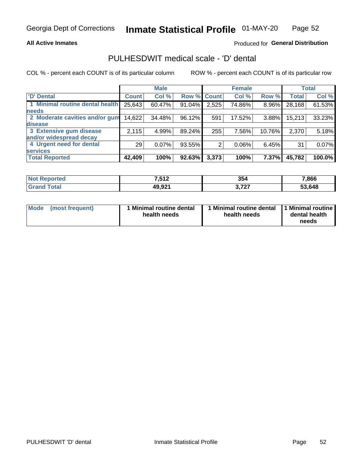#### **All Active Inmates**

### Produced for General Distribution

## PULHESDWIT medical scale - 'D' dental

COL % - percent each COUNT is of its particular column

|                                 |              | <b>Male</b> |             |       | <b>Female</b> |        |              | <b>Total</b> |
|---------------------------------|--------------|-------------|-------------|-------|---------------|--------|--------------|--------------|
| <b>D'</b> Dental                | <b>Count</b> | Col %       | Row % Count |       | Col %         | Row %  | <b>Total</b> | Col %        |
| 1 Minimal routine dental health | 25,643       | 60.47%      | 91.04%      | 2,525 | 74.86%        | 8.96%  | 28,168       | 61.53%       |
| <b>needs</b>                    |              |             |             |       |               |        |              |              |
| 2 Moderate cavities and/or gum  | 14,622       | 34.48%      | 96.12%      | 591   | 17.52%        | 3.88%  | 15,213       | 33.23%       |
| disease                         |              |             |             |       |               |        |              |              |
| 3 Extensive gum disease         | 2,115        | 4.99%       | 89.24%      | 255   | 7.56%         | 10.76% | 2,370        | 5.18%        |
| and/or widespread decay         |              |             |             |       |               |        |              |              |
| 4 Urgent need for dental        | 29           | 0.07%       | 93.55%      | 2     | 0.06%         | 6.45%  | 31           | 0.07%        |
| <b>services</b>                 |              |             |             |       |               |        |              |              |
| <b>Total Reported</b>           | 42,409       | 100%        | 92.63%      | 3,373 | 100%          | 7.37%  | 45,782       | 100.0%       |

| <b>eported</b><br>NO. | <b>7512</b><br>.J I 4 | 354                 | 7,866  |
|-----------------------|-----------------------|---------------------|--------|
| otal                  | 49,921                | 272<br><u>J.ILI</u> | 53,648 |

| Mode | (most frequent) | <b>Minimal routine dental</b><br>health needs | 1 Minimal routine dental 1 Minimal routine<br>health needs | dental health<br>needs |
|------|-----------------|-----------------------------------------------|------------------------------------------------------------|------------------------|
|------|-----------------|-----------------------------------------------|------------------------------------------------------------|------------------------|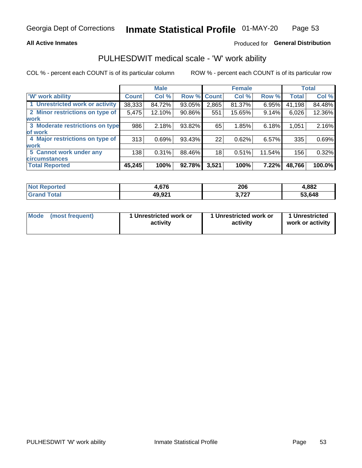#### **All Active Inmates**

### Produced for General Distribution

### PULHESDWIT medical scale - 'W' work ability

COL % - percent each COUNT is of its particular column

|                                 |              | <b>Male</b> |        |             | <b>Female</b> |        |              | <b>Total</b> |
|---------------------------------|--------------|-------------|--------|-------------|---------------|--------|--------------|--------------|
| 'W' work ability                | <b>Count</b> | Col %       |        | Row % Count | Col %         | Row %  | <b>Total</b> | Col %        |
| 1 Unrestricted work or activity | 38,333       | 84.72%      | 93.05% | 2,865       | 81.37%        | 6.95%  | 41,198       | 84.48%       |
| 2 Minor restrictions on type of | 5,475        | 12.10%      | 90.86% | 551         | 15.65%        | 9.14%  | 6,026        | 12.36%       |
| <b>work</b>                     |              |             |        |             |               |        |              |              |
| 3 Moderate restrictions on type | 986          | 2.18%       | 93.82% | 65          | 1.85%         | 6.18%  | 1,051        | 2.16%        |
| lof work                        |              |             |        |             |               |        |              |              |
| 4 Major restrictions on type of | 313          | 0.69%       | 93.43% | 22          | 0.62%         | 6.57%  | 335          | 0.69%        |
| <b>work</b>                     |              |             |        |             |               |        |              |              |
| 5 Cannot work under any         | 138          | 0.31%       | 88.46% | 18          | 0.51%         | 11.54% | 156          | 0.32%        |
| <b>circumstances</b>            |              |             |        |             |               |        |              |              |
| <b>Total Reported</b>           | 45,245       | 100%        | 92.78% | 3,521       | 100%          | 7.22%  | 48,766       | 100.0%       |

| <b>Not Reported</b>   | 676،   | 206          | 4,882  |
|-----------------------|--------|--------------|--------|
| Total<br><b>Grand</b> | 49,921 | 272<br>J.ILI | 53,648 |

| <b>Mode</b>     | 1 Unrestricted work or | 1 Unrestricted work or | 1 Unrestricted   |
|-----------------|------------------------|------------------------|------------------|
| (most frequent) | activity               | activity               | work or activity |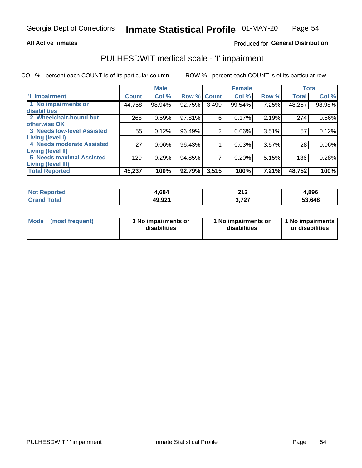#### **All Active Inmates**

### Produced for General Distribution

## PULHESDWIT medical scale - 'I' impairment

COL % - percent each COUNT is of its particular column ROW % - percent each COUNT is of its particular row

|                            |              | <b>Male</b> |             |       | <b>Female</b> |       |              | <b>Total</b> |
|----------------------------|--------------|-------------|-------------|-------|---------------|-------|--------------|--------------|
| 'l' Impairment             | <b>Count</b> | Col %       | Row % Count |       | Col %         | Row % | <b>Total</b> | Col %        |
| 1 No impairments or        | 44,758       | 98.94%      | 92.75%      | 3,499 | 99.54%        | 7.25% | 48,257       | 98.98%       |
| disabilities               |              |             |             |       |               |       |              |              |
| 2 Wheelchair-bound but     | 268          | 0.59%       | $97.81\%$   | 6     | 0.17%         | 2.19% | 274          | 0.56%        |
| otherwise OK               |              |             |             |       |               |       |              |              |
| 3 Needs low-level Assisted | 55           | 0.12%       | 96.49%      | 2     | 0.06%         | 3.51% | 57           | 0.12%        |
| Living (level I)           |              |             |             |       |               |       |              |              |
| 4 Needs moderate Assisted  | 27           | $0.06\%$    | 96.43%      |       | 0.03%         | 3.57% | 28           | 0.06%        |
| Living (level II)          |              |             |             |       |               |       |              |              |
| 5 Needs maximal Assisted   | 129          | 0.29%       | 94.85%      |       | 0.20%         | 5.15% | 136          | 0.28%        |
| <b>Living (level III)</b>  |              |             |             |       |               |       |              |              |
| <b>Total Reported</b>      | 45,237       | 100%        | 92.79%      | 3,515 | 100%          | 7.21% | 48,752       | 100%         |

| <b>Not</b><br>Reported | +.684  | <b>040</b><br>Z I Z | 4,896  |
|------------------------|--------|---------------------|--------|
| Total                  | 49,921 | דמד נ               | 53,648 |

| <b>Mode</b> | (most frequent) | <b>No impairments or</b><br>disabilities | 1 No impairments or<br>disabilities | 1 No impairments<br>or disabilities |
|-------------|-----------------|------------------------------------------|-------------------------------------|-------------------------------------|
|-------------|-----------------|------------------------------------------|-------------------------------------|-------------------------------------|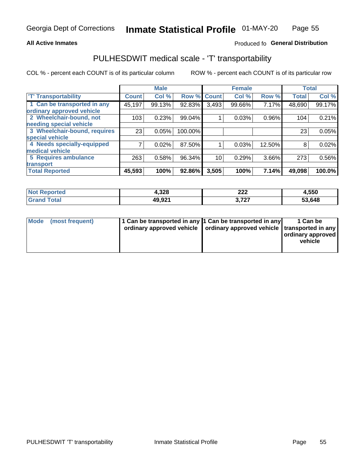#### **All Active Inmates**

### Produced fo General Distribution

### PULHESDWIT medical scale - 'T' transportability

COL % - percent each COUNT is of its particular column

|                              |                    | <b>Male</b> |         |              | <b>Female</b> |        |              | <b>Total</b> |
|------------------------------|--------------------|-------------|---------|--------------|---------------|--------|--------------|--------------|
| <b>T' Transportability</b>   | Count <sup>1</sup> | Col %       | Row %   | <b>Count</b> | Col %         | Row %  | <b>Total</b> | Col %        |
| 1 Can be transported in any  | 45,197             | 99.13%      | 92.83%  | 3,493        | 99.66%        | 7.17%  | 48,690       | 99.17%       |
| ordinary approved vehicle    |                    |             |         |              |               |        |              |              |
| 2 Wheelchair-bound, not      | 103                | 0.23%       | 99.04%  |              | 0.03%         | 0.96%  | 104          | 0.21%        |
| needing special vehicle      |                    |             |         |              |               |        |              |              |
| 3 Wheelchair-bound, requires | 23                 | 0.05%       | 100.00% |              |               |        | 23           | 0.05%        |
| special vehicle              |                    |             |         |              |               |        |              |              |
| 4 Needs specially-equipped   |                    | 0.02%       | 87.50%  |              | 0.03%         | 12.50% | 8            | 0.02%        |
| medical vehicle              |                    |             |         |              |               |        |              |              |
| <b>5 Requires ambulance</b>  | 263                | 0.58%       | 96.34%  | 10           | 0.29%         | 3.66%  | 273          | 0.56%        |
| transport                    |                    |             |         |              |               |        |              |              |
| <b>Total Reported</b>        | 45,593             | 100%        | 92.86%  | 3,505        | 100%          | 7.14%  | 49,098       | 100.0%       |

| <b>ported</b> | 4,328  | າາາ<br>ZZZ | 4,550  |
|---------------|--------|------------|--------|
| <b>otal</b>   | 49,921 | ラヘラ        | 53,648 |

|  | Mode (most frequent) | 1 Can be transported in any 1 Can be transported in any<br>ordinary approved vehicle   ordinary approved vehicle   transported in any |  | 1 Can be<br>  ordinary approved  <br>vehicle |
|--|----------------------|---------------------------------------------------------------------------------------------------------------------------------------|--|----------------------------------------------|
|--|----------------------|---------------------------------------------------------------------------------------------------------------------------------------|--|----------------------------------------------|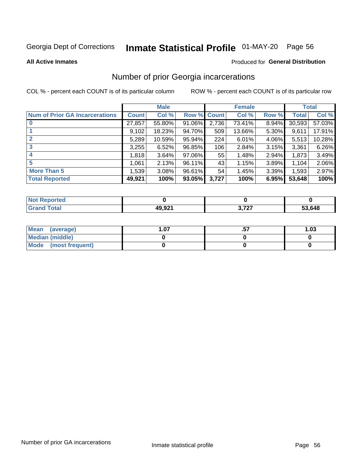# Inmate Statistical Profile 01-MAY-20 Page 56

**All Active Inmates** 

### **Produced for General Distribution**

### Number of prior Georgia incarcerations

COL % - percent each COUNT is of its particular column

|                                       |              | <b>Male</b> |             |       | <b>Female</b> |       |        | <b>Total</b> |
|---------------------------------------|--------------|-------------|-------------|-------|---------------|-------|--------|--------------|
| <b>Num of Prior GA Incarcerations</b> | <b>Count</b> | Col %       | Row % Count |       | Col %         | Row % | Total  | Col %        |
|                                       | 27,857       | 55.80%      | 91.06%      | 2,736 | 73.41%        | 8.94% | 30,593 | 57.03%       |
|                                       | 9,102        | 18.23%      | 94.70%      | 509   | 13.66%        | 5.30% | 9,611  | 17.91%       |
| $\overline{2}$                        | 5,289        | 10.59%      | $95.94\%$   | 224   | 6.01%         | 4.06% | 5,513  | 10.28%       |
| 3                                     | 3,255        | 6.52%       | 96.85%      | 106   | 2.84%         | 3.15% | 3,361  | 6.26%        |
| $\boldsymbol{4}$                      | 1,818        | 3.64%       | 97.06%      | 55    | 1.48%         | 2.94% | 1,873  | 3.49%        |
| 5                                     | 1,061        | 2.13%       | 96.11%      | 43    | 1.15%         | 3.89% | 1,104  | 2.06%        |
| <b>More Than 5</b>                    | 1,539        | 3.08%       | 96.61%      | 54    | 1.45%         | 3.39% | 1,593  | 2.97%        |
| <b>Total Reported</b>                 | 49,921       | 100%        | 93.05%      | 3,727 | 100%          | 6.95% | 53,648 | 100%         |

| <b>Not</b><br>Reported |        |            |        |
|------------------------|--------|------------|--------|
| 「otal<br>"Granu        | 49,921 | דמד מ<br>. | 53,648 |

| Mean (average)       | .07 | 1.03 |
|----------------------|-----|------|
| Median (middle)      |     |      |
| Mode (most frequent) |     |      |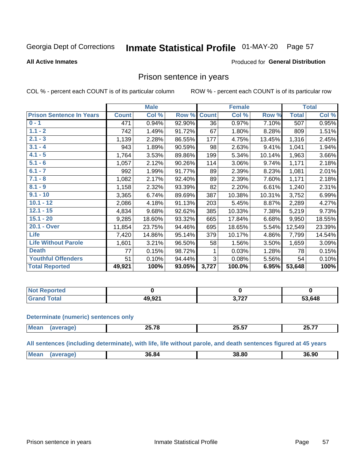#### **Inmate Statistical Profile 01-MAY-20** Page 57

#### **All Active Inmates**

#### Produced for General Distribution

### Prison sentence in years

COL % - percent each COUNT is of its particular column

ROW % - percent each COUNT is of its particular row

|                                 |              | <b>Male</b> |        |              | <b>Female</b> |        |              | <b>Total</b> |
|---------------------------------|--------------|-------------|--------|--------------|---------------|--------|--------------|--------------|
| <b>Prison Sentence In Years</b> | <b>Count</b> | Col %       | Row %  | <b>Count</b> | Col %         | Row %  | <b>Total</b> | Col %        |
| $0 - 1$                         | 471          | 0.94%       | 92.90% | 36           | 0.97%         | 7.10%  | 507          | 0.95%        |
| $1.1 - 2$                       | 742          | 1.49%       | 91.72% | 67           | 1.80%         | 8.28%  | 809          | 1.51%        |
| $2.1 - 3$                       | 1,139        | 2.28%       | 86.55% | 177          | 4.75%         | 13.45% | 1,316        | 2.45%        |
| $3.1 - 4$                       | 943          | 1.89%       | 90.59% | 98           | 2.63%         | 9.41%  | 1,041        | 1.94%        |
| $4.1 - 5$                       | 1,764        | 3.53%       | 89.86% | 199          | 5.34%         | 10.14% | 1,963        | 3.66%        |
| $5.1 - 6$                       | 1,057        | 2.12%       | 90.26% | 114          | 3.06%         | 9.74%  | 1,171        | 2.18%        |
| $6.1 - 7$                       | 992          | 1.99%       | 91.77% | 89           | 2.39%         | 8.23%  | 1,081        | 2.01%        |
| $7.1 - 8$                       | 1,082        | 2.17%       | 92.40% | 89           | 2.39%         | 7.60%  | 1,171        | 2.18%        |
| $8.1 - 9$                       | 1,158        | 2.32%       | 93.39% | 82           | 2.20%         | 6.61%  | 1,240        | 2.31%        |
| $9.1 - 10$                      | 3,365        | 6.74%       | 89.69% | 387          | 10.38%        | 10.31% | 3,752        | 6.99%        |
| $10.1 - 12$                     | 2,086        | 4.18%       | 91.13% | 203          | 5.45%         | 8.87%  | 2,289        | 4.27%        |
| $12.1 - 15$                     | 4,834        | 9.68%       | 92.62% | 385          | 10.33%        | 7.38%  | 5,219        | 9.73%        |
| $15.1 - 20$                     | 9,285        | 18.60%      | 93.32% | 665          | 17.84%        | 6.68%  | 9,950        | 18.55%       |
| 20.1 - Over                     | 11,854       | 23.75%      | 94.46% | 695          | 18.65%        | 5.54%  | 12,549       | 23.39%       |
| <b>Life</b>                     | 7,420        | 14.86%      | 95.14% | 379          | 10.17%        | 4.86%  | 7,799        | 14.54%       |
| <b>Life Without Parole</b>      | 1,601        | 3.21%       | 96.50% | 58           | 1.56%         | 3.50%  | 1,659        | 3.09%        |
| <b>Death</b>                    | 77           | 0.15%       | 98.72% | 1.           | 0.03%         | 1.28%  | 78           | 0.15%        |
| <b>Youthful Offenders</b>       | 51           | 0.10%       | 94.44% | 3            | 0.08%         | 5.56%  | 54           | 0.10%        |
| <b>Total Reported</b>           | 49,921       | 100%        | 93.05% | 3,727        | 100.0%        | 6.95%  | 53,648       | 100%         |

| ported<br>NOT I |        |           |        |
|-----------------|--------|-----------|--------|
| <b>otal</b>     | 49,921 | -707<br>. | 53,648 |

#### **Determinate (numeric) sentences only**

| <b>Mear</b> | or 70<br>- | OF ET<br>-5.57 | <b>OF 77</b><br>---<br>______ |
|-------------|------------|----------------|-------------------------------|
|             |            |                |                               |

All sentences (including determinate), with life, life without parole, and death sentences figured at 45 years

| Mean | 36.84 | 38. 80 | 36.90 |
|------|-------|--------|-------|
|      |       |        |       |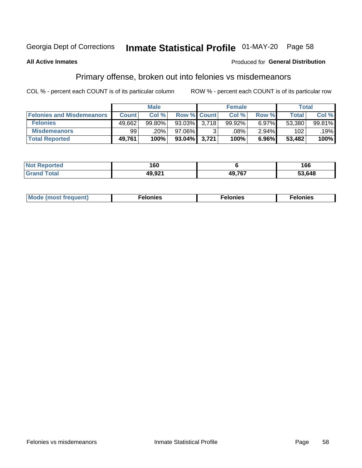# Inmate Statistical Profile 01-MAY-20 Page 58

#### **All Active Inmates**

### **Produced for General Distribution**

### Primary offense, broken out into felonies vs misdemeanors

COL % - percent each COUNT is of its particular column

|                                  |              | <b>Male</b> |              |                    | <b>Female</b>      |       | Total  |        |
|----------------------------------|--------------|-------------|--------------|--------------------|--------------------|-------|--------|--------|
| <b>Felonies and Misdemeanors</b> | <b>Count</b> | Col%        |              | <b>Row % Count</b> | Col%               | Row % | Total, | Col %  |
| <b>Felonies</b>                  | 49,662       | 99.80%      | 93.03%       | 3.718              | 99.92%             | 6.97% | 53,380 | 99.81% |
| <b>Misdemeanors</b>              | 99           | .20%        | 97.06%       |                    | $.08\%$ $^{\circ}$ | 2.94% | 102    | .19%   |
| <b>Total Reported</b>            | 49,761       | 100%        | 93.04% 3,721 |                    | 100%               | 6.96% | 53,482 | 100%   |

| <b>Not</b><br>Reported  | 160    |               | 66     |
|-------------------------|--------|---------------|--------|
| <b>⊺Gran</b> u<br>™otaï | 10 Q21 | <b>10 767</b> | 53.648 |

| <b>Mo</b><br>requent)<br>$\sim$ | nıes | າເes | elonies |
|---------------------------------|------|------|---------|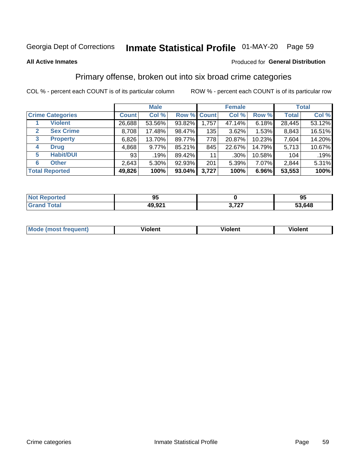# Inmate Statistical Profile 01-MAY-20 Page 59

#### **All Active Inmates**

#### Produced for General Distribution

### Primary offense, broken out into six broad crime categories

COL % - percent each COUNT is of its particular column

|                                  | <b>Male</b>  |        |           | <b>Female</b>      |         |        | <b>Total</b> |        |
|----------------------------------|--------------|--------|-----------|--------------------|---------|--------|--------------|--------|
| <b>Crime Categories</b>          | <b>Count</b> | Col %  |           | <b>Row % Count</b> | Col %   | Row %  | <b>Total</b> | Col %  |
| <b>Violent</b>                   | 26,688       | 53.56% | 93.82%    | 1,757              | 47.14%  | 6.18%  | 28,445       | 53.12% |
| <b>Sex Crime</b><br>$\mathbf{2}$ | 8,708        | 17.48% | 98.47%    | 135                | 3.62%   | 1.53%  | 8,843        | 16.51% |
| 3<br><b>Property</b>             | 6,826        | 13.70% | 89.77%    | 778                | 20.87%  | 10.23% | 7,604        | 14.20% |
| <b>Drug</b><br>4                 | 4,868        | 9.77%  | 85.21%    | 845                | 22.67%  | 14.79% | 5,713        | 10.67% |
| <b>Habit/DUI</b><br>5            | 93           | .19%   | 89.42%    | 11                 | $.30\%$ | 10.58% | 104          | .19%   |
| <b>Other</b><br>6                | 2,643        | 5.30%  | 92.93%    | 201                | 5.39%   | 7.07%  | 2,844        | 5.31%  |
| <b>Total Reported</b>            | 49,826       | 100%   | $93.04\%$ | 3,727              | 100%    | 6.96%  | 53,553       | 100%   |

| Reported<br>NOT. | 0F<br>JJ. |                | 95     |
|------------------|-----------|----------------|--------|
| <b>Total</b>     | 49,921    | דמד י<br>,,,,, | 53,648 |

| Mo<br>uent)<br>nos | .<br>/iolent | <br>Violent | - --<br><b>Tiolent</b> |
|--------------------|--------------|-------------|------------------------|
|                    |              |             |                        |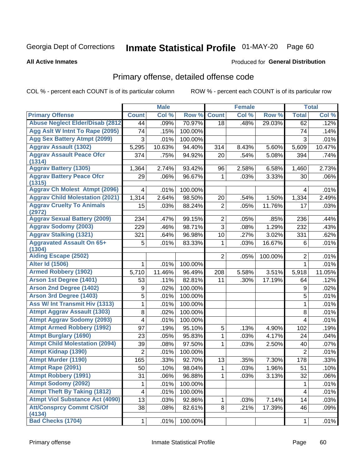# Inmate Statistical Profile 01-MAY-20 Page 60

#### **All Active Inmates**

#### Produced for General Distribution

## Primary offense, detailed offense code

COL % - percent each COUNT is of its particular column

|                                            |                | <b>Male</b> |         |                | <b>Female</b> |         |                | <b>Total</b> |
|--------------------------------------------|----------------|-------------|---------|----------------|---------------|---------|----------------|--------------|
| <b>Primary Offense</b>                     | <b>Count</b>   | Col %       | Row %   | <b>Count</b>   | Col %         | Row %   | <b>Total</b>   | Col %        |
| <b>Abuse Neglect Elder/Disab (2812)</b>    | 44             | .09%        | 70.97%  | 18             | .48%          | 29.03%  | 62             | .12%         |
| Agg Aslt W Intnt To Rape (2095)            | 74             | .15%        | 100.00% |                |               |         | 74             | .14%         |
| <b>Agg Sex Battery Atmpt (2099)</b>        | 3              | .01%        | 100.00% |                |               |         | 3              | .01%         |
| <b>Aggrav Assault (1302)</b>               | 5,295          | 10.63%      | 94.40%  | 314            | 8.43%         | 5.60%   | 5,609          | 10.47%       |
| <b>Aggrav Assault Peace Ofcr</b><br>(1314) | 374            | .75%        | 94.92%  | 20             | .54%          | 5.08%   | 394            | .74%         |
| <b>Aggrav Battery (1305)</b>               | 1,364          | 2.74%       | 93.42%  | 96             | 2.58%         | 6.58%   | 1,460          | 2.73%        |
| <b>Aggrav Battery Peace Ofcr</b><br>(1315) | 29             | .06%        | 96.67%  | 1              | .03%          | 3.33%   | 30             | .06%         |
| <b>Aggrav Ch Molest Atmpt (2096)</b>       | 4              | .01%        | 100.00% |                |               |         | 4              | .01%         |
| <b>Aggrav Child Molestation (2021)</b>     | 1,314          | 2.64%       | 98.50%  | 20             | .54%          | 1.50%   | 1,334          | 2.49%        |
| <b>Aggrav Cruelty To Animals</b><br>(2972) | 15             | .03%        | 88.24%  | $\overline{2}$ | .05%          | 11.76%  | 17             | .03%         |
| <b>Aggrav Sexual Battery (2009)</b>        | 234            | .47%        | 99.15%  | $\overline{2}$ | .05%          | .85%    | 236            | .44%         |
| <b>Aggrav Sodomy (2003)</b>                | 229            | .46%        | 98.71%  | 3              | .08%          | 1.29%   | 232            | .43%         |
| <b>Aggrav Stalking (1321)</b>              | 321            | .64%        | 96.98%  | 10             | .27%          | 3.02%   | 331            | .62%         |
| <b>Aggravated Assault On 65+</b><br>(1304) | 5              | .01%        | 83.33%  | 1              | .03%          | 16.67%  | 6              | .01%         |
| <b>Aiding Escape (2502)</b>                |                |             |         | $\overline{2}$ | .05%          | 100.00% | $\overline{2}$ | .01%         |
| <b>Alter Id (1506)</b>                     | 1              | .01%        | 100.00% |                |               |         | 1              | .01%         |
| <b>Armed Robbery (1902)</b>                | 5,710          | 11.46%      | 96.49%  | 208            | 5.58%         | 3.51%   | 5,918          | 11.05%       |
| Arson 1st Degree (1401)                    | 53             | .11%        | 82.81%  | 11             | .30%          | 17.19%  | 64             | .12%         |
| <b>Arson 2nd Degree (1402)</b>             | 9              | .02%        | 100.00% |                |               |         | 9              | .02%         |
| <b>Arson 3rd Degree (1403)</b>             | 5              | .01%        | 100.00% |                |               |         | 5              | .01%         |
| <b>Ass W/ Int Transmit Hiv (1313)</b>      | 1              | .01%        | 100.00% |                |               |         | 1              | .01%         |
| <b>Atmpt Aggrav Assault (1303)</b>         | 8              | .02%        | 100.00% |                |               |         | 8              | .01%         |
| <b>Atmpt Aggrav Sodomy (2093)</b>          | 4              | .01%        | 100.00% |                |               |         | $\overline{4}$ | .01%         |
| <b>Atmpt Armed Robbery (1992)</b>          | 97             | .19%        | 95.10%  | 5              | .13%          | 4.90%   | 102            | .19%         |
| <b>Atmpt Burglary (1690)</b>               | 23             | .05%        | 95.83%  | 1              | .03%          | 4.17%   | 24             | .04%         |
| <b>Atmpt Child Molestation (2094)</b>      | 39             | .08%        | 97.50%  | 1              | .03%          | 2.50%   | 40             | .07%         |
| <b>Atmpt Kidnap (1390)</b>                 | $\overline{2}$ | .01%        | 100.00% |                |               |         | $\overline{2}$ | .01%         |
| <b>Atmpt Murder (1190)</b>                 | 165            | .33%        | 92.70%  | 13             | .35%          | 7.30%   | 178            | .33%         |
| Atmpt Rape (2091)                          | 50             | .10%        | 98.04%  | $\mathbf{1}$   | .03%          | 1.96%   | 51             | .10%         |
| <b>Atmpt Robbery (1991)</b>                | 31             | .06%        | 96.88%  | 1              | .03%          | 3.13%   | 32             | .06%         |
| <b>Atmpt Sodomy (2092)</b>                 | 1              | .01%        | 100.00% |                |               |         | $\mathbf{1}$   | .01%         |
| <b>Atmpt Theft By Taking (1812)</b>        | 4              | .01%        | 100.00% |                |               |         | $\overline{4}$ | .01%         |
| <b>Atmpt Viol Substance Act (4090)</b>     | 13             | .03%        | 92.86%  | 1              | .03%          | 7.14%   | 14             | .03%         |
| <b>Att/Consprcy Commt C/S/Of</b><br>(4134) | 38             | .08%        | 82.61%  | 8              | .21%          | 17.39%  | 46             | .09%         |
| <b>Bad Checks (1704)</b>                   | $\mathbf{1}$   | .01%        | 100.00% |                |               |         | $\mathbf{1}$   | .01%         |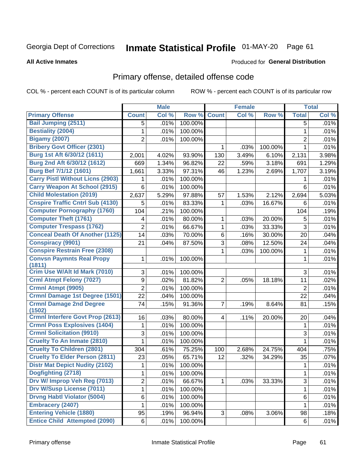# Inmate Statistical Profile 01-MAY-20 Page 61

**All Active Inmates** 

#### Produced for General Distribution

## Primary offense, detailed offense code

COL % - percent each COUNT is of its particular column

|                                            |                | <b>Male</b> |         |                | <b>Female</b> |         |                | <b>Total</b> |
|--------------------------------------------|----------------|-------------|---------|----------------|---------------|---------|----------------|--------------|
| <b>Primary Offense</b>                     | <b>Count</b>   | Col %       | Row %   | <b>Count</b>   | Col %         | Row %   | <b>Total</b>   | Col %        |
| <b>Bail Jumping (2511)</b>                 | 5              | .01%        | 100.00% |                |               |         | 5              | .01%         |
| <b>Bestiality (2004)</b>                   | 1              | .01%        | 100.00% |                |               |         | 1              | .01%         |
| <b>Bigamy (2007)</b>                       | 2              | .01%        | 100.00% |                |               |         | $\overline{2}$ | .01%         |
| <b>Bribery Govt Officer (2301)</b>         |                |             |         | 1              | .03%          | 100.00% | 1              | .01%         |
| Burg 1st Aft 6/30/12 (1611)                | 2,001          | 4.02%       | 93.90%  | 130            | 3.49%         | 6.10%   | 2,131          | 3.98%        |
| Burg 2nd Aft 6/30/12 (1612)                | 669            | 1.34%       | 96.82%  | 22             | .59%          | 3.18%   | 691            | 1.29%        |
| Burg Bef 7/1/12 (1601)                     | 1,661          | 3.33%       | 97.31%  | 46             | 1.23%         | 2.69%   | 1,707          | 3.19%        |
| <b>Carry Pistl Without Licns (2903)</b>    |                | .01%        | 100.00% |                |               |         | 1              | .01%         |
| <b>Carry Weapon At School (2915)</b>       | 6              | .01%        | 100.00% |                |               |         | 6              | .01%         |
| <b>Child Molestation (2019)</b>            | 2,637          | 5.29%       | 97.88%  | 57             | 1.53%         | 2.12%   | 2,694          | 5.03%        |
| <b>Cnspire Traffic Cntrl Sub (4130)</b>    | 5              | .01%        | 83.33%  | 1              | .03%          | 16.67%  | 6              | .01%         |
| <b>Computer Pornography (1760)</b>         | 104            | .21%        | 100.00% |                |               |         | 104            | .19%         |
| <b>Computer Theft (1761)</b>               | 4              | .01%        | 80.00%  | 1              | .03%          | 20.00%  | 5              | .01%         |
| <b>Computer Trespass (1762)</b>            | $\overline{2}$ | .01%        | 66.67%  | 1              | .03%          | 33.33%  | 3              | .01%         |
| <b>Conceal Death Of Another (1125)</b>     | 14             | .03%        | 70.00%  | 6              | .16%          | 30.00%  | 20             | .04%         |
| <b>Conspiracy (9901)</b>                   | 21             | .04%        | 87.50%  | 3              | .08%          | 12.50%  | 24             | .04%         |
| <b>Conspire Restrain Free (2308)</b>       |                |             |         | 1              | .03%          | 100.00% | 1              | .01%         |
| <b>Convsn Paymnts Real Propy</b><br>(1811) | 1              | .01%        | 100.00% |                |               |         | 1              | .01%         |
| Crim Use W/Alt Id Mark (7010)              | 3              | .01%        | 100.00% |                |               |         | 3              | .01%         |
| <b>Crml Atmpt Felony (7027)</b>            | 9              | .02%        | 81.82%  | $\overline{2}$ | .05%          | 18.18%  | 11             | .02%         |
| <b>Crmnl Atmpt (9905)</b>                  | $\overline{2}$ | .01%        | 100.00% |                |               |         | $\overline{2}$ | .01%         |
| Crmnl Damage 1st Degree (1501)             | 22             | .04%        | 100.00% |                |               |         | 22             | .04%         |
| <b>Crmnl Damage 2nd Degree</b>             | 74             | .15%        | 91.36%  | $\overline{7}$ | .19%          | 8.64%   | 81             | .15%         |
| (1502)                                     |                |             |         |                |               |         |                |              |
| <b>Crmnl Interfere Govt Prop (2613)</b>    | 16             | .03%        | 80.00%  | $\overline{4}$ | .11%          | 20.00%  | 20             | .04%         |
| <b>Crmnl Poss Explosives (1404)</b>        | 1              | .01%        | 100.00% |                |               |         | 1              | .01%         |
| <b>Crmnl Solicitation (9910)</b>           | 3              | .01%        | 100.00% |                |               |         | 3              | .01%         |
| <b>Cruelty To An Inmate (2810)</b>         | 1              | .01%        | 100.00% |                |               |         | 1              | .01%         |
| <b>Cruelty To Children (2801)</b>          | 304            | .61%        | 75.25%  | 100            | 2.68%         | 24.75%  | 404            | .75%         |
| <b>Cruelty To Elder Person (2811)</b>      | 23             | .05%        | 65.71%  | 12             | .32%          | 34.29%  | 35             | .07%         |
| <b>Distr Mat Depict Nudity (2102)</b>      | 1              | .01%        | 100.00% |                |               |         | 1              | .01%         |
| Dogfighting (2718)                         | 1              | .01%        | 100.00% |                |               |         | 1              | .01%         |
| Drv W/ Improp Veh Reg (7013)               | $\overline{2}$ | .01%        | 66.67%  | 1.             | .03%          | 33.33%  | 3              | .01%         |
| <b>Drv W/Susp License (7011)</b>           | 1              | .01%        | 100.00% |                |               |         | 1              | .01%         |
| <b>Drvng Habtl Violator (5004)</b>         | 6              | .01%        | 100.00% |                |               |         | 6              | .01%         |
| <b>Embracery (2407)</b>                    | 1              | .01%        | 100.00% |                |               |         | 1              | .01%         |
| <b>Entering Vehicle (1880)</b>             | 95             | .19%        | 96.94%  | 3 <sup>1</sup> | .08%          | 3.06%   | 98             | .18%         |
| <b>Entice Child Attempted (2090)</b>       | 6              | .01%        | 100.00% |                |               |         | 6              | .01%         |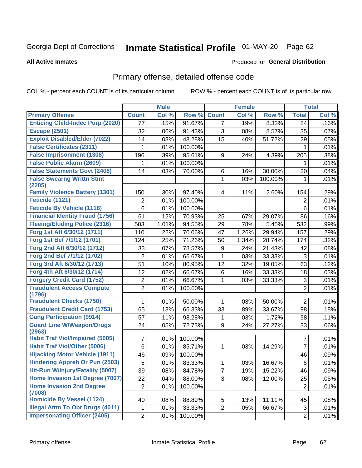# Inmate Statistical Profile 01-MAY-20 Page 62

#### **All Active Inmates**

#### Produced for General Distribution

## Primary offense, detailed offense code

COL % - percent each COUNT is of its particular column

|                                            |                | <b>Male</b> |         |                | <b>Female</b> |         |                | <b>Total</b> |
|--------------------------------------------|----------------|-------------|---------|----------------|---------------|---------|----------------|--------------|
| <b>Primary Offense</b>                     | <b>Count</b>   | Col %       | Row %   | <b>Count</b>   | Col %         | Row %   | <b>Total</b>   | Col %        |
| <b>Enticing Child-Indec Purp (2020)</b>    | 77             | .15%        | 91.67%  | $\overline{7}$ | .19%          | 8.33%   | 84             | .16%         |
| <b>Escape (2501)</b>                       | 32             | .06%        | 91.43%  | 3              | .08%          | 8.57%   | 35             | .07%         |
| <b>Exploit Disabled/Elder (7022)</b>       | 14             | .03%        | 48.28%  | 15             | .40%          | 51.72%  | 29             | .05%         |
| <b>False Certificates (2311)</b>           | 1              | .01%        | 100.00% |                |               |         | $\mathbf{1}$   | .01%         |
| <b>False Imprisonment (1308)</b>           | 196            | .39%        | 95.61%  | 9              | .24%          | 4.39%   | 205            | .38%         |
| <b>False Public Alarm (2609)</b>           | 1              | .01%        | 100.00% |                |               |         | 1              | .01%         |
| <b>False Statements Govt (2408)</b>        | 14             | .03%        | 70.00%  | 6              | .16%          | 30.00%  | 20             | .04%         |
| <b>False Swearng Writtn Stmt</b><br>(2205) |                |             |         | 1              | .03%          | 100.00% | $\mathbf{1}$   | .01%         |
| <b>Family Violence Battery (1301)</b>      | 150            | .30%        | 97.40%  | 4              | .11%          | 2.60%   | 154            | .29%         |
| Feticide (1121)                            | 2              | .01%        | 100.00% |                |               |         | $\overline{2}$ | .01%         |
| <b>Feticide By Vehicle (1118)</b>          | 6              | .01%        | 100.00% |                |               |         | $6\phantom{1}$ | .01%         |
| <b>Financial Identity Fraud (1756)</b>     | 61             | .12%        | 70.93%  | 25             | .67%          | 29.07%  | 86             | .16%         |
| <b>Fleeing/Eluding Police (2316)</b>       | 503            | 1.01%       | 94.55%  | 29             | .78%          | 5.45%   | 532            | .99%         |
| Forg 1st Aft 6/30/12 (1711)                | 110            | .22%        | 70.06%  | 47             | 1.26%         | 29.94%  | 157            | .29%         |
| Forg 1st Bef 7/1/12 (1701)                 | 124            | .25%        | 71.26%  | 50             | 1.34%         | 28.74%  | 174            | .32%         |
| Forg 2nd Aft 6/30/12 (1712)                | 33             | .07%        | 78.57%  | 9              | .24%          | 21.43%  | 42             | .08%         |
| Forg 2nd Bef 7/1/12 (1702)                 | $\overline{2}$ | .01%        | 66.67%  | 1              | .03%          | 33.33%  | $\mathfrak{S}$ | .01%         |
| Forg 3rd Aft 6/30/12 (1713)                | 51             | .10%        | 80.95%  | 12             | .32%          | 19.05%  | 63             | .12%         |
| Forg 4th Aft 6/30/12 (1714)                | 12             | .02%        | 66.67%  | 6              | .16%          | 33.33%  | 18             | .03%         |
| <b>Forgery Credit Card (1752)</b>          | $\overline{c}$ | .01%        | 66.67%  | 1              | .03%          | 33.33%  | $\mathfrak{S}$ | .01%         |
| <b>Fraudulent Access Compute</b>           | $\overline{2}$ | .01%        | 100.00% |                |               |         | $\overline{2}$ | .01%         |
| (1796)                                     |                |             |         |                |               |         |                |              |
| <b>Fraudulent Checks (1750)</b>            | 1              | .01%        | 50.00%  | 1              | .03%          | 50.00%  | $\overline{2}$ | .01%         |
| <b>Fraudulent Credit Card (1753)</b>       | 65             | .13%        | 66.33%  | 33             | .89%          | 33.67%  | 98             | .18%         |
| <b>Gang Participation (9914)</b>           | 57             | .11%        | 98.28%  | 1              | .03%          | 1.72%   | 58             | .11%         |
| <b>Guard Line W/Weapon/Drugs</b><br>(2963) | 24             | .05%        | 72.73%  | 9              | .24%          | 27.27%  | 33             | .06%         |
| <b>Habit Traf Viol/Impaired (5005)</b>     | 7              | .01%        | 100.00% |                |               |         | $\overline{7}$ | .01%         |
| <b>Habit Traf Viol/Other (5006)</b>        | $\,6$          | .01%        | 85.71%  | 1              | .03%          | 14.29%  | $\overline{7}$ | .01%         |
| <b>Hijacking Motor Vehicle (1911)</b>      | 46             | .09%        | 100.00% |                |               |         | 46             | .09%         |
| <b>Hindering Appreh Or Pun (2503)</b>      | 5              | .01%        | 83.33%  | 1              | .03%          | 16.67%  | $\,6$          | .01%         |
| Hit-Run W/Injury/Fatality (5007)           | 39             | .08%        | 84.78%  | 7              | .19%          | 15.22%  | 46             | .09%         |
| Home Invasion 1st Degree (7007)            | 22             | .04%        | 88.00%  | 3              | .08%          | 12.00%  | 25             | .05%         |
| <b>Home Invasion 2nd Degree</b><br>(7008)  | $\overline{2}$ | .01%        | 100.00% |                |               |         | $\overline{2}$ | .01%         |
| Homicide By Vessel (1124)                  | 40             | .08%        | 88.89%  | 5              | .13%          | 11.11%  | 45             | .08%         |
| <b>Illegal Attm To Obt Drugs (4011)</b>    | 1              | .01%        | 33.33%  | $\overline{2}$ | .05%          | 66.67%  | 3              | .01%         |
| <b>Impersonating Officer (2405)</b>        | $\overline{2}$ | .01%        | 100.00% |                |               |         | $\overline{2}$ | .01%         |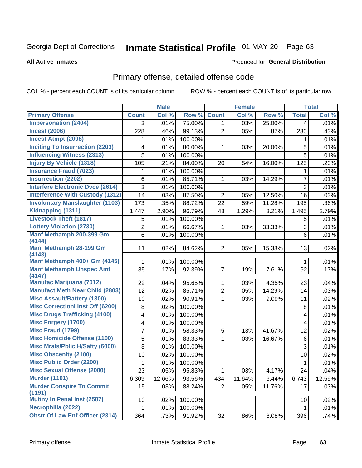# Inmate Statistical Profile 01-MAY-20 Page 63

#### **All Active Inmates**

#### Produced for General Distribution

## Primary offense, detailed offense code

COL % - percent each COUNT is of its particular column

|                                                              |                | <b>Male</b> |                  |                | <b>Female</b> |        |                | <b>Total</b> |
|--------------------------------------------------------------|----------------|-------------|------------------|----------------|---------------|--------|----------------|--------------|
| <b>Primary Offense</b>                                       | <b>Count</b>   | Col %       | Row <sup>%</sup> | <b>Count</b>   | Col %         | Row %  | <b>Total</b>   | Col %        |
| <b>Impersonation (2404)</b>                                  | 3 <sup>1</sup> | .01%        | 75.00%           | $\mathbf 1$    | .03%          | 25.00% | $\overline{4}$ | .01%         |
| <b>Incest (2006)</b>                                         | 228            | .46%        | 99.13%           | 2              | .05%          | .87%   | 230            | .43%         |
| <b>Incest Atmpt (2098)</b>                                   | 1              | .01%        | 100.00%          |                |               |        | 1              | .01%         |
| <b>Inciting To Insurrection (2203)</b>                       | 4              | .01%        | 80.00%           | 1              | .03%          | 20.00% | 5              | .01%         |
| <b>Influencing Witness (2313)</b>                            | 5              | .01%        | 100.00%          |                |               |        | 5              | .01%         |
| <b>Injury By Vehicle (1318)</b>                              | 105            | .21%        | 84.00%           | 20             | .54%          | 16.00% | 125            | .23%         |
| <b>Insurance Fraud (7023)</b>                                | 1              | .01%        | 100.00%          |                |               |        | 1              | .01%         |
| <b>Insurrection (2202)</b>                                   | 6              | .01%        | 85.71%           | 1              | .03%          | 14.29% | $\overline{7}$ | .01%         |
| <b>Interfere Electronic Dvce (2614)</b>                      | 3              | .01%        | 100.00%          |                |               |        | 3              | .01%         |
| <b>Interference With Custody (1312)</b>                      | 14             | .03%        | 87.50%           | $\overline{2}$ | .05%          | 12.50% | 16             | .03%         |
| <b>Involuntary Manslaughter (1103)</b>                       | 173            | .35%        | 88.72%           | 22             | .59%          | 11.28% | 195            | .36%         |
| Kidnapping (1311)                                            | 1,447          | 2.90%       | 96.79%           | 48             | 1.29%         | 3.21%  | 1,495          | 2.79%        |
| <b>Livestock Theft (1817)</b>                                | 5              | .01%        | 100.00%          |                |               |        | 5              | .01%         |
| <b>Lottery Violation (2730)</b>                              | $\overline{2}$ | .01%        | 66.67%           | 1              | .03%          | 33.33% | 3              | .01%         |
| Manf Methamph 200-399 Gm                                     | 6              | .01%        | 100.00%          |                |               |        | 6              | .01%         |
| (4144)                                                       |                |             |                  |                |               |        |                |              |
| Manf Methamph 28-199 Gm<br>(4143)                            | 11             | .02%        | 84.62%           | $\overline{2}$ | .05%          | 15.38% | 13             | .02%         |
| Manf Methamph 400+ Gm (4145)                                 | 1              | .01%        | 100.00%          |                |               |        | 1.             | .01%         |
| <b>Manf Methamph Unspec Amt</b>                              | 85             | .17%        | 92.39%           | $\overline{7}$ | .19%          | 7.61%  | 92             | .17%         |
| (4147)                                                       |                |             |                  |                |               |        |                |              |
| <b>Manufac Marijuana (7012)</b>                              | 22             | .04%        | 95.65%           | 1              | .03%          | 4.35%  | 23             | .04%         |
| <b>Manufact Meth Near Child (2803)</b>                       | 12             | .02%        | 85.71%           | $\overline{2}$ | .05%          | 14.29% | 14             | .03%         |
| <b>Misc Assault/Battery (1300)</b>                           | 10             | .02%        | 90.91%           | 1              | .03%          | 9.09%  | 11             | .02%         |
| <b>Misc Correctionl Inst Off (6200)</b>                      | 8              | .02%        | 100.00%          |                |               |        | 8              | .01%         |
| <b>Misc Drugs Trafficking (4100)</b>                         | 4              | .01%        | 100.00%          |                |               |        | 4              | .01%         |
| <b>Misc Forgery (1700)</b>                                   | 4              | .01%        | 100.00%          |                |               |        | 4              | .01%         |
| <b>Misc Fraud (1799)</b>                                     | 7              | .01%        | 58.33%           | 5              | .13%          | 41.67% | 12             | .02%         |
| <b>Misc Homicide Offense (1100)</b>                          | 5              | .01%        | 83.33%           | 1              | .03%          | 16.67% | 6              | .01%         |
| <b>Misc Mrals/Pblic H/Safty (6000)</b>                       | 3              | .01%        | 100.00%          |                |               |        | 3              | .01%         |
| <b>Misc Obscenity (2100)</b>                                 | 10             | .02%        | 100.00%          |                |               |        | 10             | .02%         |
| <b>Misc Public Order (2200)</b>                              | 1              | .01%        | 100.00%          |                |               |        | 1              | .01%         |
| <b>Misc Sexual Offense (2000)</b>                            | 23             | .05%        | 95.83%           | $\mathbf{1}$   | .03%          | 4.17%  | 24             | .04%         |
| <b>Murder (1101)</b>                                         | 6,309          | 12.66%      | 93.56%           | 434            | 11.64%        | 6.44%  | 6,743          | 12.59%       |
| <b>Murder Conspire To Commit</b>                             | 15             | .03%        | 88.24%           | $\overline{2}$ | .05%          | 11.76% | 17             | .03%         |
| (1191)<br><b>Mutiny In Penal Inst (2507)</b>                 |                |             |                  |                |               |        |                |              |
|                                                              | 10             | .02%        | 100.00%          |                |               |        | 10             | .02%         |
| Necrophilia (2022)<br><b>Obstr Of Law Enf Officer (2314)</b> | 1.             | .01%        | 100.00%          |                |               |        | 1.             | .01%         |
|                                                              | 364            | .73%        | 91.92%           | 32             | $.86\%$       | 8.08%  | 396            | .74%         |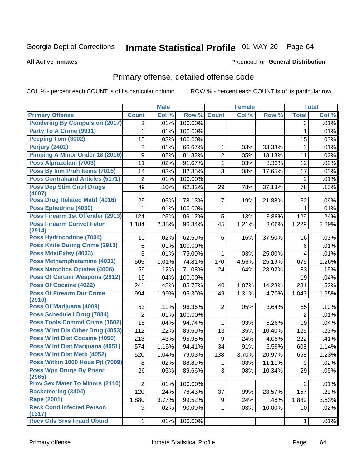# Inmate Statistical Profile 01-MAY-20 Page 64

#### **All Active Inmates**

#### Produced for General Distribution

## Primary offense, detailed offense code

COL % - percent each COUNT is of its particular column

|                                            |                  | <b>Male</b> |         |                | <b>Female</b> |        |                | <b>Total</b> |
|--------------------------------------------|------------------|-------------|---------|----------------|---------------|--------|----------------|--------------|
| <b>Primary Offense</b>                     | <b>Count</b>     | Col %       | Row %   | <b>Count</b>   | Col %         | Row %  | <b>Total</b>   | Col %        |
| <b>Pandering By Compulsion (2017)</b>      | 3                | .01%        | 100.00% |                |               |        | 3              | $.01\%$      |
| Party To A Crime (9911)                    | 1                | .01%        | 100.00% |                |               |        | 1              | .01%         |
| Peeping Tom (3002)                         | 15               | .03%        | 100.00% |                |               |        | 15             | .03%         |
| <b>Perjury (2401)</b>                      | 2                | .01%        | 66.67%  | 1              | .03%          | 33.33% | 3              | .01%         |
| <b>Pimping A Minor Under 18 (2016)</b>     | $\boldsymbol{9}$ | .02%        | 81.82%  | $\overline{2}$ | .05%          | 18.18% | 11             | .02%         |
| Poss Alprazolam (7003)                     | 11               | .02%        | 91.67%  | 1              | .03%          | 8.33%  | 12             | .02%         |
| Poss By Inm Proh Items (7015)              | 14               | .03%        | 82.35%  | 3              | .08%          | 17.65% | 17             | .03%         |
| <b>Poss Contraband Articles (5171)</b>     | $\overline{2}$   | .01%        | 100.00% |                |               |        | $\overline{2}$ | .01%         |
| <b>Poss Dep Stim Cntrf Drugs</b><br>(4007) | 49               | .10%        | 62.82%  | 29             | .78%          | 37.18% | 78             | .15%         |
| <b>Poss Drug Related Matri (4016)</b>      | 25               | .05%        | 78.13%  | $\overline{7}$ | .19%          | 21.88% | 32             | .06%         |
| Poss Ephedrine (4030)                      | 1                | .01%        | 100.00% |                |               |        | 1              | .01%         |
| Poss Firearm 1st Offender (2913)           | 124              | .25%        | 96.12%  | 5              | .13%          | 3.88%  | 129            | .24%         |
| <b>Poss Firearm Convct Felon</b>           | 1,184            | 2.38%       | 96.34%  | 45             | 1.21%         | 3.66%  | 1,229          | 2.29%        |
| (2914)                                     |                  |             |         |                |               |        |                |              |
| Poss Hydrocodone (7004)                    | 10               | .02%        | 62.50%  | 6              | .16%          | 37.50% | 16             | .03%         |
| <b>Poss Knife During Crime (2911)</b>      | 6                | .01%        | 100.00% |                |               |        | $\,6$          | .01%         |
| Poss Mda/Extsy (4033)                      | 3                | .01%        | 75.00%  | 1              | .03%          | 25.00% | $\overline{4}$ | .01%         |
| Poss Methamphetamine (4031)                | 505              | 1.01%       | 74.81%  | 170            | 4.56%         | 25.19% | 675            | 1.26%        |
| <b>Poss Narcotics Opiates (4006)</b>       | 59               | .12%        | 71.08%  | 24             | .64%          | 28.92% | 83             | .15%         |
| <b>Poss Of Certain Weapons (2912)</b>      | 19               | .04%        | 100.00% |                |               |        | 19             | .04%         |
| <b>Poss Of Cocaine (4022)</b>              | 241              | .48%        | 85.77%  | 40             | 1.07%         | 14.23% | 281            | .52%         |
| <b>Poss Of Firearm Dur Crime</b><br>(2910) | 994              | 1.99%       | 95.30%  | 49             | 1.31%         | 4.70%  | 1,043          | 1.95%        |
| Poss Of Marijuana (4009)                   | 53               | .11%        | 96.36%  | $\overline{2}$ | .05%          | 3.64%  | 55             | .10%         |
| Poss Schedule I Drug (7034)                | 2                | .01%        | 100.00% |                |               |        | $\overline{2}$ | .01%         |
| <b>Poss Tools Commit Crime (1602)</b>      | 18               | .04%        | 94.74%  | 1              | .03%          | 5.26%  | 19             | .04%         |
| Poss W Int Dis Other Drug (4053)           | 112              | .22%        | 89.60%  | 13             | .35%          | 10.40% | 125            | .23%         |
| <b>Poss W Int Dist Cocaine (4050)</b>      | 213              | .43%        | 95.95%  | 9              | .24%          | 4.05%  | 222            | .41%         |
| Poss W Int Dist Marijuana (4051)           | 574              | 1.15%       | 94.41%  | 34             | .91%          | 5.59%  | 608            | 1.14%        |
| Poss W Int Dist Meth (4052)                | 520              | 1.04%       | 79.03%  | 138            | 3.70%         | 20.97% | 658            | 1.23%        |
| Poss Within 1000 Hous Pit (7009)           | 8                | .02%        | 88.89%  | 1              | .03%          | 11.11% | 9              | .02%         |
| <b>Poss Wpn Drugs By Prisnr</b><br>(2965)  | 26               | .05%        | 89.66%  | $\overline{3}$ | .08%          | 10.34% | 29             | .05%         |
| <b>Prov Sex Mater To Minors (2110)</b>     | $\overline{2}$   | .01%        | 100.00% |                |               |        | 2              | .01%         |
| <b>Racketeering (3404)</b>                 | 120              | .24%        | 76.43%  | 37             | .99%          | 23.57% | 157            | .29%         |
| <b>Rape (2001)</b>                         | 1,880            | 3.77%       | 99.52%  | 9              | .24%          | .48%   | 1,889          | 3.53%        |
| <b>Reck Cond Infected Person</b><br>(1317) | 9                | .02%        | 90.00%  | 1              | .03%          | 10.00% | 10             | .02%         |
| <b>Recv Gds Srvs Fraud Obtnd</b>           | 1                | .01%        | 100.00% |                |               |        | 1              | .01%         |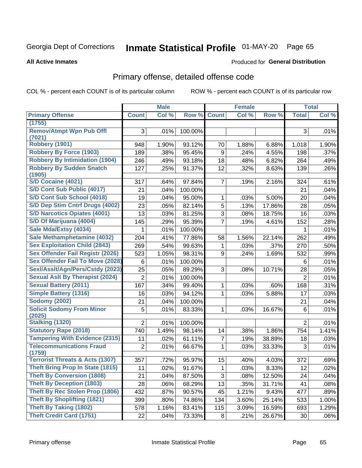# Inmate Statistical Profile 01-MAY-20 Page 65

#### **All Active Inmates**

### **Produced for General Distribution**

### Primary offense, detailed offense code

COL % - percent each COUNT is of its particular column

|                                            |                | <b>Male</b> |         |                | <b>Female</b> |        |                | <b>Total</b> |
|--------------------------------------------|----------------|-------------|---------|----------------|---------------|--------|----------------|--------------|
| <b>Primary Offense</b>                     | <b>Count</b>   | Col %       | Row %   | <b>Count</b>   | Col %         | Row %  | <b>Total</b>   | Col%         |
| (1755)                                     |                |             |         |                |               |        |                |              |
| <b>Remov/Atmpt Wpn Pub Offl</b><br>(7021)  | 3              | .01%        | 100.00% |                |               |        | 3              | .01%         |
| <b>Robbery (1901)</b>                      | 948            | 1.90%       | 93.12%  | 70             | 1.88%         | 6.88%  | 1,018          | 1.90%        |
| <b>Robbery By Force (1903)</b>             | 189            | .38%        | 95.45%  | 9              | .24%          | 4.55%  | 198            | .37%         |
| <b>Robbery By Intimidation (1904)</b>      | 246            | .49%        | 93.18%  | 18             | .48%          | 6.82%  | 264            | .49%         |
| <b>Robbery By Sudden Snatch</b>            | 127            | .25%        | 91.37%  | 12             | .32%          | 8.63%  | 139            | .26%         |
| (1905)                                     |                |             |         |                |               |        |                |              |
| S/D Cocaine (4021)                         | 317            | .64%        | 97.84%  | $\overline{7}$ | .19%          | 2.16%  | 324            | .61%         |
| S/D Cont Sub Public (4017)                 | 21             | .04%        | 100.00% |                |               |        | 21             | .04%         |
| S/D Cont Sub School (4018)                 | 19             | .04%        | 95.00%  | 1              | .03%          | 5.00%  | 20             | .04%         |
| S/D Dep Stim Cntrf Drugs (4002)            | 23             | .05%        | 82.14%  | $\overline{5}$ | .13%          | 17.86% | 28             | .05%         |
| <b>S/D Narcotics Opiates (4001)</b>        | 13             | .03%        | 81.25%  | 3              | .08%          | 18.75% | 16             | .03%         |
| S/D Of Marijuana (4004)                    | 145            | .29%        | 95.39%  | $\overline{7}$ | .19%          | 4.61%  | 152            | .28%         |
| Sale Mda/Extsy (4034)                      | 1              | .01%        | 100.00% |                |               |        | 1              | .01%         |
| Sale Methamphetamine (4032)                | 204            | .41%        | 77.86%  | 58             | 1.56%         | 22.14% | 262            | .49%         |
| <b>Sex Exploitation Child (2843)</b>       | 269            | .54%        | 99.63%  | 1              | .03%          | .37%   | 270            | .50%         |
| Sex Offender Fail Registr (2026)           | 523            | 1.05%       | 98.31%  | 9              | .24%          | 1.69%  | 532            | .99%         |
| <b>Sex Offender Fail To Move (2028)</b>    | 6              | .01%        | 100.00% |                |               |        | 6              | .01%         |
| Sexl/Asslt/Agn/Pers/Cstdy (2023)           | 25             | .05%        | 89.29%  | 3              | .08%          | 10.71% | 28             | .05%         |
| <b>Sexual Aslt By Therapist (2024)</b>     | $\overline{2}$ | .01%        | 100.00% |                |               |        | $\overline{2}$ | .01%         |
| <b>Sexual Battery (2011)</b>               | 167            | .34%        | 99.40%  | 1              | .03%          | .60%   | 168            | .31%         |
| <b>Simple Battery (1316)</b>               | 16             | .03%        | 94.12%  | 1              | .03%          | 5.88%  | 17             | .03%         |
| <b>Sodomy (2002)</b>                       | 21             | .04%        | 100.00% |                |               |        | 21             | .04%         |
| <b>Solicit Sodomy From Minor</b>           | 5              | .01%        | 83.33%  | 1              | .03%          | 16.67% | 6              | .01%         |
| (2025)                                     |                |             |         |                |               |        |                |              |
| <b>Stalking (1320)</b>                     | $\overline{2}$ | .01%        | 100.00% |                |               |        | $\overline{2}$ | .01%         |
| <b>Statutory Rape (2018)</b>               | 740            | 1.49%       | 98.14%  | 14             | .38%          | 1.86%  | 754            | 1.41%        |
| <b>Tampering With Evidence (2315)</b>      | 11             | .02%        | 61.11%  | 7              | .19%          | 38.89% | 18             | .03%         |
| <b>Telecommunications Fraud</b><br>(1759)  | 2              | .01%        | 66.67%  | 1              | .03%          | 33.33% | 3              | .01%         |
| <b>Terrorist Threats &amp; Acts (1307)</b> | 357            | .72%        | 95.97%  | 15             | .40%          | 4.03%  | 372            | .69%         |
| <b>Theft Bring Prop In State (1815)</b>    | 11             | .02%        | 91.67%  | $\mathbf 1$    | .03%          | 8.33%  | 12             | .02%         |
| <b>Theft By Conversion (1808)</b>          | 21             | .04%        | 87.50%  | 3              | .08%          | 12.50% | 24             | .04%         |
| <b>Theft By Deception (1803)</b>           | 28             | .06%        | 68.29%  | 13             | .35%          | 31.71% | 41             | .08%         |
| <b>Theft By Rec Stolen Prop (1806)</b>     | 432            | .87%        | 90.57%  | 45             | 1.21%         | 9.43%  | 477            | .89%         |
| <b>Theft By Shoplifting (1821)</b>         | 399            | .80%        | 74.86%  | 134            | 3.60%         | 25.14% | 533            | 1.00%        |
| <b>Theft By Taking (1802)</b>              | 578            | 1.16%       | 83.41%  | 115            | 3.09%         | 16.59% | 693            | 1.29%        |
| <b>Theft Credit Card (1751)</b>            | 22             | .04%        | 73.33%  | 8              | .21%          | 26.67% | 30             | .06%         |
|                                            |                |             |         |                |               |        |                |              |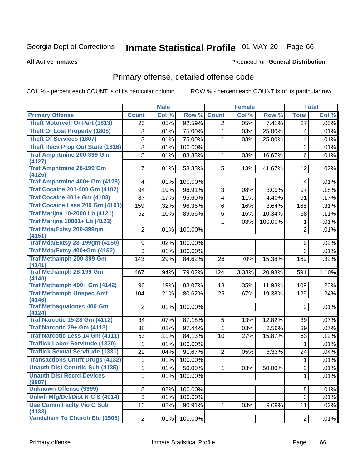# Inmate Statistical Profile 01-MAY-20 Page 66

#### **All Active Inmates**

#### Produced for General Distribution

## Primary offense, detailed offense code

COL % - percent each COUNT is of its particular column

|                                                 |                | <b>Male</b> |         |                         | <b>Female</b> |         |                | <b>Total</b> |
|-------------------------------------------------|----------------|-------------|---------|-------------------------|---------------|---------|----------------|--------------|
| <b>Primary Offense</b>                          | <b>Count</b>   | Col %       | Row %   | <b>Count</b>            | Col %         | Row %   | <b>Total</b>   | Col %        |
| <b>Theft Motorveh Or Part (1813)</b>            | 25             | .05%        | 92.59%  | $\overline{2}$          | .05%          | 7.41%   | 27             | .05%         |
| <b>Theft Of Lost Property (1805)</b>            | 3              | .01%        | 75.00%  | 1                       | .03%          | 25.00%  | 4              | .01%         |
| <b>Theft Of Services (1807)</b>                 | 3              | .01%        | 75.00%  | 1                       | .03%          | 25.00%  | 4              | .01%         |
| <b>Theft Recv Prop Out State (1816)</b>         | 3              | .01%        | 100.00% |                         |               |         | 3              | .01%         |
| <b>Traf Amphtmine 200-399 Gm</b>                | 5              | .01%        | 83.33%  | 1                       | .03%          | 16.67%  | 6              | .01%         |
| (4127)                                          |                |             |         |                         |               |         |                |              |
| <b>Traf Amphtmine 28-199 Gm</b>                 | $\overline{7}$ | .01%        | 58.33%  | 5                       | .13%          | 41.67%  | 12             | .02%         |
| (4126)<br>Traf Amphtmine 400+ Gm (4128)         | 4              | .01%        | 100.00% |                         |               |         | 4              | .01%         |
| <b>Traf Cocaine 201-400 Gm (4102)</b>           | 94             | .19%        | 96.91%  | 3                       | .08%          | 3.09%   | 97             | .18%         |
| <b>Traf Cocaine 401+ Gm (4103)</b>              | 87             |             |         | $\overline{\mathbf{4}}$ |               | 4.40%   | 91             |              |
| Traf Cocaine Less 200 Gm (4101)                 |                | .17%        | 95.60%  |                         | .11%          |         |                | .17%         |
|                                                 | 159            | .32%        | 96.36%  | 6                       | .16%          | 3.64%   | 165            | .31%         |
| <b>Traf Marijna 10-2000 Lb (4121)</b>           | 52             | .10%        | 89.66%  | 6                       | .16%          | 10.34%  | 58             | .11%         |
| <b>Traf Marijna 10001+ Lb (4123)</b>            |                |             |         | 1                       | .03%          | 100.00% | 1              | .01%         |
| Traf Mda/Extsy 200-399gm                        | 2              | .01%        | 100.00% |                         |               |         | $\overline{2}$ | .01%         |
| (4151)<br><b>Traf Mda/Extsy 28-199gm (4150)</b> | 9              | .02%        | 100.00% |                         |               |         | 9              | .02%         |
| Traf Mda/Extsy 400+Gm (4152)                    | $\overline{3}$ |             |         |                         |               |         | 3              | .01%         |
| <b>Traf Methamph 200-399 Gm</b>                 |                | .01%        | 100.00% |                         |               |         |                |              |
| (4141)                                          | 143            | .29%        | 84.62%  | 26                      | .70%          | 15.38%  | 169            | .32%         |
| <b>Traf Methamph 28-199 Gm</b>                  | 467            | .94%        | 79.02%  | 124                     | 3.33%         | 20.98%  | 591            | 1.10%        |
| (4140)                                          |                |             |         |                         |               |         |                |              |
| Traf Methamph 400+ Gm (4142)                    | 96             | .19%        | 88.07%  | 13                      | .35%          | 11.93%  | 109            | .20%         |
| <b>Traf Methamph Unspec Amt</b>                 | 104            | .21%        | 80.62%  | 25                      | .67%          | 19.38%  | 129            | .24%         |
| (4146)                                          |                |             |         |                         |               |         |                |              |
| <b>Traf Methaqualone&lt; 400 Gm</b>             | $\overline{2}$ | .01%        | 100.00% |                         |               |         | $\overline{2}$ | .01%         |
| (4124)<br><b>Traf Narcotic 15-28 Gm (4112)</b>  | 34             | .07%        | 87.18%  | 5                       | .13%          | 12.82%  | 39             | .07%         |
| Traf Narcotic 29+ Gm (4113)                     | 38             | .08%        | 97.44%  | $\mathbf{1}$            | .03%          | 2.56%   | 39             | .07%         |
| <b>Traf Narcotic Less 14 Gm (4111)</b>          | 53             | .11%        | 84.13%  | 10                      | .27%          | 15.87%  | 63             | .12%         |
| <b>Traffick Labor Servitude (1330)</b>          | 1              | .01%        | 100.00% |                         |               |         | 1              | .01%         |
| <b>Traffick Sexual Servitude (1331)</b>         | 22             | .04%        | 91.67%  | $\overline{2}$          |               | 8.33%   |                |              |
| <b>Transactions Cntrft Drugs (4132)</b>         |                |             | 100.00% |                         | .05%          |         | 24             | .04%         |
| <b>Unauth Dist Contrild Sub (4135)</b>          | 1              | .01%        |         |                         |               |         | 1              | .01%         |
|                                                 | 1              | .01%        | 50.00%  | $\mathbf 1$             | .03%          | 50.00%  | $\overline{2}$ | .01%         |
| <b>Unauth Dist Recrd Devices</b><br>(9907)      | 1              | .01%        | 100.00% |                         |               |         | 1              | .01%         |
| <b>Unknown Offense (9999)</b>                   | 8              | .02%        | 100.00% |                         |               |         | 8              | .01%         |
| Uniwfl Mfg/Del/Dist N-C S (4014)                | 3              | .01%        | 100.00% |                         |               |         | 3              | .01%         |
| <b>Use Comm Facity Vio C Sub</b>                | 10             | .02%        | 90.91%  | 1.                      | .03%          | 9.09%   | 11             | .02%         |
| (4133)                                          |                |             |         |                         |               |         |                |              |
| Vandalism To Church Etc (1505)                  | $2\vert$       | .01%        | 100.00% |                         |               |         | $\overline{2}$ | .01%         |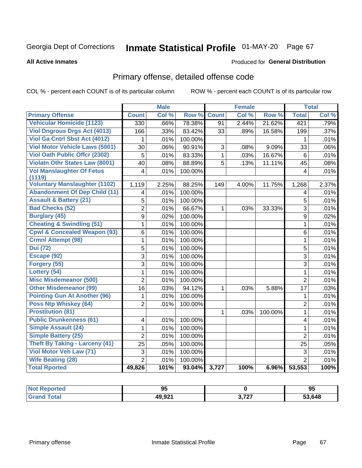# Inmate Statistical Profile 01-MAY-20 Page 67

#### **All Active Inmates**

### Produced for General Distribution

## Primary offense, detailed offense code

COL % - percent each COUNT is of its particular column

|                                            |                | <b>Male</b> |         |                 | <b>Female</b> |         |                         | <b>Total</b> |
|--------------------------------------------|----------------|-------------|---------|-----------------|---------------|---------|-------------------------|--------------|
| <b>Primary Offense</b>                     | <b>Count</b>   | Col %       | Row %   | <b>Count</b>    | Col %         | Row %   | <b>Total</b>            | Col %        |
| <b>Vehicular Homicide (1123)</b>           | 330            | .66%        | 78.38%  | $\overline{91}$ | 2.44%         | 21.62%  | 421                     | .79%         |
| <b>Viol Dngrous Drgs Act (4013)</b>        | 166            | .33%        | 83.42%  | 33              | .89%          | 16.58%  | 199                     | .37%         |
| Viol Ga Cntrl Sbst Act (4012)              | 1              | .01%        | 100.00% |                 |               |         | 1                       | .01%         |
| <b>Viol Motor Vehicle Laws (5001)</b>      | 30             | .06%        | 90.91%  | 3               | .08%          | 9.09%   | 33                      | .06%         |
| <b>Viol Oath Public Offcr (2302)</b>       | 5              | .01%        | 83.33%  | $\mathbf{1}$    | .03%          | 16.67%  | $6\phantom{1}6$         | .01%         |
| <b>Violatn Othr States Law (8001)</b>      | 40             | .08%        | 88.89%  | 5               | .13%          | 11.11%  | 45                      | .08%         |
| <b>Vol Manslaughter Of Fetus</b><br>(1119) | 4              | .01%        | 100.00% |                 |               |         | $\overline{4}$          | .01%         |
| <b>Voluntary Manslaughter (1102)</b>       | 1,119          | 2.25%       | 88.25%  | 149             | 4.00%         | 11.75%  | 1,268                   | 2.37%        |
| <b>Abandonment Of Dep Child (11)</b>       | 4              | .01%        | 100.00% |                 |               |         | $\overline{4}$          | .01%         |
| <b>Assault &amp; Battery (21)</b>          | 5              | .01%        | 100.00% |                 |               |         | 5                       | .01%         |
| <b>Bad Checks (52)</b>                     | $\overline{2}$ | .01%        | 66.67%  | 1               | .03%          | 33.33%  | $\overline{3}$          | .01%         |
| <b>Burglary (45)</b>                       | $\overline{9}$ | .02%        | 100.00% |                 |               |         | $\boldsymbol{9}$        | .02%         |
| <b>Cheating &amp; Swindling (51)</b>       | 1              | .01%        | 100.00% |                 |               |         | $\mathbf{1}$            | .01%         |
| <b>Cpwl &amp; Concealed Weapon (93)</b>    | $\,6$          | .01%        | 100.00% |                 |               |         | 6                       | .01%         |
| <b>Crmnl Attempt (98)</b>                  | 1              | .01%        | 100.00% |                 |               |         | $\mathbf{1}$            | .01%         |
| <b>Dui (72)</b>                            | 5              | .01%        | 100.00% |                 |               |         | $\overline{5}$          | .01%         |
| Escape (92)                                | 3              | .01%        | 100.00% |                 |               |         | $\overline{3}$          | .01%         |
| Forgery (55)                               | 3              | .01%        | 100.00% |                 |               |         | 3                       | .01%         |
| Lottery (54)                               | $\mathbf{1}$   | .01%        | 100.00% |                 |               |         | $\mathbf{1}$            | .01%         |
| <b>Misc Misdemeanor (500)</b>              | $\overline{2}$ | .01%        | 100.00% |                 |               |         | $\overline{2}$          | .01%         |
| <b>Other Misdemeanor (99)</b>              | 16             | .03%        | 94.12%  | 1               | .03%          | 5.88%   | 17                      | .03%         |
| <b>Pointing Gun At Another (96)</b>        | 1              | .01%        | 100.00% |                 |               |         | $\mathbf 1$             | .01%         |
| Poss Ntp Whiskey (64)                      | $\overline{2}$ | .01%        | 100.00% |                 |               |         | $\overline{2}$          | .01%         |
| <b>Prostitution (81)</b>                   |                |             |         | 1               | .03%          | 100.00% | $\mathbf 1$             | .01%         |
| <b>Public Drunkenness (61)</b>             | 4              | .01%        | 100.00% |                 |               |         | $\overline{\mathbf{4}}$ | .01%         |
| Simple Assault (24)                        | 1              | .01%        | 100.00% |                 |               |         | 1                       | .01%         |
| <b>Simple Battery (25)</b>                 | $\overline{2}$ | .01%        | 100.00% |                 |               |         | $\overline{2}$          | .01%         |
| <b>Theft By Taking - Larceny (41)</b>      | 25             | .05%        | 100.00% |                 |               |         | 25                      | .05%         |
| Viol Motor Veh Law (71)                    | 3              | .01%        | 100.00% |                 |               |         | 3                       | .01%         |
| <b>Wife Beating (28)</b>                   | $\overline{2}$ | .01%        | 100.00% |                 |               |         | $\overline{2}$          | .01%         |
| <b>Total Rported</b>                       | 49,826         | 101%        | 93.04%  | 3,727           | 100%          | 6.96%   | 53,553                  | 100%         |

| <b>Reported</b> | m<br>J. |                      | 95     |
|-----------------|---------|----------------------|--------|
| <b>Total</b>    | 49,921  | דמד מ<br>$9.1 \pm .$ | 53,648 |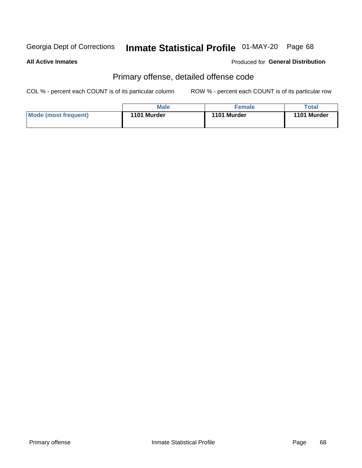# Inmate Statistical Profile 01-MAY-20 Page 68

#### **All Active Inmates**

#### Produced for General Distribution

## Primary offense, detailed offense code

COL % - percent each COUNT is of its particular column

|                      | <b>Male</b> | <b>Female</b> | Total       |
|----------------------|-------------|---------------|-------------|
| Mode (most frequent) | 1101 Murder | 1101 Murder   | 1101 Murder |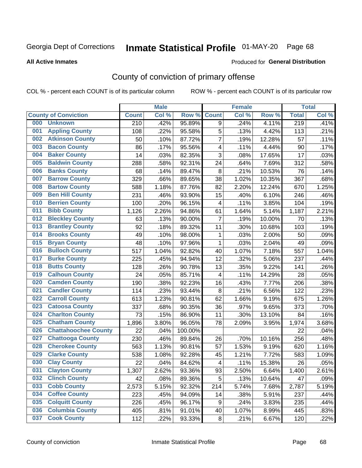# Inmate Statistical Profile 01-MAY-20 Page 68

**All Active Inmates** 

#### Produced for General Distribution

## County of conviction of primary offense

COL % - percent each COUNT is of its particular column

|     |                             |              | <b>Male</b> |         |                         | <b>Female</b> |        |                  | <b>Total</b> |
|-----|-----------------------------|--------------|-------------|---------|-------------------------|---------------|--------|------------------|--------------|
|     | <b>County of Conviction</b> | <b>Count</b> | Col %       | Row %   | <b>Count</b>            | Col %         | Row %  | <b>Total</b>     | Col %        |
| 000 | <b>Unknown</b>              | 210          | .42%        | 95.89%  | 9                       | .24%          | 4.11%  | $\overline{219}$ | .41%         |
| 001 | <b>Appling County</b>       | 108          | .22%        | 95.58%  | 5                       | .13%          | 4.42%  | 113              | .21%         |
| 002 | <b>Atkinson County</b>      | 50           | .10%        | 87.72%  | $\overline{7}$          | .19%          | 12.28% | 57               | .11%         |
| 003 | <b>Bacon County</b>         | 86           | .17%        | 95.56%  | 4                       | .11%          | 4.44%  | 90               | .17%         |
| 004 | <b>Baker County</b>         | 14           | .03%        | 82.35%  | 3                       | .08%          | 17.65% | 17               | .03%         |
| 005 | <b>Baldwin County</b>       | 288          | .58%        | 92.31%  | 24                      | .64%          | 7.69%  | 312              | .58%         |
| 006 | <b>Banks County</b>         | 68           | .14%        | 89.47%  | 8                       | .21%          | 10.53% | 76               | .14%         |
| 007 | <b>Barrow County</b>        | 329          | .66%        | 89.65%  | 38                      | 1.02%         | 10.35% | 367              | .68%         |
| 008 | <b>Bartow County</b>        | 588          | 1.18%       | 87.76%  | 82                      | 2.20%         | 12.24% | 670              | 1.25%        |
| 009 | <b>Ben Hill County</b>      | 231          | .46%        | 93.90%  | 15                      | .40%          | 6.10%  | 246              | .46%         |
| 010 | <b>Berrien County</b>       | 100          | .20%        | 96.15%  | $\overline{\mathbf{4}}$ | .11%          | 3.85%  | 104              | .19%         |
| 011 | <b>Bibb County</b>          | 1,126        | 2.26%       | 94.86%  | 61                      | 1.64%         | 5.14%  | 1,187            | 2.21%        |
| 012 | <b>Bleckley County</b>      | 63           | .13%        | 90.00%  | $\overline{7}$          | .19%          | 10.00% | 70               | .13%         |
| 013 | <b>Brantley County</b>      | 92           | .18%        | 89.32%  | 11                      | .30%          | 10.68% | 103              | .19%         |
| 014 | <b>Brooks County</b>        | 49           | .10%        | 98.00%  | $\mathbf 1$             | .03%          | 2.00%  | 50               | .09%         |
| 015 | <b>Bryan County</b>         | 48           | .10%        | 97.96%  | $\mathbf 1$             | .03%          | 2.04%  | 49               | .09%         |
| 016 | <b>Bulloch County</b>       | 517          | 1.04%       | 92.82%  | 40                      | 1.07%         | 7.18%  | 557              | 1.04%        |
| 017 | <b>Burke County</b>         | 225          | .45%        | 94.94%  | 12                      | .32%          | 5.06%  | 237              | .44%         |
| 018 | <b>Butts County</b>         | 128          | .26%        | 90.78%  | 13                      | .35%          | 9.22%  | 141              | .26%         |
| 019 | <b>Calhoun County</b>       | 24           | .05%        | 85.71%  | $\overline{\mathbf{4}}$ | .11%          | 14.29% | 28               | .05%         |
| 020 | <b>Camden County</b>        | 190          | .38%        | 92.23%  | 16                      | .43%          | 7.77%  | 206              | .38%         |
| 021 | <b>Candler County</b>       | 114          | .23%        | 93.44%  | 8                       | .21%          | 6.56%  | 122              | .23%         |
| 022 | <b>Carroll County</b>       | 613          | 1.23%       | 90.81%  | 62                      | 1.66%         | 9.19%  | 675              | 1.26%        |
| 023 | <b>Catoosa County</b>       | 337          | .68%        | 90.35%  | 36                      | .97%          | 9.65%  | 373              | .70%         |
| 024 | <b>Charlton County</b>      | 73           | .15%        | 86.90%  | 11                      | .30%          | 13.10% | 84               | .16%         |
| 025 | <b>Chatham County</b>       | 1,896        | 3.80%       | 96.05%  | 78                      | 2.09%         | 3.95%  | 1,974            | 3.68%        |
| 026 | <b>Chattahoochee County</b> | 22           | .04%        | 100.00% |                         |               |        | 22               | .04%         |
| 027 | <b>Chattooga County</b>     | 230          | .46%        | 89.84%  | 26                      | .70%          | 10.16% | 256              | .48%         |
| 028 | <b>Cherokee County</b>      | 563          | 1.13%       | 90.81%  | 57                      | 1.53%         | 9.19%  | 620              | 1.16%        |
| 029 | <b>Clarke County</b>        | 538          | 1.08%       | 92.28%  | 45                      | 1.21%         | 7.72%  | 583              | 1.09%        |
| 030 | <b>Clay County</b>          | 22           | .04%        | 84.62%  | $\overline{\mathbf{4}}$ | .11%          | 15.38% | 26               | .05%         |
| 031 | <b>Clayton County</b>       | 1,307        | 2.62%       | 93.36%  | 93                      | 2.50%         | 6.64%  | 1,400            | 2.61%        |
| 032 | <b>Clinch County</b>        | 42           | .08%        | 89.36%  | 5                       | .13%          | 10.64% | 47               | .09%         |
| 033 | <b>Cobb County</b>          | 2,573        | 5.15%       | 92.32%  | 214                     | 5.74%         | 7.68%  | 2,787            | 5.19%        |
| 034 | <b>Coffee County</b>        | 223          | .45%        | 94.09%  | 14                      | .38%          | 5.91%  | 237              | .44%         |
| 035 | <b>Colquitt County</b>      | 226          | .45%        | 96.17%  | 9                       | .24%          | 3.83%  | 235              | .44%         |
| 036 | <b>Columbia County</b>      | 405          | .81%        | 91.01%  | 40                      | 1.07%         | 8.99%  | 445              | .83%         |
| 037 | <b>Cook County</b>          | 112          | .22%        | 93.33%  | 8                       | .21%          | 6.67%  | 120              | .22%         |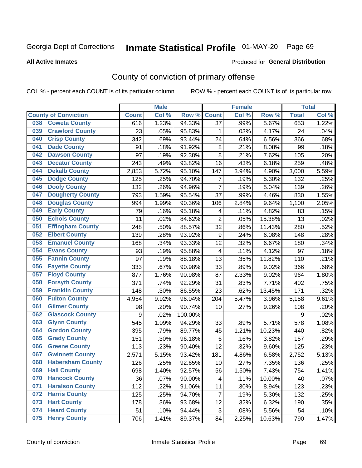# Inmate Statistical Profile 01-MAY-20 Page 69

Produced for General Distribution

#### **All Active Inmates**

## County of conviction of primary offense

COL % - percent each COUNT is of its particular column

|     |                             |              | <b>Male</b> |         |                         | <b>Female</b> |        |              | <b>Total</b> |
|-----|-----------------------------|--------------|-------------|---------|-------------------------|---------------|--------|--------------|--------------|
|     | <b>County of Conviction</b> | <b>Count</b> | Col %       | Row %   | <b>Count</b>            | Col %         | Row %  | <b>Total</b> | Col %        |
| 038 | <b>Coweta County</b>        | 616          | 1.23%       | 94.33%  | 37                      | .99%          | 5.67%  | 653          | 1.22%        |
| 039 | <b>Crawford County</b>      | 23           | .05%        | 95.83%  | 1                       | .03%          | 4.17%  | 24           | .04%         |
| 040 | <b>Crisp County</b>         | 342          | .69%        | 93.44%  | 24                      | .64%          | 6.56%  | 366          | .68%         |
| 041 | <b>Dade County</b>          | 91           | .18%        | 91.92%  | $\bf 8$                 | .21%          | 8.08%  | 99           | .18%         |
| 042 | <b>Dawson County</b>        | 97           | .19%        | 92.38%  | 8                       | .21%          | 7.62%  | 105          | .20%         |
| 043 | <b>Decatur County</b>       | 243          | .49%        | 93.82%  | 16                      | .43%          | 6.18%  | 259          | .48%         |
| 044 | <b>Dekalb County</b>        | 2,853        | 5.72%       | 95.10%  | 147                     | 3.94%         | 4.90%  | 3,000        | 5.59%        |
| 045 | <b>Dodge County</b>         | 125          | .25%        | 94.70%  | $\overline{7}$          | .19%          | 5.30%  | 132          | .25%         |
| 046 | <b>Dooly County</b>         | 132          | .26%        | 94.96%  | $\overline{7}$          | .19%          | 5.04%  | 139          | .26%         |
| 047 | <b>Dougherty County</b>     | 793          | 1.59%       | 95.54%  | 37                      | .99%          | 4.46%  | 830          | 1.55%        |
| 048 | <b>Douglas County</b>       | 994          | 1.99%       | 90.36%  | 106                     | 2.84%         | 9.64%  | 1,100        | 2.05%        |
| 049 | <b>Early County</b>         | 79           | .16%        | 95.18%  | 4                       | .11%          | 4.82%  | 83           | .15%         |
| 050 | <b>Echols County</b>        | 11           | .02%        | 84.62%  | $\overline{2}$          | .05%          | 15.38% | 13           | .02%         |
| 051 | <b>Effingham County</b>     | 248          | .50%        | 88.57%  | 32                      | .86%          | 11.43% | 280          | .52%         |
| 052 | <b>Elbert County</b>        | 139          | .28%        | 93.92%  | $\boldsymbol{9}$        | .24%          | 6.08%  | 148          | .28%         |
| 053 | <b>Emanuel County</b>       | 168          | .34%        | 93.33%  | 12                      | .32%          | 6.67%  | 180          | .34%         |
| 054 | <b>Evans County</b>         | 93           | .19%        | 95.88%  | $\overline{\mathbf{4}}$ | .11%          | 4.12%  | 97           | .18%         |
| 055 | <b>Fannin County</b>        | 97           | .19%        | 88.18%  | 13                      | .35%          | 11.82% | 110          | .21%         |
| 056 | <b>Fayette County</b>       | 333          | .67%        | 90.98%  | 33                      | .89%          | 9.02%  | 366          | .68%         |
| 057 | <b>Floyd County</b>         | 877          | 1.76%       | 90.98%  | 87                      | 2.33%         | 9.02%  | 964          | 1.80%        |
| 058 | <b>Forsyth County</b>       | 371          | .74%        | 92.29%  | 31                      | .83%          | 7.71%  | 402          | .75%         |
| 059 | <b>Franklin County</b>      | 148          | .30%        | 86.55%  | 23                      | .62%          | 13.45% | 171          | .32%         |
| 060 | <b>Fulton County</b>        | 4,954        | 9.92%       | 96.04%  | 204                     | 5.47%         | 3.96%  | 5,158        | 9.61%        |
| 061 | <b>Gilmer County</b>        | 98           | .20%        | 90.74%  | 10                      | .27%          | 9.26%  | 108          | .20%         |
| 062 | <b>Glascock County</b>      | 9            | .02%        | 100.00% |                         |               |        | 9            | .02%         |
| 063 | <b>Glynn County</b>         | 545          | 1.09%       | 94.29%  | 33                      | .89%          | 5.71%  | 578          | 1.08%        |
| 064 | <b>Gordon County</b>        | 395          | .79%        | 89.77%  | 45                      | 1.21%         | 10.23% | 440          | .82%         |
| 065 | <b>Grady County</b>         | 151          | .30%        | 96.18%  | 6                       | .16%          | 3.82%  | 157          | .29%         |
| 066 | <b>Greene County</b>        | 113          | .23%        | 90.40%  | 12                      | .32%          | 9.60%  | 125          | .23%         |
| 067 | <b>Gwinnett County</b>      | 2,571        | 5.15%       | 93.42%  | 181                     | 4.86%         | 6.58%  | 2,752        | 5.13%        |
| 068 | <b>Habersham County</b>     | 126          | .25%        | 92.65%  | 10                      | .27%          | 7.35%  | 136          | .25%         |
| 069 | <b>Hall County</b>          | 698          | 1.40%       | 92.57%  | 56                      | 1.50%         | 7.43%  | 754          | 1.41%        |
| 070 | <b>Hancock County</b>       | 36           | .07%        | 90.00%  | 4                       | .11%          | 10.00% | 40           | .07%         |
| 071 | <b>Haralson County</b>      | 112          | .22%        | 91.06%  | 11                      | .30%          | 8.94%  | 123          | .23%         |
| 072 | <b>Harris County</b>        | 125          | .25%        | 94.70%  | $\overline{7}$          | .19%          | 5.30%  | 132          | .25%         |
| 073 | <b>Hart County</b>          | 178          | .36%        | 93.68%  | 12                      | .32%          | 6.32%  | 190          | .35%         |
| 074 | <b>Heard County</b>         | 51           | .10%        | 94.44%  | 3                       | .08%          | 5.56%  | 54           | .10%         |
| 075 | <b>Henry County</b>         | 706          | 1.41%       | 89.37%  | 84                      | 2.25%         | 10.63% | 790          | 1.47%        |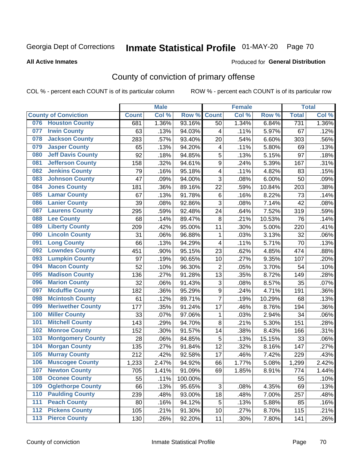# Inmate Statistical Profile 01-MAY-20 Page 70

#### **All Active Inmates**

#### Produced for General Distribution

## County of conviction of primary offense

COL % - percent each COUNT is of its particular column

|     |                             |              | <b>Male</b> |         |                         | <b>Female</b> |        |              | <b>Total</b> |
|-----|-----------------------------|--------------|-------------|---------|-------------------------|---------------|--------|--------------|--------------|
|     | <b>County of Conviction</b> | <b>Count</b> | Col %       | Row %   | <b>Count</b>            | Col %         | Row %  | <b>Total</b> | Col %        |
| 076 | <b>Houston County</b>       | 681          | 1.36%       | 93.16%  | 50                      | 1.34%         | 6.84%  | 731          | 1.36%        |
| 077 | <b>Irwin County</b>         | 63           | .13%        | 94.03%  | 4                       | .11%          | 5.97%  | 67           | .12%         |
| 078 | <b>Jackson County</b>       | 283          | .57%        | 93.40%  | 20                      | .54%          | 6.60%  | 303          | .56%         |
| 079 | <b>Jasper County</b>        | 65           | .13%        | 94.20%  | $\overline{\mathbf{4}}$ | .11%          | 5.80%  | 69           | .13%         |
| 080 | <b>Jeff Davis County</b>    | 92           | .18%        | 94.85%  | 5                       | .13%          | 5.15%  | 97           | .18%         |
| 081 | <b>Jefferson County</b>     | 158          | .32%        | 94.61%  | 9                       | .24%          | 5.39%  | 167          | .31%         |
| 082 | <b>Jenkins County</b>       | 79           | .16%        | 95.18%  | 4                       | .11%          | 4.82%  | 83           | .15%         |
| 083 | <b>Johnson County</b>       | 47           | .09%        | 94.00%  | 3                       | .08%          | 6.00%  | 50           | .09%         |
| 084 | <b>Jones County</b>         | 181          | .36%        | 89.16%  | 22                      | .59%          | 10.84% | 203          | .38%         |
| 085 | <b>Lamar County</b>         | 67           | .13%        | 91.78%  | 6                       | .16%          | 8.22%  | 73           | .14%         |
| 086 | <b>Lanier County</b>        | 39           | .08%        | 92.86%  | 3                       | .08%          | 7.14%  | 42           | .08%         |
| 087 | <b>Laurens County</b>       | 295          | .59%        | 92.48%  | 24                      | .64%          | 7.52%  | 319          | .59%         |
| 088 | <b>Lee County</b>           | 68           | .14%        | 89.47%  | 8                       | .21%          | 10.53% | 76           | .14%         |
| 089 | <b>Liberty County</b>       | 209          | .42%        | 95.00%  | 11                      | .30%          | 5.00%  | 220          | .41%         |
| 090 | <b>Lincoln County</b>       | 31           | .06%        | 96.88%  | 1                       | .03%          | 3.13%  | 32           | .06%         |
| 091 | <b>Long County</b>          | 66           | .13%        | 94.29%  | 4                       | .11%          | 5.71%  | 70           | .13%         |
| 092 | <b>Lowndes County</b>       | 451          | .90%        | 95.15%  | 23                      | .62%          | 4.85%  | 474          | .88%         |
| 093 | <b>Lumpkin County</b>       | 97           | .19%        | 90.65%  | 10                      | .27%          | 9.35%  | 107          | .20%         |
| 094 | <b>Macon County</b>         | 52           | .10%        | 96.30%  | $\overline{2}$          | .05%          | 3.70%  | 54           | .10%         |
| 095 | <b>Madison County</b>       | 136          | .27%        | 91.28%  | 13                      | .35%          | 8.72%  | 149          | .28%         |
| 096 | <b>Marion County</b>        | 32           | .06%        | 91.43%  | 3                       | .08%          | 8.57%  | 35           | .07%         |
| 097 | <b>Mcduffie County</b>      | 182          | .36%        | 95.29%  | 9                       | .24%          | 4.71%  | 191          | .36%         |
| 098 | <b>Mcintosh County</b>      | 61           | .12%        | 89.71%  | $\overline{7}$          | .19%          | 10.29% | 68           | .13%         |
| 099 | <b>Meriwether County</b>    | 177          | .35%        | 91.24%  | 17                      | .46%          | 8.76%  | 194          | .36%         |
| 100 | <b>Miller County</b>        | 33           | .07%        | 97.06%  | 1                       | .03%          | 2.94%  | 34           | .06%         |
| 101 | <b>Mitchell County</b>      | 143          | .29%        | 94.70%  | 8                       | .21%          | 5.30%  | 151          | .28%         |
| 102 | <b>Monroe County</b>        | 152          | .30%        | 91.57%  | 14                      | .38%          | 8.43%  | 166          | .31%         |
| 103 | <b>Montgomery County</b>    | 28           | .06%        | 84.85%  | 5                       | .13%          | 15.15% | 33           | .06%         |
| 104 | <b>Morgan County</b>        | 135          | .27%        | 91.84%  | 12                      | .32%          | 8.16%  | 147          | .27%         |
| 105 | <b>Murray County</b>        | 212          | .42%        | 92.58%  | 17                      | .46%          | 7.42%  | 229          | .43%         |
| 106 | <b>Muscogee County</b>      | 1,233        | 2.47%       | 94.92%  | 66                      | 1.77%         | 5.08%  | 1,299        | 2.42%        |
| 107 | <b>Newton County</b>        | 705          | 1.41%       | 91.09%  | 69                      | 1.85%         | 8.91%  | 774          | 1.44%        |
| 108 | <b>Oconee County</b>        | 55           | .11%        | 100.00% |                         |               |        | 55           | .10%         |
| 109 | <b>Oglethorpe County</b>    | 66           | .13%        | 95.65%  | 3                       | .08%          | 4.35%  | 69           | .13%         |
| 110 | <b>Paulding County</b>      | 239          | .48%        | 93.00%  | 18                      | .48%          | 7.00%  | 257          | .48%         |
| 111 | <b>Peach County</b>         | 80           | .16%        | 94.12%  | 5                       | .13%          | 5.88%  | 85           | .16%         |
| 112 | <b>Pickens County</b>       | 105          | .21%        | 91.30%  | 10                      | .27%          | 8.70%  | 115          | .21%         |
| 113 | <b>Pierce County</b>        | 130          | .26%        | 92.20%  | 11                      | .30%          | 7.80%  | 141          | .26%         |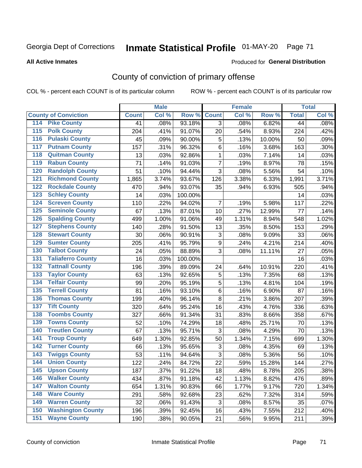# Inmate Statistical Profile 01-MAY-20 Page 71

Produced for General Distribution

#### **All Active Inmates**

## County of conviction of primary offense

COL % - percent each COUNT is of its particular column

|                                        |              | <b>Male</b> |         |                  | <b>Female</b> |        |              | <b>Total</b> |
|----------------------------------------|--------------|-------------|---------|------------------|---------------|--------|--------------|--------------|
| <b>County of Conviction</b>            | <b>Count</b> | Col %       | Row %   | <b>Count</b>     | Col %         | Row %  | <b>Total</b> | Col %        |
| <b>Pike County</b><br>114              | 41           | .08%        | 93.18%  | 3                | .08%          | 6.82%  | 44           | .08%         |
| <b>Polk County</b><br>$\overline{115}$ | 204          | .41%        | 91.07%  | 20               | .54%          | 8.93%  | 224          | .42%         |
| <b>Pulaski County</b><br>116           | 45           | .09%        | 90.00%  | 5                | .13%          | 10.00% | 50           | .09%         |
| <b>Putnam County</b><br>117            | 157          | .31%        | 96.32%  | 6                | .16%          | 3.68%  | 163          | .30%         |
| 118<br><b>Quitman County</b>           | 13           | .03%        | 92.86%  | $\mathbf{1}$     | .03%          | 7.14%  | 14           | .03%         |
| <b>Rabun County</b><br>119             | 71           | .14%        | 91.03%  | $\overline{7}$   | .19%          | 8.97%  | 78           | .15%         |
| <b>Randolph County</b><br>120          | 51           | .10%        | 94.44%  | 3                | .08%          | 5.56%  | 54           | .10%         |
| <b>Richmond County</b><br>121          | 1,865        | 3.74%       | 93.67%  | 126              | 3.38%         | 6.33%  | 1,991        | 3.71%        |
| <b>Rockdale County</b><br>122          | 470          | .94%        | 93.07%  | 35               | .94%          | 6.93%  | 505          | .94%         |
| <b>Schley County</b><br>123            | 14           | .03%        | 100.00% |                  |               |        | 14           | .03%         |
| <b>Screven County</b><br>124           | 110          | .22%        | 94.02%  | $\overline{7}$   | .19%          | 5.98%  | 117          | .22%         |
| <b>Seminole County</b><br>125          | 67           | .13%        | 87.01%  | 10               | .27%          | 12.99% | 77           | .14%         |
| 126<br><b>Spalding County</b>          | 499          | 1.00%       | 91.06%  | 49               | 1.31%         | 8.94%  | 548          | 1.02%        |
| 127<br><b>Stephens County</b>          | 140          | .28%        | 91.50%  | 13               | .35%          | 8.50%  | 153          | .29%         |
| <b>Stewart County</b><br>128           | 30           | .06%        | 90.91%  | 3                | .08%          | 9.09%  | 33           | .06%         |
| <b>Sumter County</b><br>129            | 205          | .41%        | 95.79%  | $\boldsymbol{9}$ | .24%          | 4.21%  | 214          | .40%         |
| <b>Talbot County</b><br>130            | 24           | .05%        | 88.89%  | 3                | .08%          | 11.11% | 27           | .05%         |
| <b>Taliaferro County</b><br>131        | 16           | .03%        | 100.00% |                  |               |        | 16           | .03%         |
| <b>Tattnall County</b><br>132          | 196          | .39%        | 89.09%  | 24               | .64%          | 10.91% | 220          | .41%         |
| <b>Taylor County</b><br>133            | 63           | .13%        | 92.65%  | $\mathbf 5$      | .13%          | 7.35%  | 68           | .13%         |
| <b>Telfair County</b><br>134           | 99           | .20%        | 95.19%  | 5                | .13%          | 4.81%  | 104          | .19%         |
| <b>Terrell County</b><br>135           | 81           | .16%        | 93.10%  | 6                | .16%          | 6.90%  | 87           | .16%         |
| <b>Thomas County</b><br>136            | 199          | .40%        | 96.14%  | 8                | .21%          | 3.86%  | 207          | .39%         |
| <b>Tift County</b><br>137              | 320          | .64%        | 95.24%  | 16               | .43%          | 4.76%  | 336          | .63%         |
| <b>Toombs County</b><br>138            | 327          | .66%        | 91.34%  | 31               | .83%          | 8.66%  | 358          | .67%         |
| <b>Towns County</b><br>139             | 52           | .10%        | 74.29%  | 18               | .48%          | 25.71% | 70           | .13%         |
| <b>Treutlen County</b><br>140          | 67           | .13%        | 95.71%  | 3                | .08%          | 4.29%  | 70           | .13%         |
| <b>Troup County</b><br>141             | 649          | 1.30%       | 92.85%  | 50               | 1.34%         | 7.15%  | 699          | 1.30%        |
| <b>Turner County</b><br>142            | 66           | .13%        | 95.65%  | $\mathsf 3$      | .08%          | 4.35%  | 69           | .13%         |
| <b>Twiggs County</b><br>143            | 53           | .11%        | 94.64%  | 3                | .08%          | 5.36%  | 56           | .10%         |
| <b>Union County</b><br>144             | 122          | .24%        | 84.72%  | 22               | .59%          | 15.28% | 144          | .27%         |
| 145<br><b>Upson County</b>             | 187          | .37%        | 91.22%  | 18               | .48%          | 8.78%  | 205          | .38%         |
| <b>Walker County</b><br>146            | 434          | .87%        | 91.18%  | 42               | 1.13%         | 8.82%  | 476          | .89%         |
| <b>Walton County</b><br>147            | 654          | 1.31%       | 90.83%  | 66               | 1.77%         | 9.17%  | 720          | 1.34%        |
| <b>Ware County</b><br>148              | 291          | .58%        | 92.68%  | 23               | .62%          | 7.32%  | 314          | .59%         |
| <b>Warren County</b><br>149            | 32           | .06%        | 91.43%  | 3                | .08%          | 8.57%  | 35           | .07%         |
| <b>Washington County</b><br>150        | 196          | .39%        | 92.45%  | 16               | .43%          | 7.55%  | 212          | .40%         |
| <b>Wayne County</b><br>151             | 190          | .38%        | 90.05%  | 21               | .56%          | 9.95%  | 211          | .39%         |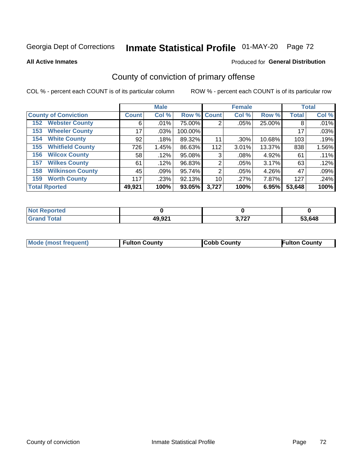# Inmate Statistical Profile 01-MAY-20 Page 72

**All Active Inmates** 

#### Produced for General Distribution

## County of conviction of primary offense

COL % - percent each COUNT is of its particular column

|                                |              | <b>Male</b> |             |                | <b>Female</b> |        |              | <b>Total</b> |
|--------------------------------|--------------|-------------|-------------|----------------|---------------|--------|--------------|--------------|
| <b>County of Conviction</b>    | <b>Count</b> | Col %       | Row % Count |                | Col %         | Row %  | <b>Total</b> | Col %        |
| <b>Webster County</b><br>152   | 6            | $.01\%$     | 75.00%      | 2              | .05%          | 25.00% | 8            | .01%         |
| <b>Wheeler County</b><br>153   | 17           | .03%        | 100.00%     |                |               |        | 17           | .03%         |
| <b>White County</b><br>154     | 92           | .18%        | 89.32%      | 11             | .30%          | 10.68% | 103          | .19%         |
| <b>Whitfield County</b><br>155 | 726          | 1.45%       | 86.63%      | 112            | 3.01%         | 13.37% | 838          | 1.56%        |
| <b>Wilcox County</b><br>156    | 58           | .12%        | 95.08%      | 3              | .08%          | 4.92%  | 61           | .11%         |
| <b>Wilkes County</b><br>157    | 61           | .12%        | 96.83%      | 2              | .05%          | 3.17%  | 63           | .12%         |
| <b>Wilkinson County</b><br>158 | 45           | .09%        | 95.74%      | $\overline{2}$ | .05%          | 4.26%  | 47           | .09%         |
| <b>Worth County</b><br>159     | 117          | .23%        | 92.13%      | 10             | .27%          | 7.87%  | 127          | .24%         |
| <b>Total Rported</b>           | 49,921       | 100%        | 93.05%      | 3,727          | 100%          | 6.95%  | 53,648       | 100%         |

| <b>Not Reported</b> |        |                       |        |
|---------------------|--------|-----------------------|--------|
| <b>Grand Total</b>  | 49,921 | דמד מ<br><b>J.ILI</b> | 53,648 |

| Mode (most frequent) | <b>Fulton County</b> | <b>Cobb County</b> | <b>Fulton County</b> |
|----------------------|----------------------|--------------------|----------------------|
|                      |                      |                    |                      |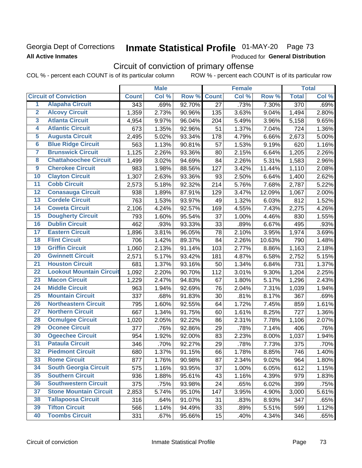### Georgia Dept of Corrections **All Active Inmates**

# Inmate Statistical Profile 01-MAY-20 Page 73

Produced for General Distribution

# Circuit of conviction of primary offense

|                         |                                 |                  | <b>Male</b> |        |                 | <b>Female</b> |        |                  | <b>Total</b> |
|-------------------------|---------------------------------|------------------|-------------|--------|-----------------|---------------|--------|------------------|--------------|
|                         | <b>Circuit of Conviction</b>    | <b>Count</b>     | Col %       | Row %  | <b>Count</b>    | Col %         | Row %  | <b>Total</b>     | Col %        |
| 1                       | <b>Alapaha Circuit</b>          | $\overline{343}$ | .69%        | 92.70% | $\overline{27}$ | .73%          | 7.30%  | $\overline{370}$ | .69%         |
| $\overline{2}$          | <b>Alcovy Circuit</b>           | 1,359            | 2.73%       | 90.96% | 135             | 3.63%         | 9.04%  | 1,494            | 2.80%        |
| $\overline{\mathbf{3}}$ | <b>Atlanta Circuit</b>          | 4,954            | 9.97%       | 96.04% | 204             | 5.49%         | 3.96%  | 5,158            | 9.65%        |
| 4                       | <b>Atlantic Circuit</b>         | 673              | 1.35%       | 92.96% | 51              | 1.37%         | 7.04%  | 724              | 1.36%        |
| 5                       | <b>Augusta Circuit</b>          | 2,495            | 5.02%       | 93.34% | 178             | 4.79%         | 6.66%  | 2,673            | 5.00%        |
| $\overline{\bf{6}}$     | <b>Blue Ridge Circuit</b>       | 563              | 1.13%       | 90.81% | 57              | 1.53%         | 9.19%  | 620              | 1.16%        |
| 7                       | <b>Brunswick Circuit</b>        | 1,125            | 2.26%       | 93.36% | 80              | 2.15%         | 6.64%  | 1,205            | 2.26%        |
| $\overline{\mathbf{8}}$ | <b>Chattahoochee Circuit</b>    | 1,499            | 3.02%       | 94.69% | 84              | 2.26%         | 5.31%  | 1,583            | 2.96%        |
| $\overline{9}$          | <b>Cherokee Circuit</b>         | 983              | 1.98%       | 88.56% | 127             | 3.42%         | 11.44% | 1,110            | 2.08%        |
| 10                      | <b>Clayton Circuit</b>          | 1,307            | 2.63%       | 93.36% | 93              | 2.50%         | 6.64%  | 1,400            | 2.62%        |
| $\overline{11}$         | <b>Cobb Circuit</b>             | 2,573            | 5.18%       | 92.32% | 214             | 5.76%         | 7.68%  | 2,787            | 5.22%        |
| $\overline{12}$         | <b>Conasauga Circuit</b>        | 938              | 1.89%       | 87.91% | 129             | 3.47%         | 12.09% | 1,067            | 2.00%        |
| 13                      | <b>Cordele Circuit</b>          | 763              | 1.53%       | 93.97% | 49              | 1.32%         | 6.03%  | 812              | 1.52%        |
| $\overline{14}$         | <b>Coweta Circuit</b>           | 2,106            | 4.24%       | 92.57% | 169             | 4.55%         | 7.43%  | 2,275            | 4.26%        |
| 15                      | <b>Dougherty Circuit</b>        | 793              | 1.60%       | 95.54% | 37              | 1.00%         | 4.46%  | 830              | 1.55%        |
| 16                      | <b>Dublin Circuit</b>           | 462              | .93%        | 93.33% | 33              | .89%          | 6.67%  | 495              | .93%         |
| 17                      | <b>Eastern Circuit</b>          | 1,896            | 3.81%       | 96.05% | 78              | 2.10%         | 3.95%  | 1,974            | 3.69%        |
| $\overline{18}$         | <b>Flint Circuit</b>            | 706              | 1.42%       | 89.37% | 84              | 2.26%         | 10.63% | 790              | 1.48%        |
| 19                      | <b>Griffin Circuit</b>          | 1,060            | 2.13%       | 91.14% | 103             | 2.77%         | 8.86%  | 1,163            | 2.18%        |
| $\overline{20}$         | <b>Gwinnett Circuit</b>         | 2,571            | 5.17%       | 93.42% | 181             | 4.87%         | 6.58%  | 2,752            | 5.15%        |
| $\overline{21}$         | <b>Houston Circuit</b>          | 681              | 1.37%       | 93.16% | 50              | 1.34%         | 6.84%  | 731              | 1.37%        |
| $\overline{22}$         | <b>Lookout Mountain Circuit</b> | 1,092            | 2.20%       | 90.70% | 112             | 3.01%         | 9.30%  | 1,204            | 2.25%        |
| 23                      | <b>Macon Circuit</b>            | 1,229            | 2.47%       | 94.83% | 67              | 1.80%         | 5.17%  | 1,296            | 2.43%        |
| $\overline{24}$         | <b>Middle Circuit</b>           | 963              | 1.94%       | 92.69% | 76              | 2.04%         | 7.31%  | 1,039            | 1.94%        |
| $\overline{25}$         | <b>Mountain Circuit</b>         | 337              | .68%        | 91.83% | 30              | .81%          | 8.17%  | 367              | .69%         |
| 26                      | <b>Northeastern Circuit</b>     | 795              | 1.60%       | 92.55% | 64              | 1.72%         | 7.45%  | 859              | 1.61%        |
| $\overline{27}$         | <b>Northern Circuit</b>         | 667              | 1.34%       | 91.75% | 60              | 1.61%         | 8.25%  | 727              | 1.36%        |
| 28                      | <b>Ocmulgee Circuit</b>         | 1,020            | 2.05%       | 92.22% | 86              | 2.31%         | 7.78%  | 1,106            | 2.07%        |
| 29                      | <b>Oconee Circuit</b>           | 377              | .76%        | 92.86% | 29              | .78%          | 7.14%  | 406              | .76%         |
| 30                      | <b>Ogeechee Circuit</b>         | 954              | 1.92%       | 92.00% | 83              | 2.23%         | 8.00%  | 1,037            | 1.94%        |
| $\overline{31}$         | <b>Pataula Circuit</b>          | 346              | .70%        | 92.27% | 29              | .78%          | 7.73%  | 375              | .70%         |
| 32                      | <b>Piedmont Circuit</b>         | 680              | 1.37%       | 91.15% | 66              | 1.78%         | 8.85%  | 746              | 1.40%        |
| 33                      | <b>Rome Circuit</b>             | 877              | 1.76%       | 90.98% | 87              | 2.34%         | 9.02%  | 964              | 1.80%        |
| 34                      | <b>South Georgia Circuit</b>    | 575              | 1.16%       | 93.95% | 37              | 1.00%         | 6.05%  | 612              | 1.15%        |
| 35                      | <b>Southern Circuit</b>         | 936              | 1.88%       | 95.61% | 43              | 1.16%         | 4.39%  | 979              | 1.83%        |
| 36                      | <b>Southwestern Circuit</b>     | 375              | .75%        | 93.98% | 24              | .65%          | 6.02%  | 399              | .75%         |
| 37                      | <b>Stone Mountain Circuit</b>   | 2,853            | 5.74%       | 95.10% | 147             | 3.95%         | 4.90%  | 3,000            | 5.61%        |
| 38                      | <b>Tallapoosa Circuit</b>       | 316              | .64%        | 91.07% | 31              | .83%          | 8.93%  | 347              | .65%         |
| 39                      | <b>Tifton Circuit</b>           | 566              | 1.14%       | 94.49% | 33              | .89%          | 5.51%  | 599              | 1.12%        |
| 40                      | <b>Toombs Circuit</b>           | 331              | .67%        | 95.66% | 15              | .40%          | 4.34%  | 346              | .65%         |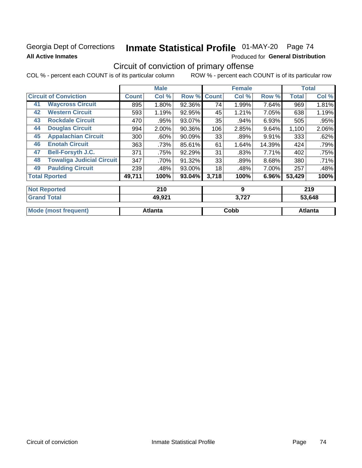### Georgia Dept of Corrections **All Active Inmates**

# Inmate Statistical Profile 01-MAY-20 Page 74

Produced for General Distribution

# Circuit of conviction of primary offense

|                                        |              | <b>Male</b> |        |              | <b>Female</b> |        |              | <b>Total</b> |
|----------------------------------------|--------------|-------------|--------|--------------|---------------|--------|--------------|--------------|
| <b>Circuit of Conviction</b>           | <b>Count</b> | Col %       | Row %  | <b>Count</b> | Col %         | Row %  | <b>Total</b> | Col %        |
| <b>Waycross Circuit</b><br>41          | 895          | 1.80%       | 92.36% | 74           | 1.99%         | 7.64%  | 969          | 1.81%        |
| <b>Western Circuit</b><br>42           | 593          | 1.19%       | 92.95% | 45           | 1.21%         | 7.05%  | 638          | 1.19%        |
| <b>Rockdale Circuit</b><br>43          | 470          | .95%        | 93.07% | 35           | .94%          | 6.93%  | 505          | .95%         |
| <b>Douglas Circuit</b><br>44           | 994          | 2.00%       | 90.36% | 106          | 2.85%         | 9.64%  | 1,100        | 2.06%        |
| <b>Appalachian Circuit</b><br>45       | 300          | $.60\%$     | 90.09% | 33           | .89%          | 9.91%  | 333          | .62%         |
| <b>Enotah Circuit</b><br>46            | 363          | .73%        | 85.61% | 61           | 1.64%         | 14.39% | 424          | .79%         |
| 47<br><b>Bell-Forsyth J.C.</b>         | 371          | .75%        | 92.29% | 31           | .83%          | 7.71%  | 402          | .75%         |
| <b>Towaliga Judicial Circuit</b><br>48 | 347          | .70%        | 91.32% | 33           | .89%          | 8.68%  | 380          | .71%         |
| <b>Paulding Circuit</b><br>49          | 239          | .48%        | 93.00% | 18           | .48%          | 7.00%  | 257          | .48%         |
| <b>Total Rported</b>                   | 49,711       | 100%        | 93.04% | 3,718        | 100%          | 6.96%  | 53,429       | 100%         |
|                                        |              |             |        |              |               |        |              |              |
| <b>Not Reported</b>                    |              | 210         |        |              | 9             |        |              | 219          |
| <b>Grand Total</b>                     |              | 49,921      |        |              | 3,727         |        |              | 53,648       |

| <b>Mode (most frequent)</b> | <b>Atlanta</b> | ddoز | Atlanta |
|-----------------------------|----------------|------|---------|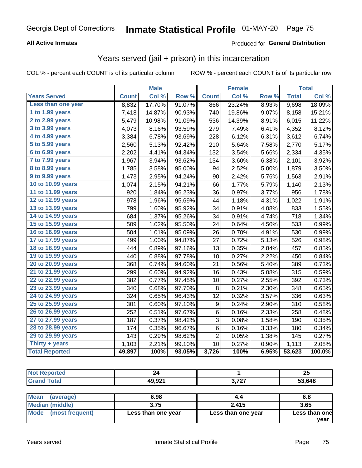#### **All Active Inmates**

#### Produced for **General Distribution**

### Years served (jail + prison) in this incarceration

|                       |              | <b>Male</b> |        |                  | <b>Female</b> |                  |              | <b>Total</b> |
|-----------------------|--------------|-------------|--------|------------------|---------------|------------------|--------------|--------------|
| <b>Years Served</b>   | <b>Count</b> | Col %       | Row %  | <b>Count</b>     | Col %         | Row <sup>%</sup> | <b>Total</b> | Col %        |
| Less than one year    | 8,832        | 17.70%      | 91.07% | 866              | 23.24%        | 8.93%            | 9,698        | 18.09%       |
| 1 to 1.99 years       | 7,418        | 14.87%      | 90.93% | 740              | 19.86%        | 9.07%            | 8,158        | 15.21%       |
| 2 to 2.99 years       | 5,479        | 10.98%      | 91.09% | 536              | 14.39%        | 8.91%            | 6,015        | 11.22%       |
| 3 to 3.99 years       | 4,073        | 8.16%       | 93.59% | 279              | 7.49%         | 6.41%            | 4,352        | 8.12%        |
| 4 to 4.99 years       | 3,384        | 6.78%       | 93.69% | 228              | 6.12%         | 6.31%            | 3,612        | 6.74%        |
| 5 to 5.99 years       | 2,560        | 5.13%       | 92.42% | 210              | 5.64%         | 7.58%            | 2,770        | 5.17%        |
| $6$ to $6.99$ years   | 2,202        | 4.41%       | 94.34% | 132              | 3.54%         | 5.66%            | 2,334        | 4.35%        |
| 7 to 7.99 years       | 1,967        | 3.94%       | 93.62% | 134              | 3.60%         | 6.38%            | 2,101        | 3.92%        |
| 8 to 8.99 years       | 1,785        | 3.58%       | 95.00% | 94               | 2.52%         | 5.00%            | 1,879        | 3.50%        |
| 9 to 9.99 years       | 1,473        | 2.95%       | 94.24% | 90               | 2.42%         | 5.76%            | 1,563        | 2.91%        |
| 10 to 10.99 years     | 1,074        | 2.15%       | 94.21% | 66               | 1.77%         | 5.79%            | 1,140        | 2.13%        |
| 11 to 11.99 years     | 920          | 1.84%       | 96.23% | 36               | 0.97%         | 3.77%            | 956          | 1.78%        |
| 12 to 12.99 years     | 978          | 1.96%       | 95.69% | 44               | 1.18%         | 4.31%            | 1,022        | 1.91%        |
| 13 to 13.99 years     | 799          | 1.60%       | 95.92% | 34               | 0.91%         | 4.08%            | 833          | 1.55%        |
| 14 to 14.99 years     | 684          | 1.37%       | 95.26% | 34               | 0.91%         | 4.74%            | 718          | 1.34%        |
| 15 to 15.99 years     | 509          | 1.02%       | 95.50% | 24               | 0.64%         | 4.50%            | 533          | 0.99%        |
| 16 to 16.99 years     | 504          | 1.01%       | 95.09% | 26               | 0.70%         | 4.91%            | 530          | 0.99%        |
| 17 to 17.99 years     | 499          | 1.00%       | 94.87% | 27               | 0.72%         | 5.13%            | 526          | 0.98%        |
| 18 to 18.99 years     | 444          | 0.89%       | 97.16% | 13               | 0.35%         | 2.84%            | 457          | 0.85%        |
| 19 to 19.99 years     | 440          | 0.88%       | 97.78% | 10               | 0.27%         | 2.22%            | 450          | 0.84%        |
| 20 to 20.99 years     | 368          | 0.74%       | 94.60% | 21               | 0.56%         | 5.40%            | 389          | 0.73%        |
| 21 to 21.99 years     | 299          | 0.60%       | 94.92% | 16               | 0.43%         | 5.08%            | 315          | 0.59%        |
| 22 to 22.99 years     | 382          | 0.77%       | 97.45% | 10               | 0.27%         | 2.55%            | 392          | 0.73%        |
| 23 to 23.99 years     | 340          | 0.68%       | 97.70% | 8                | 0.21%         | 2.30%            | 348          | 0.65%        |
| 24 to 24.99 years     | 324          | 0.65%       | 96.43% | 12               | 0.32%         | 3.57%            | 336          | 0.63%        |
| 25 to 25.99 years     | 301          | 0.60%       | 97.10% | $\boldsymbol{9}$ | 0.24%         | 2.90%            | 310          | 0.58%        |
| 26 to 26.99 years     | 252          | 0.51%       | 97.67% | 6                | 0.16%         | 2.33%            | 258          | 0.48%        |
| 27 to 27.99 years     | 187          | 0.37%       | 98.42% | 3                | 0.08%         | 1.58%            | 190          | 0.35%        |
| 28 to 28.99 years     | 174          | 0.35%       | 96.67% | 6                | 0.16%         | 3.33%            | 180          | 0.34%        |
| 29 to 29.99 years     | 143          | 0.29%       | 98.62% | $\overline{2}$   | 0.05%         | 1.38%            | 145          | 0.27%        |
| Thirty + years        | 1,103        | 2.21%       | 99.10% | 10               | 0.27%         | 0.90%            | 1,113        | 2.08%        |
| <b>Total Reported</b> | 49,897       | 100%        | 93.05% | 3,726            | 100%          | 6.95%            | 53,623       | 100.0%       |

| n rreu |        |               | $\mathbf{r}$<br>~ |
|--------|--------|---------------|-------------------|
|        | 49,921 | 707<br>,,, ., | .648<br>- -       |

| Mean<br>(average)    | 6.98               | 4.4                | 6.8           |
|----------------------|--------------------|--------------------|---------------|
| Median (middle)      | 3.75               | 2.415              | 3.65          |
| Mode (most frequent) | Less than one year | Less than one year | Less than one |
|                      |                    |                    | vear          |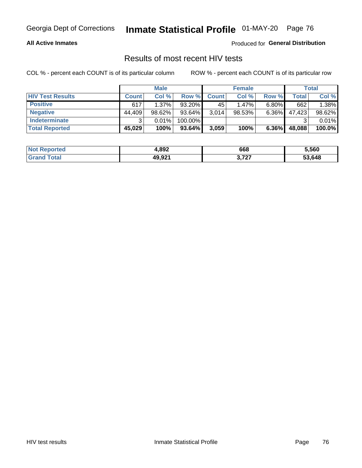#### **All Active Inmates**

Produced for **General Distribution**

### Results of most recent HIV tests

|                         |              | <b>Male</b> |           |              | <b>Female</b> |          |        | <b>Total</b> |
|-------------------------|--------------|-------------|-----------|--------------|---------------|----------|--------|--------------|
| <b>HIV Test Results</b> | <b>Count</b> | Col %       | Row %I    | <b>Count</b> | Col %         | Row %    | Total  | Col %        |
| <b>Positive</b>         | 617          | 1.37%       | 93.20%    | 45           | 1.47%         | $6.80\%$ | 662    | 1.38%        |
| <b>Negative</b>         | 44.409       | $98.62\%$   | 93.64%    | 3,014        | $98.53\%$     | 6.36%    | 47,423 | 98.62%       |
| <b>Indeterminate</b>    | ີ            | 0.01%       | 100.00%   |              |               |          |        | 0.01%        |
| <b>Total Reported</b>   | 45,029       | 100%        | $93.64\%$ | 3,059        | 100%          | $6.36\%$ | 48,088 | 100.0%       |

| <b>Not Reported</b> | 4,892  | 668                            | 5,560  |
|---------------------|--------|--------------------------------|--------|
| Total               | 49,921 | דמד מ<br>0.12.<br>$\mathbf{r}$ | 53,648 |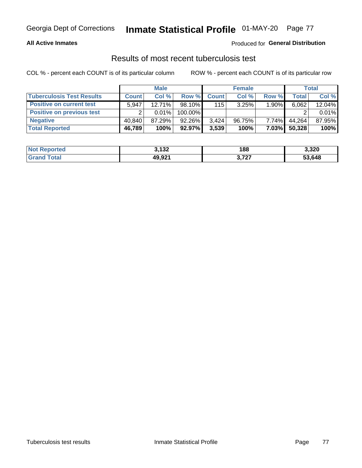#### **All Active Inmates**

#### Produced for **General Distribution**

### Results of most recent tuberculosis test

|                                  |              | <b>Male</b> |           |              | <b>Female</b> |          |        | Total  |
|----------------------------------|--------------|-------------|-----------|--------------|---------------|----------|--------|--------|
| <b>Tuberculosis Test Results</b> | <b>Count</b> | Col%        | Row %     | <b>Count</b> | Col %         | Row %    | Total  | Col %  |
| <b>Positive on current test</b>  | 5.947        | $12.71\%$   | $98.10\%$ | 115          | 3.25%         | 1.90%    | 6,062  | 12.04% |
| <b>Positive on previous test</b> | ົ            | $0.01\%$    | 100.00%   |              |               |          |        | 0.01%  |
| <b>Negative</b>                  | 40.840       | 87.29%      | $92.26\%$ | 3.424        | 96.75%        | $7.74\%$ | 44.264 | 87.95% |
| <b>Total Reported</b>            | 46,789       | 100%        | 92.97%    | 3,539        | 100%          | 7.03%    | 50,328 | 100%   |

| <b>Not Reported</b> | 3,132  | 188                            | 3,320  |
|---------------------|--------|--------------------------------|--------|
| Total<br>Gran       | 49,921 | דמד מ<br>3.12.<br>$\mathbf{r}$ | 53.648 |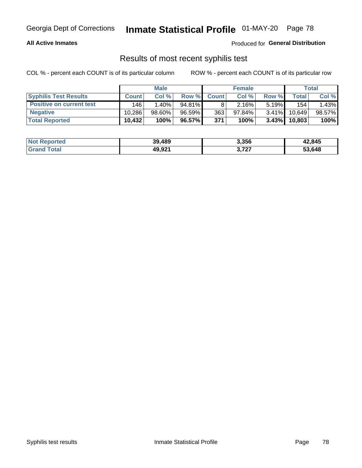#### **All Active Inmates**

Produced for **General Distribution**

### Results of most recent syphilis test

|                                 |              | <b>Male</b> |           |              | <b>Female</b> |          |        | Total  |
|---------------------------------|--------------|-------------|-----------|--------------|---------------|----------|--------|--------|
| <b>Syphilis Test Results</b>    | <b>Count</b> | Col%        | Row %I    | <b>Count</b> | Col %         | Row %I   | Total  | Col %  |
| <b>Positive on current test</b> | 146          | $1.40\%$    | $94.81\%$ |              | $2.16\%$      | $5.19\%$ | 154    | 1.43%  |
| <b>Negative</b>                 | 10.286       | 98.60%      | 96.59%    | 363          | $97.84\%$     | $3.41\%$ | 10.649 | 98.57% |
| <b>Total Reported</b>           | 10,432       | 100%        | 96.57%    | 371          | 100%          | $3.43\%$ | 10,803 | 100%   |

| <b>Not Reported</b> | 39,489 | 3,356 | 42,845 |
|---------------------|--------|-------|--------|
| <b>Grand Total</b>  | 49,921 | 3,727 | 53,648 |